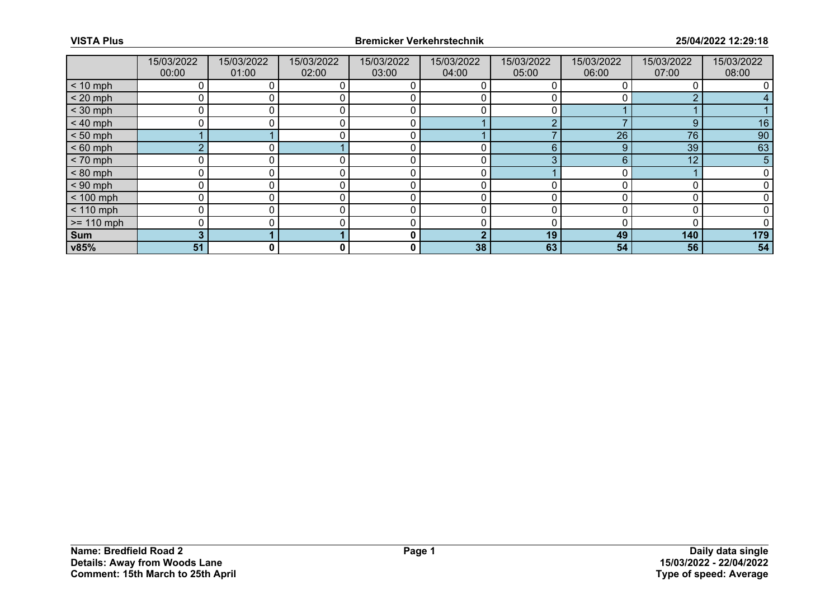|              | 15/03/2022<br>00:00 | 15/03/2022<br>01:00 | 15/03/2022<br>02:00 | 15/03/2022<br>03:00 | 15/03/2022<br>04:00 | 15/03/2022<br>05:00 | 15/03/2022<br>06:00 | 15/03/2022<br>07:00 | 15/03/2022<br>08:00 |
|--------------|---------------------|---------------------|---------------------|---------------------|---------------------|---------------------|---------------------|---------------------|---------------------|
| $< 10$ mph   |                     |                     |                     |                     |                     |                     |                     |                     |                     |
| $< 20$ mph   |                     |                     |                     | 0                   |                     |                     |                     | ◠                   |                     |
| $<$ 30 mph   |                     |                     |                     |                     |                     |                     |                     |                     |                     |
| $< 40$ mph   | $\Omega$            |                     |                     | 0                   |                     | o                   |                     | 9                   | 16                  |
| $< 50$ mph   |                     |                     |                     | 0                   |                     |                     | 26                  | 76                  | 90                  |
| $< 60$ mph   | $\sim$              |                     |                     | C                   |                     | 6                   |                     | 39                  | 63                  |
| $< 70$ mph   | 0                   |                     |                     | 0                   | 0                   | 3                   | 6                   | 12                  | 5                   |
| $< 80$ mph   |                     |                     |                     |                     | 0                   |                     |                     |                     |                     |
| $< 90$ mph   | O                   |                     |                     |                     |                     | ∩                   |                     |                     |                     |
| $< 100$ mph  | 0                   |                     |                     | 0                   | 0                   | $\Omega$            |                     |                     |                     |
| $< 110$ mph  | 0                   |                     |                     | $\Omega$            | 0                   | <sup>0</sup>        |                     |                     |                     |
| $>= 110$ mph | <sup>0</sup>        |                     |                     | C                   |                     |                     |                     |                     |                     |
| <b>Sum</b>   | 3                   |                     |                     | 0                   | ♪                   | 19                  | 49                  | 140                 | 179                 |
| v85%         | 51                  | 0                   | 0                   | 0                   | 38                  | 63                  | 54                  | 56                  | 54                  |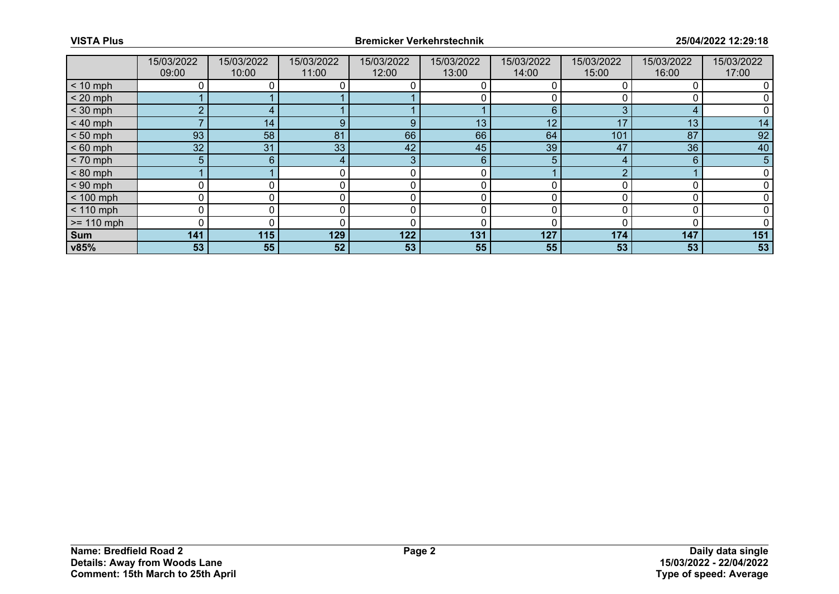|              | 15/03/2022<br>09:00 | 15/03/2022<br>10:00 | 15/03/2022<br>11:00 | 15/03/2022<br>12:00 | 15/03/2022<br>13:00 | 15/03/2022<br>14:00 | 15/03/2022<br>15:00 | 15/03/2022<br>16:00 | 15/03/2022<br>17:00 |
|--------------|---------------------|---------------------|---------------------|---------------------|---------------------|---------------------|---------------------|---------------------|---------------------|
| $< 10$ mph   |                     |                     |                     |                     |                     |                     |                     |                     |                     |
| $< 20$ mph   |                     |                     |                     |                     |                     | 0                   |                     |                     |                     |
| $<$ 30 mph   | ົ                   |                     |                     |                     |                     | 6                   |                     | 4                   |                     |
| $< 40$ mph   |                     | 14                  | 9                   | 9                   | 13                  | 12                  | 47                  | 13                  | 14                  |
| $< 50$ mph   | 93                  | 58                  | 81                  | 66                  | 66                  | 64                  | 101                 | 87                  | 92                  |
| $< 60$ mph   | 32 <sup>°</sup>     | 31                  | 33                  | 42                  | 45                  | 39                  | 47                  | 36                  | 40                  |
| $< 70$ mph   | 5                   | 6                   |                     | 3                   | 6                   | 5                   |                     | 6                   | 5                   |
| $< 80$ mph   |                     |                     |                     | $\Omega$            |                     |                     |                     |                     |                     |
| $< 90$ mph   | n                   |                     |                     |                     |                     |                     |                     |                     |                     |
| $< 100$ mph  | $\mathbf 0$         |                     |                     | 0                   | 0                   | 0                   |                     | C                   |                     |
| $< 110$ mph  | $\mathbf 0$         |                     |                     | $\Omega$            | 0                   | 0                   |                     | $\Omega$            |                     |
| $>= 110$ mph | 0                   |                     |                     |                     | O                   | n                   |                     |                     |                     |
| Sum          | 141                 | 115                 | 129                 | 122                 | 131                 | 127                 | 174                 | 147                 | 151                 |
| v85%         | 53                  | 55                  | 52                  | 53                  | 55                  | 55                  | 53                  | 53                  | 53                  |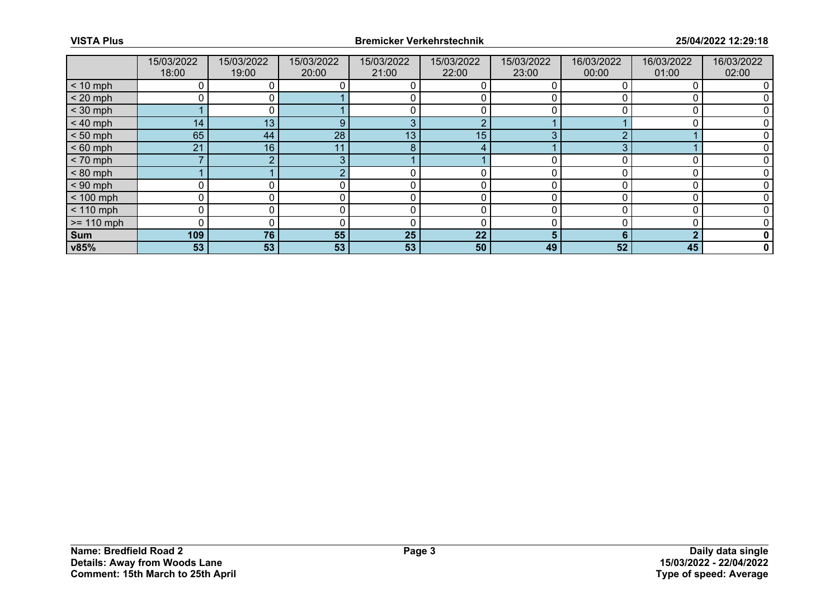|              | 15/03/2022<br>18:00 | 15/03/2022<br>19:00 | 15/03/2022<br>20:00 | 15/03/2022<br>21:00 | 15/03/2022<br>22:00 | 15/03/2022<br>23:00 | 16/03/2022<br>00:00 | 16/03/2022<br>01:00 | 16/03/2022<br>02:00 |
|--------------|---------------------|---------------------|---------------------|---------------------|---------------------|---------------------|---------------------|---------------------|---------------------|
| $< 10$ mph   |                     |                     |                     |                     |                     |                     |                     |                     |                     |
| $< 20$ mph   | ∩                   | o i                 |                     |                     |                     | ი                   |                     |                     |                     |
| $<$ 30 mph   |                     |                     |                     |                     |                     |                     |                     |                     |                     |
| $< 40$ mph   | 14 <sub>1</sub>     | 13                  | 9                   | 3                   | ∩                   |                     |                     |                     |                     |
| $< 50$ mph   | 65                  | 44                  | 28                  | 13                  | 15                  | 3                   |                     |                     |                     |
| $< 60$ mph   | 21                  | 16                  |                     | 8                   |                     |                     |                     |                     |                     |
| $< 70$ mph   |                     | ∩                   |                     |                     |                     |                     |                     |                     |                     |
| $< 80$ mph   |                     |                     |                     |                     |                     | n                   |                     |                     |                     |
| $< 90$ mph   |                     |                     |                     |                     |                     |                     |                     |                     |                     |
| $< 100$ mph  | 0                   |                     | 0                   | 0                   | 0                   | 0                   |                     | $\Omega$            |                     |
| $< 110$ mph  | 0                   |                     |                     |                     |                     |                     |                     |                     |                     |
| $>= 110$ mph | ∩                   |                     |                     |                     |                     |                     |                     |                     |                     |
| Sum          | 109                 | 76                  | 55                  | 25                  | 22                  | 5.                  |                     | ◠                   |                     |
| v85%         | 53                  | 53                  | 53                  | 53                  | 50                  | 49                  | 52                  | 45                  |                     |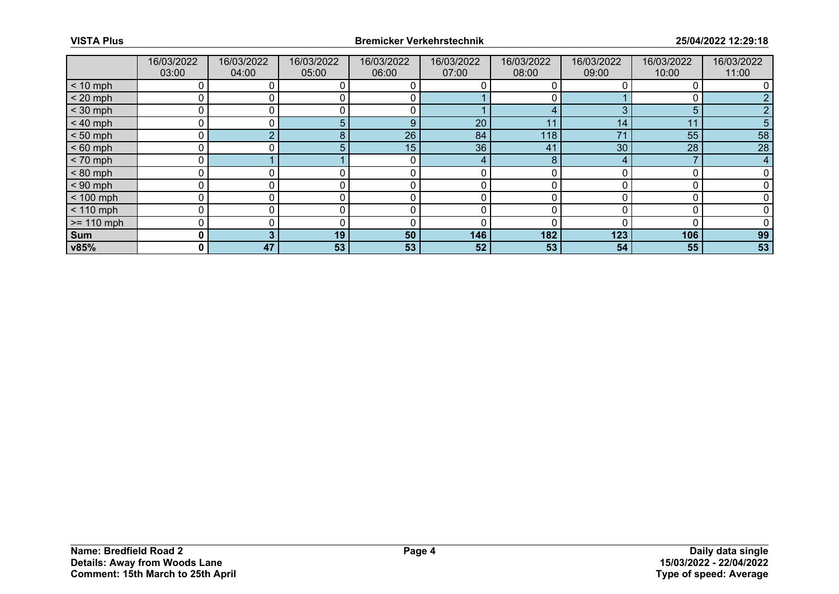|              | 16/03/2022<br>03:00 | 16/03/2022<br>04:00 | 16/03/2022<br>05:00 | 16/03/2022<br>06:00 | 16/03/2022<br>07:00 | 16/03/2022<br>08:00 | 16/03/2022<br>09:00 | 16/03/2022<br>10:00 | 16/03/2022<br>11:00 |
|--------------|---------------------|---------------------|---------------------|---------------------|---------------------|---------------------|---------------------|---------------------|---------------------|
| $< 10$ mph   |                     |                     |                     |                     |                     |                     |                     |                     |                     |
| $< 20$ mph   | 0                   |                     |                     |                     |                     |                     |                     |                     |                     |
| $<$ 30 mph   | n                   |                     |                     |                     |                     |                     |                     | 5                   |                     |
| $< 40$ mph   | 0                   |                     | 5.                  | 9                   | 20                  | 11                  | 14                  | 11                  |                     |
| $< 50$ mph   | 0                   |                     | 8.                  | 26                  | 84                  | 118                 | $7^{\circ}$         | 55                  | 58                  |
| $< 60$ mph   | O                   |                     | 5.                  | 15                  | 36                  | 41                  | 30                  | 28                  | 28                  |
| $< 70$ mph   | 0                   |                     |                     | 0                   | 4                   | 8                   |                     |                     | 4                   |
| $< 80$ mph   | 0                   |                     |                     |                     | 0                   |                     |                     |                     |                     |
| $< 90$ mph   | O                   |                     |                     |                     |                     |                     |                     |                     |                     |
| $< 100$ mph  | 0                   | 0                   | 0                   | 0                   | 0                   | O                   |                     |                     |                     |
| $< 110$ mph  | 0                   |                     |                     |                     |                     |                     |                     |                     |                     |
| $>= 110$ mph | 0                   |                     |                     |                     |                     |                     |                     |                     |                     |
| Sum          | 0                   | 3                   | 19                  | 50                  | 146                 | 182                 | 123                 | 106                 | 99                  |
| v85%         | 0                   | 47                  | 53                  | 53                  | 52                  | 53                  | 54                  | 55                  | 53                  |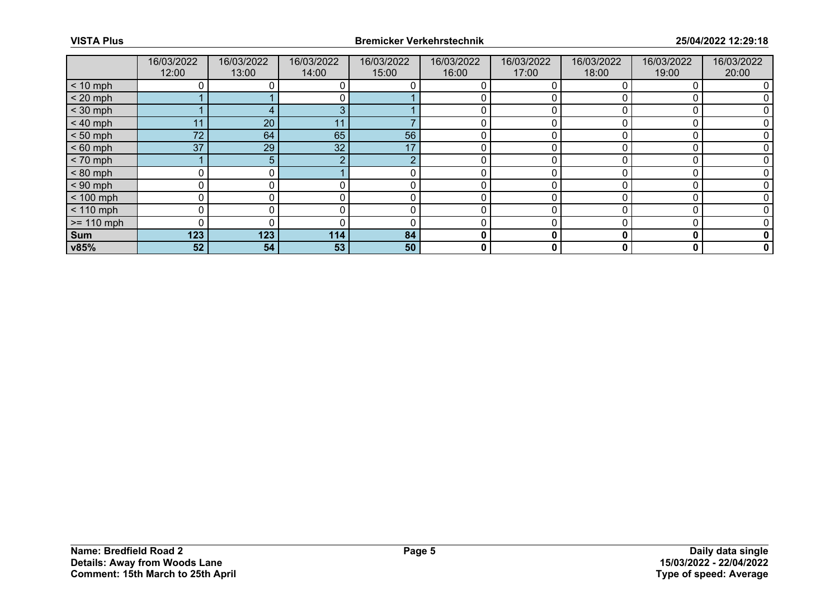|              | 16/03/2022<br>12:00 | 16/03/2022<br>13:00 | 16/03/2022<br>14:00 | 16/03/2022<br>15:00 | 16/03/2022<br>16:00 | 16/03/2022<br>17:00 | 16/03/2022<br>18:00 | 16/03/2022<br>19:00 | 16/03/2022<br>20:00 |
|--------------|---------------------|---------------------|---------------------|---------------------|---------------------|---------------------|---------------------|---------------------|---------------------|
| $< 10$ mph   |                     |                     |                     |                     |                     |                     |                     |                     |                     |
| $< 20$ mph   |                     |                     |                     |                     |                     |                     |                     |                     |                     |
| $<$ 30 mph   |                     |                     | ◠                   |                     |                     |                     |                     |                     |                     |
| $< 40$ mph   | 11                  | 20                  |                     |                     | 0                   | 0                   |                     |                     |                     |
| $< 50$ mph   | 72                  | 64                  | 65                  | 56                  |                     |                     |                     |                     |                     |
| $< 60$ mph   | 37                  | 29                  | 32 <sup>°</sup>     | 17                  |                     |                     |                     |                     |                     |
| $< 70$ mph   |                     | 5.                  | ◠                   | റ                   | 0                   | 0                   |                     |                     |                     |
| $< 80$ mph   |                     |                     |                     |                     |                     |                     |                     |                     |                     |
| $< 90$ mph   |                     |                     |                     |                     |                     |                     |                     |                     |                     |
| $< 100$ mph  | $\overline{0}$      |                     |                     | 0                   | 0                   | 0                   |                     |                     |                     |
| $< 110$ mph  |                     |                     |                     |                     |                     |                     |                     |                     |                     |
| $>= 110$ mph | $\Omega$            |                     |                     |                     |                     |                     |                     |                     |                     |
| Sum          | 123                 | 123                 | 114                 | 84                  | 0                   | 0                   |                     | 0                   |                     |
| v85%         | 52                  | 54                  | 53                  | 50                  | 0                   | 0                   |                     | 0                   | 0                   |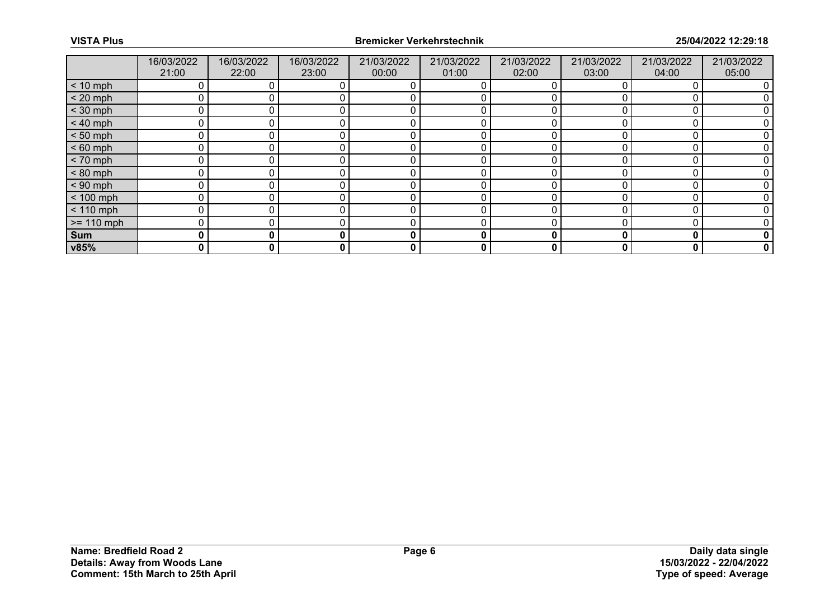|              | 16/03/2022<br>21:00 | 16/03/2022<br>22:00 | 16/03/2022<br>23:00 | 21/03/2022<br>00:00 | 21/03/2022<br>01:00 | 21/03/2022<br>02:00 | 21/03/2022<br>03:00 | 21/03/2022<br>04:00 | 21/03/2022<br>05:00 |
|--------------|---------------------|---------------------|---------------------|---------------------|---------------------|---------------------|---------------------|---------------------|---------------------|
| $< 10$ mph   |                     |                     |                     |                     |                     |                     |                     |                     |                     |
| $< 20$ mph   | 0                   |                     |                     |                     |                     |                     |                     |                     |                     |
| $<$ 30 mph   |                     |                     |                     |                     |                     |                     |                     |                     |                     |
| $< 40$ mph   | 0                   |                     |                     |                     |                     |                     |                     |                     |                     |
| $< 50$ mph   | $\Omega$            |                     |                     |                     |                     |                     |                     |                     |                     |
| $< 60$ mph   | 0                   |                     |                     |                     |                     |                     |                     |                     |                     |
| $< 70$ mph   | 0                   |                     |                     |                     |                     |                     |                     |                     |                     |
| $< 80$ mph   | $\Omega$            |                     |                     |                     |                     |                     |                     |                     |                     |
| $< 90$ mph   | 0                   |                     |                     |                     |                     |                     |                     |                     |                     |
| $< 100$ mph  | 0                   |                     |                     |                     | 0                   |                     |                     |                     |                     |
| $< 110$ mph  | 0                   |                     |                     |                     | 0                   |                     |                     |                     |                     |
| $>= 110$ mph | 0                   |                     |                     |                     |                     |                     |                     |                     |                     |
| Sum          | 0                   | 0                   |                     | 0                   | 0                   | 0                   |                     | O                   | 0                   |
| v85%         | 0                   | 0                   | 0                   | 0                   | 0                   | 0                   | 0                   | 0                   | 0                   |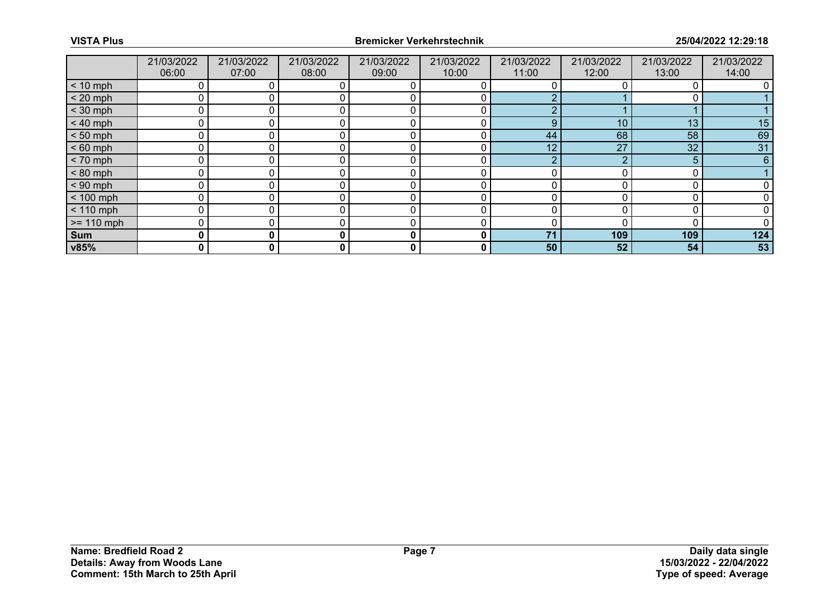|              | 21/03/2022<br>06:00 | 21/03/2022<br>07:00 | 21/03/2022<br>08:00 | 21/03/2022<br>09:00 | 21/03/2022<br>10:00 | 21/03/2022<br>11:00 | 21/03/2022<br>12:00 | 21/03/2022<br>13:00 | 21/03/2022<br>14:00 |
|--------------|---------------------|---------------------|---------------------|---------------------|---------------------|---------------------|---------------------|---------------------|---------------------|
| $< 10$ mph   |                     |                     |                     |                     |                     |                     |                     |                     |                     |
| $< 20$ mph   | 0                   |                     |                     |                     |                     |                     |                     |                     |                     |
| $<$ 30 mph   | Ω                   |                     |                     |                     |                     |                     |                     |                     |                     |
| $< 40$ mph   | 0                   |                     |                     |                     | 0                   | 9                   | 10 <sup>°</sup>     | 13                  | 15                  |
| $< 50$ mph   | 0                   |                     |                     |                     | 0                   | 44                  | 68                  | 58                  | 69                  |
| $< 60$ mph   | 0                   |                     |                     |                     |                     | 12                  | 27                  | 32                  | 31                  |
| $< 70$ mph   | 0                   |                     |                     |                     | 0                   |                     |                     | 5                   | 6                   |
| $< 80$ mph   | 0                   |                     |                     |                     |                     |                     |                     |                     |                     |
| $< 90$ mph   | 0                   |                     |                     |                     |                     |                     |                     |                     |                     |
| $< 100$ mph  | 0                   |                     |                     |                     | 0                   |                     |                     |                     |                     |
| $< 110$ mph  | 0                   |                     |                     |                     | 0                   |                     |                     |                     |                     |
| $>= 110$ mph | 0                   |                     |                     |                     |                     |                     |                     |                     |                     |
| Sum          | 0                   | 0                   |                     | 0                   | 0                   | 71                  | 109                 | 109                 | 124                 |
| v85%         | 0                   | 0                   | 0                   | 0                   | 0                   | 50                  | 52                  | 54                  | 53                  |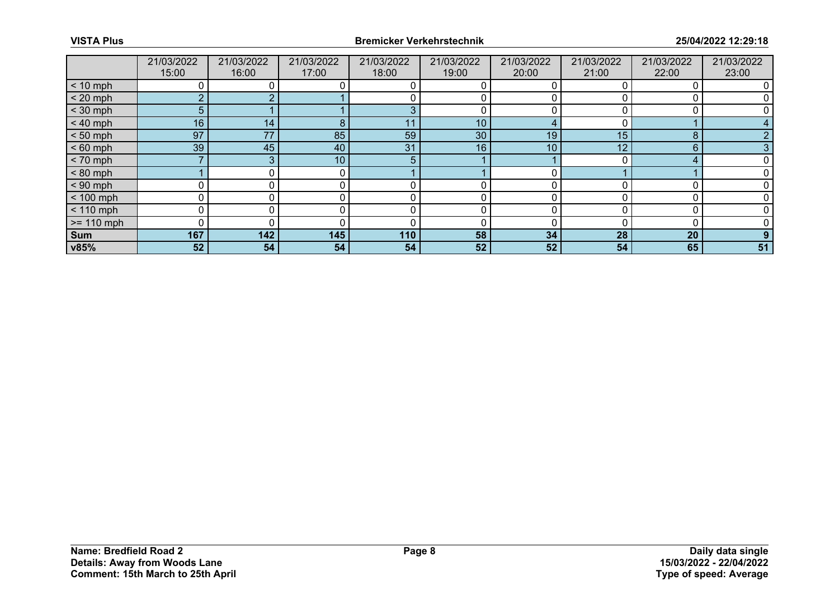|              | 21/03/2022<br>15:00 | 21/03/2022<br>16:00 | 21/03/2022<br>17:00 | 21/03/2022<br>18:00 | 21/03/2022<br>19:00 | 21/03/2022<br>20:00 | 21/03/2022<br>21:00 | 21/03/2022<br>22:00 | 21/03/2022<br>23:00 |
|--------------|---------------------|---------------------|---------------------|---------------------|---------------------|---------------------|---------------------|---------------------|---------------------|
| $< 10$ mph   |                     |                     |                     |                     |                     |                     |                     |                     |                     |
| $< 20$ mph   | $\overline{2}$      |                     |                     |                     |                     |                     |                     |                     |                     |
| $<$ 30 mph   | 5 <sup>5</sup>      |                     |                     |                     |                     |                     |                     |                     |                     |
| $< 40$ mph   | 16                  | 14 <sub>1</sub>     | 8                   | 11                  | 10 <sup>°</sup>     |                     |                     |                     |                     |
| $< 50$ mph   | 97                  | 77                  | 85                  | 59                  | 30                  | 19                  | 15                  | 8                   |                     |
| $< 60$ mph   | 39                  | 45                  | 40                  | 31                  | 16                  | 10                  | 12                  | 6                   |                     |
| $< 70$ mph   |                     | 3                   | 10 <sub>1</sub>     | 5                   |                     |                     |                     |                     |                     |
| $< 80$ mph   |                     |                     |                     |                     |                     |                     |                     |                     |                     |
| $< 90$ mph   |                     |                     |                     |                     |                     |                     |                     |                     |                     |
| $< 100$ mph  | 0                   | 0                   |                     |                     | 0                   |                     |                     |                     |                     |
| $< 110$ mph  | 0                   |                     |                     |                     |                     |                     |                     |                     |                     |
| $>= 110$ mph | 0                   |                     |                     |                     |                     |                     |                     |                     |                     |
| Sum          | 167                 | 142                 | 145                 | 110                 | 58                  | 34                  | 28                  | 20                  | 9                   |
| v85%         | 52                  | 54                  | 54                  | 54                  | 52                  | 52                  | 54                  | 65                  | 51                  |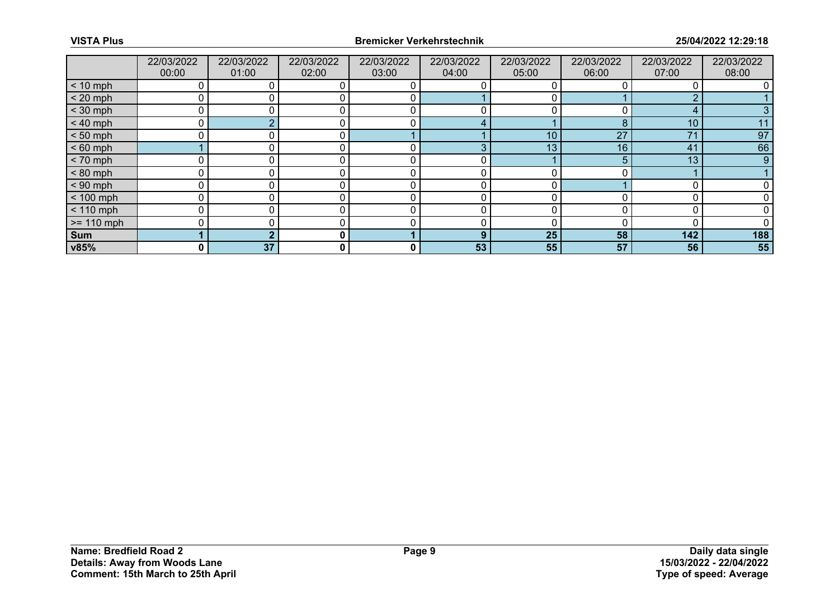|              | 22/03/2022<br>00:00 | 22/03/2022<br>01:00 | 22/03/2022<br>02:00 | 22/03/2022<br>03:00 | 22/03/2022<br>04:00 | 22/03/2022<br>05:00 | 22/03/2022<br>06:00 | 22/03/2022<br>07:00 | 22/03/2022<br>08:00 |
|--------------|---------------------|---------------------|---------------------|---------------------|---------------------|---------------------|---------------------|---------------------|---------------------|
| $< 10$ mph   | 0                   |                     |                     |                     |                     |                     |                     |                     |                     |
| $< 20$ mph   | 0                   |                     |                     |                     |                     |                     |                     | ◠                   |                     |
| $<$ 30 mph   | 0                   |                     |                     | C                   |                     |                     |                     | 4                   |                     |
| $< 40$ mph   | 0                   | $\sim$              | 0                   | 0                   | 4                   |                     | 8                   | 10                  | 11                  |
| $< 50$ mph   | U                   |                     | $\Omega$            |                     |                     | 10                  | 27                  | 71                  | 97                  |
| $< 60$ mph   |                     |                     |                     |                     | 3                   | 13                  | 16                  | 41                  | 66                  |
| $< 70$ mph   | 0                   | 0                   | 0                   | 0                   | 0                   |                     | 5                   | 13                  | 9                   |
| $< 80$ mph   | 0                   |                     |                     |                     | 0                   |                     |                     |                     |                     |
| $< 90$ mph   | 0                   |                     |                     |                     |                     |                     |                     |                     |                     |
| $< 100$ mph  | $\mathbf 0$         | 0                   | 0                   | 0                   | 0                   |                     |                     |                     |                     |
| $< 110$ mph  | 0                   |                     |                     | 0                   | 0                   |                     |                     |                     |                     |
| $>= 110$ mph | 0                   |                     |                     |                     |                     |                     |                     |                     |                     |
| Sum          |                     |                     | $\mathbf{0}$        |                     | 9                   | 25                  | 58                  | 142                 | 188                 |
| v85%         | 0                   | 37                  | 0                   | 0                   | 53                  | 55                  | 57                  | 56                  | 55                  |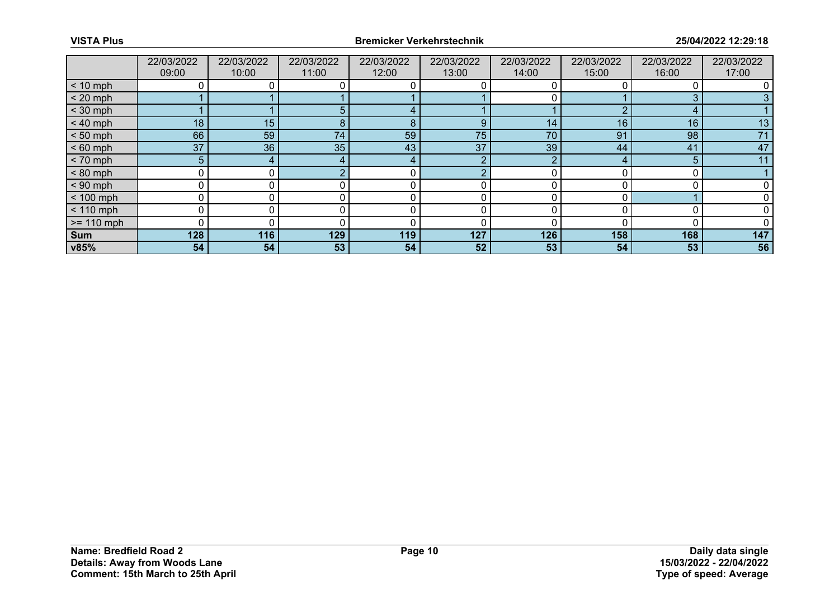|              | 22/03/2022<br>09:00 | 22/03/2022<br>10:00 | 22/03/2022<br>11:00 | 22/03/2022<br>12:00 | 22/03/2022<br>13:00 | 22/03/2022<br>14:00 | 22/03/2022<br>15:00 | 22/03/2022<br>16:00 | 22/03/2022<br>17:00 |
|--------------|---------------------|---------------------|---------------------|---------------------|---------------------|---------------------|---------------------|---------------------|---------------------|
| $< 10$ mph   | 0                   |                     |                     |                     |                     |                     |                     |                     |                     |
| $< 20$ mph   |                     |                     |                     |                     |                     |                     |                     |                     |                     |
| $<$ 30 mph   |                     |                     | 57                  |                     |                     |                     |                     | 4                   |                     |
| $< 40$ mph   | 18                  | 15                  | 8                   | 8                   | 9                   | 14                  | 16                  | 16                  | 13                  |
| $< 50$ mph   | 66                  | 59                  | 74                  | 59                  | 75                  | 70                  | 91                  | 98                  | 71                  |
| $< 60$ mph   | 37                  | 36                  | 35 <sub>1</sub>     | 43                  | 37                  | 39                  | 44                  | 41                  | 47                  |
| $< 70$ mph   | 5 <sup>5</sup>      | 4                   | 4                   | 4                   | າ                   | ົ                   |                     | 5                   | 11                  |
| $< 80$ mph   | 0                   |                     |                     |                     |                     |                     |                     |                     |                     |
| $< 90$ mph   | 0                   |                     |                     |                     |                     |                     |                     |                     |                     |
| $< 100$ mph  | 0                   | 0                   |                     | 0                   | 0                   |                     |                     |                     |                     |
| $< 110$ mph  | 0                   |                     |                     |                     |                     |                     |                     |                     |                     |
| $>= 110$ mph | 0                   |                     |                     | C                   |                     |                     |                     |                     |                     |
| Sum          | 128                 | 116                 | 129                 | 119                 | 127                 | 126                 | 158                 | 168                 | 147                 |
| v85%         | 54                  | 54                  | 53                  | 54                  | 52                  | 53                  | 54                  | 53                  | 56                  |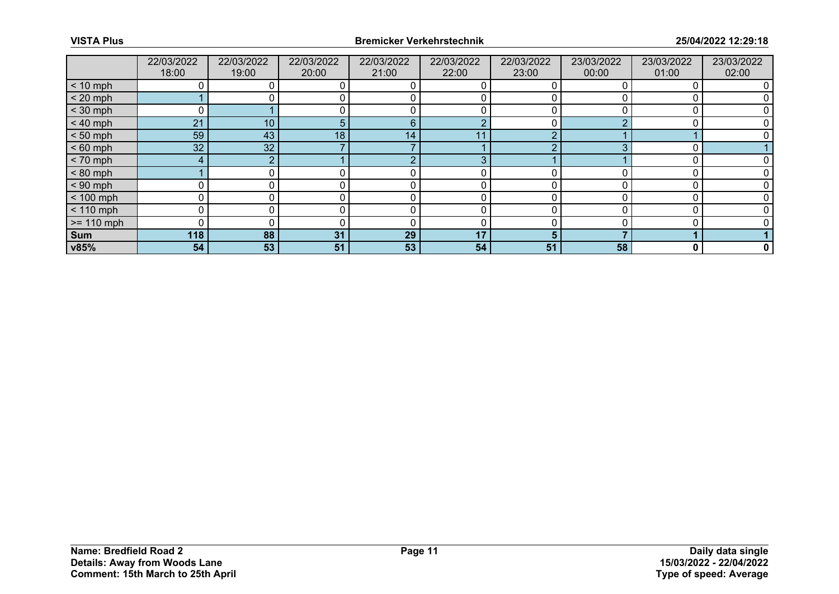|              | 22/03/2022<br>18:00 | 22/03/2022<br>19:00 | 22/03/2022<br>20:00 | 22/03/2022<br>21:00 | 22/03/2022<br>22:00 | 22/03/2022<br>23:00 | 23/03/2022<br>00:00 | 23/03/2022<br>01:00 | 23/03/2022<br>02:00 |
|--------------|---------------------|---------------------|---------------------|---------------------|---------------------|---------------------|---------------------|---------------------|---------------------|
| $< 10$ mph   | 0                   |                     |                     |                     | O                   |                     |                     |                     |                     |
| $< 20$ mph   |                     |                     |                     |                     |                     |                     |                     |                     |                     |
| $<$ 30 mph   |                     |                     |                     |                     |                     |                     |                     |                     |                     |
| $< 40$ mph   | 21                  | 10 <sup>°</sup>     | 5.                  | 6                   | ŋ                   |                     |                     |                     |                     |
| $< 50$ mph   | 59                  | 43                  | 18                  | 14                  | -11                 |                     |                     |                     |                     |
| $< 60$ mph   | 32 <sup>°</sup>     | 32                  |                     |                     |                     |                     | $\sqrt{2}$          |                     |                     |
| $< 70$ mph   | 4                   | ົ                   |                     | റ                   | 3                   |                     |                     |                     |                     |
| $< 80$ mph   |                     |                     |                     |                     |                     |                     |                     |                     |                     |
| $< 90$ mph   | 0                   |                     |                     |                     |                     |                     |                     |                     |                     |
| $< 100$ mph  | 0                   | 0                   |                     | r                   | 0                   |                     |                     |                     |                     |
| $< 110$ mph  | 0                   |                     |                     |                     |                     |                     |                     |                     |                     |
| $>= 110$ mph | 0                   |                     |                     | ╭                   |                     |                     |                     |                     |                     |
| Sum          | 118                 | 88                  | 31                  | 29                  | 17                  | 5                   |                     |                     |                     |
| v85%         | 54                  | 53                  | 51                  | 53                  | 54                  | 51                  | 58                  | 0                   | 0                   |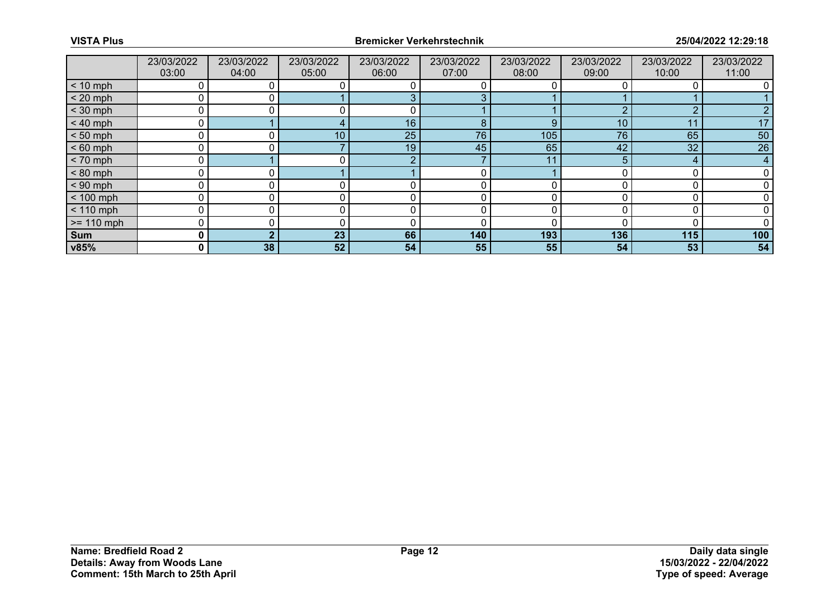|              | 23/03/2022<br>03:00 | 23/03/2022<br>04:00 | 23/03/2022<br>05:00 | 23/03/2022<br>06:00 | 23/03/2022<br>07:00 | 23/03/2022<br>08:00 | 23/03/2022<br>09:00 | 23/03/2022<br>10:00 | 23/03/2022<br>11:00 |
|--------------|---------------------|---------------------|---------------------|---------------------|---------------------|---------------------|---------------------|---------------------|---------------------|
| $< 10$ mph   | 0                   |                     |                     |                     |                     |                     |                     |                     |                     |
| $< 20$ mph   | 0                   |                     |                     |                     |                     |                     |                     |                     |                     |
| $<$ 30 mph   | Ω                   |                     |                     |                     |                     |                     | ◠                   | ◠                   |                     |
| $< 40$ mph   | 0                   |                     |                     | 16                  | 8                   | 9                   | 10                  | 11                  | 17                  |
| $< 50$ mph   | 0                   |                     | 10 <sub>1</sub>     | 25                  | 76                  | 105                 | 76                  | 65                  | 50                  |
| $< 60$ mph   | 0                   |                     |                     | 19                  | 45                  | 65                  | 42                  | 32                  | 26                  |
| $< 70$ mph   | $\overline{0}$      |                     |                     | റ                   |                     | 11                  | 5                   | 4                   | $\overline{4}$      |
| $< 80$ mph   | 0                   |                     |                     |                     |                     |                     |                     |                     |                     |
| $< 90$ mph   | 0                   |                     |                     |                     | 0                   |                     |                     |                     |                     |
| $< 100$ mph  | $\Omega$            | $\Omega$            |                     |                     | 0                   |                     |                     |                     |                     |
| $< 110$ mph  | 0                   |                     |                     |                     |                     |                     |                     |                     |                     |
| $>= 110$ mph | 0                   |                     |                     | r                   | 0                   |                     |                     |                     |                     |
| Sum          | 0                   |                     | 23                  | 66                  | 140                 | 193                 | 136                 | 115                 | 100                 |
| v85%         | 0                   | 38                  | 52                  | 54                  | 55                  | 55                  | 54                  | 53                  | 54                  |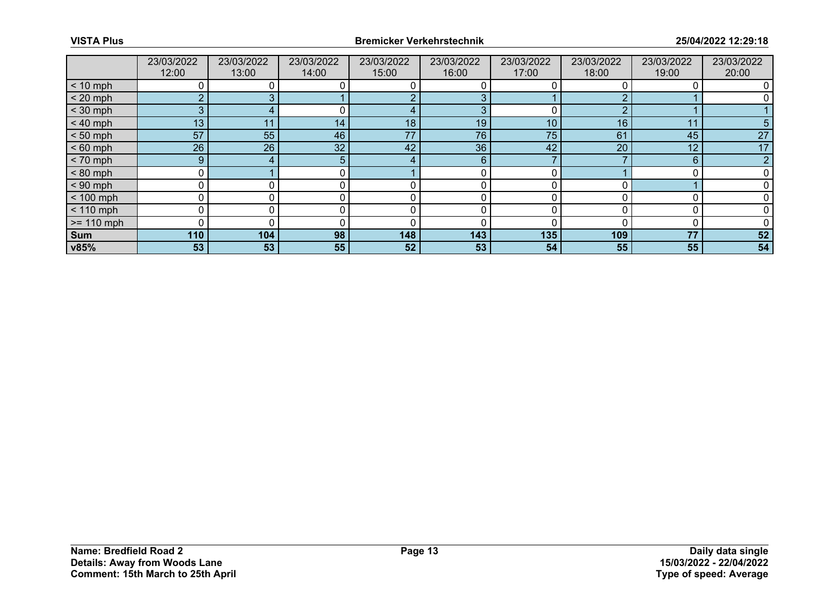|              | 23/03/2022<br>12:00 | 23/03/2022<br>13:00 | 23/03/2022<br>14:00 | 23/03/2022<br>15:00 | 23/03/2022<br>16:00 | 23/03/2022<br>17:00 | 23/03/2022<br>18:00 | 23/03/2022<br>19:00 | 23/03/2022<br>20:00 |
|--------------|---------------------|---------------------|---------------------|---------------------|---------------------|---------------------|---------------------|---------------------|---------------------|
| $< 10$ mph   | 0                   |                     |                     |                     |                     |                     |                     |                     |                     |
| $< 20$ mph   | <sub>O</sub>        |                     |                     |                     |                     |                     |                     |                     |                     |
| $<$ 30 mph   | 3                   |                     |                     |                     | 3                   |                     | ◠                   |                     |                     |
| $< 40$ mph   | 13                  | 11                  | 14 <sub>1</sub>     | 18                  | 19                  | 10                  | 16                  | 11                  | 5                   |
| $< 50$ mph   | 57                  | 55                  | 46                  | 77                  | 76                  | 75                  | 61                  | 45                  | 27                  |
| $< 60$ mph   | 26                  | 26                  | 32                  | 42                  | 36 <sup>°</sup>     | 42                  | 20                  | 12                  | 17                  |
| $< 70$ mph   | 9                   | 4                   | 5.                  | $\overline{a}$      | 6                   |                     |                     | 6                   | $\overline{2}$      |
| $< 80$ mph   | 0                   |                     |                     |                     |                     |                     |                     |                     |                     |
| $< 90$ mph   | 0                   |                     |                     |                     |                     |                     |                     |                     |                     |
| $< 100$ mph  | 0                   |                     |                     |                     |                     |                     |                     |                     |                     |
| $< 110$ mph  | 0                   |                     |                     |                     |                     |                     |                     |                     |                     |
| $>= 110$ mph | 0                   |                     |                     | C                   |                     |                     |                     |                     |                     |
| Sum          | 110                 | 104                 | 98                  | 148                 | 143                 | 135                 | 109                 | 77                  | 52                  |
| v85%         | 53                  | 53 <sub>1</sub>     | 55                  | 52                  | 53                  | 54                  | 55                  | 55                  | 54                  |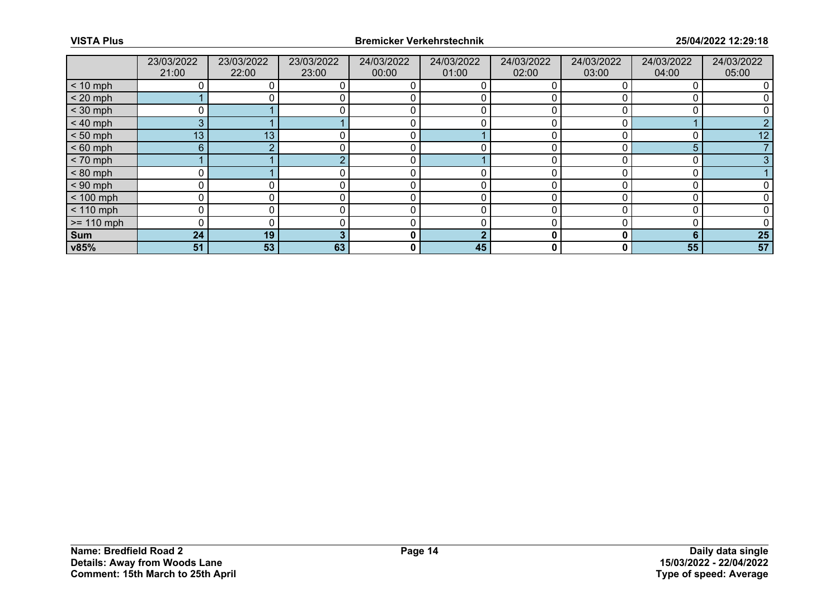|              | 23/03/2022<br>21:00 | 23/03/2022<br>22:00 | 23/03/2022<br>23:00 | 24/03/2022<br>00:00 | 24/03/2022<br>01:00 | 24/03/2022<br>02:00 | 24/03/2022<br>03:00 | 24/03/2022<br>04:00 | 24/03/2022<br>05:00 |
|--------------|---------------------|---------------------|---------------------|---------------------|---------------------|---------------------|---------------------|---------------------|---------------------|
| $< 10$ mph   |                     |                     |                     |                     |                     |                     |                     |                     |                     |
| $< 20$ mph   |                     |                     |                     |                     |                     |                     |                     |                     |                     |
| $<$ 30 mph   |                     |                     |                     |                     |                     |                     |                     |                     |                     |
| $< 40$ mph   | 3                   |                     |                     | $\Omega$            |                     |                     |                     |                     |                     |
| $< 50$ mph   | 13 <sub>1</sub>     | 13                  |                     | C                   |                     |                     |                     |                     | 12                  |
| $< 60$ mph   | 6                   |                     |                     |                     |                     |                     |                     |                     |                     |
| $< 70$ mph   |                     |                     |                     | 0                   |                     |                     |                     | c                   |                     |
| $< 80$ mph   |                     |                     |                     |                     |                     |                     |                     |                     |                     |
| $< 90$ mph   |                     |                     |                     |                     |                     |                     |                     |                     |                     |
| $< 100$ mph  | 0                   |                     |                     | 0                   | 0                   | 0                   |                     |                     |                     |
| $< 110$ mph  |                     |                     |                     |                     |                     |                     |                     |                     |                     |
| $>= 110$ mph |                     |                     |                     |                     |                     |                     |                     |                     |                     |
| Sum          | 24                  | 19                  |                     | 0                   | ◠                   | 0                   | 0                   | 6                   | 25                  |
| v85%         | 51                  | 53                  | 63                  | 0                   | 45                  | 0                   | 0                   | 55                  | 57                  |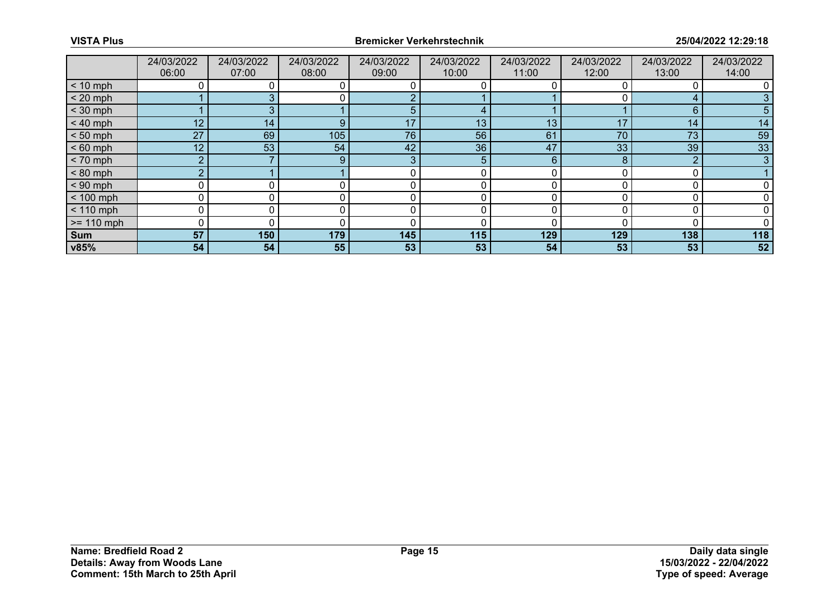|              | 24/03/2022<br>06:00 | 24/03/2022<br>07:00 | 24/03/2022<br>08:00 | 24/03/2022<br>09:00 | 24/03/2022<br>10:00 | 24/03/2022<br>11:00 | 24/03/2022<br>12:00 | 24/03/2022<br>13:00 | 24/03/2022<br>14:00 |
|--------------|---------------------|---------------------|---------------------|---------------------|---------------------|---------------------|---------------------|---------------------|---------------------|
| $< 10$ mph   |                     |                     |                     |                     |                     |                     |                     |                     |                     |
| $< 20$ mph   |                     |                     |                     |                     |                     |                     |                     | ◢                   |                     |
| $<$ 30 mph   |                     |                     |                     |                     |                     |                     |                     | 6                   |                     |
| $< 40$ mph   | 12                  | 14                  | 9                   | 17                  | 13                  | 13                  | 17                  | 14                  | 14                  |
| $< 50$ mph   | 27                  | 69                  | 105                 | 76                  | 56                  | 61                  | 70                  | 73                  | 59                  |
| $< 60$ mph   | 12 <sup>1</sup>     | 53                  | 54                  | 42                  | 36                  | 47                  | 33                  | 39                  | 33                  |
| $< 70$ mph   | $\overline{2}$      |                     | 9                   | 3                   | $\overline{5}$      | 6                   | 8                   | ∩                   | 3                   |
| $< 80$ mph   | $\overline{2}$      |                     |                     |                     | 0                   |                     |                     |                     |                     |
| $< 90$ mph   |                     |                     |                     |                     |                     |                     |                     |                     |                     |
| $< 100$ mph  | 0                   | 0                   |                     |                     | 0                   | O                   |                     |                     |                     |
| $< 110$ mph  | 0                   |                     |                     |                     |                     |                     |                     |                     |                     |
| $>= 110$ mph | 0                   |                     |                     |                     |                     |                     |                     |                     |                     |
| Sum          | 57                  | 150                 | 179                 | 145                 | 115                 | 129                 | 129                 | 138                 | 118                 |
| v85%         | 54                  | 54                  | 55                  | 53                  | 53                  | 54                  | 53                  | 53                  | 52                  |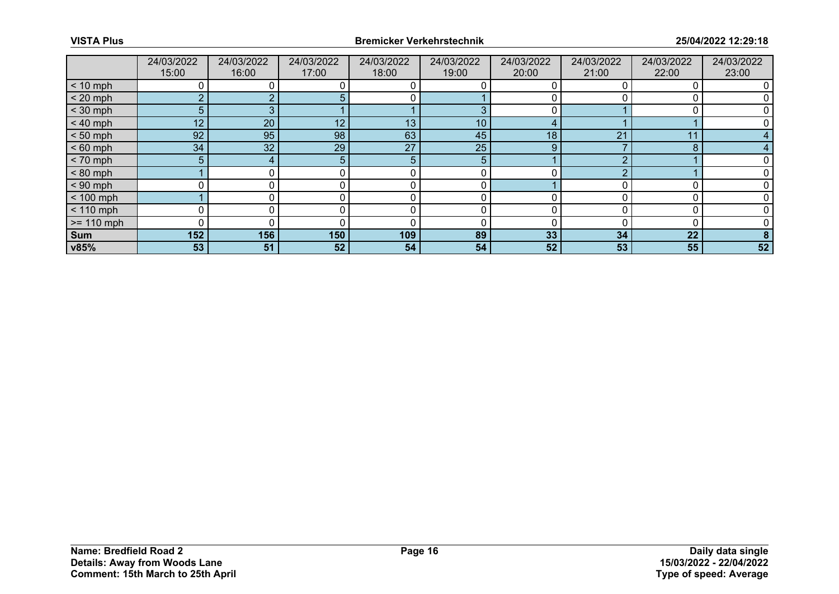|              | 24/03/2022<br>15:00 | 24/03/2022<br>16:00 | 24/03/2022<br>17:00 | 24/03/2022<br>18:00 | 24/03/2022<br>19:00 | 24/03/2022<br>20:00 | 24/03/2022<br>21:00 | 24/03/2022<br>22:00 | 24/03/2022<br>23:00 |
|--------------|---------------------|---------------------|---------------------|---------------------|---------------------|---------------------|---------------------|---------------------|---------------------|
| $< 10$ mph   |                     |                     |                     |                     |                     |                     |                     | 0                   |                     |
| $< 20$ mph   | <sub>O</sub>        |                     |                     |                     |                     |                     |                     |                     |                     |
| $<$ 30 mph   | 5                   |                     |                     |                     | З                   | 0                   |                     |                     |                     |
| $< 40$ mph   | 12                  | 20                  | 12                  | 13                  | 10 <sup>°</sup>     | 4                   |                     |                     |                     |
| $< 50$ mph   | 92                  | 95                  | 98                  | 63                  | 45                  | 18                  | 21                  | 11                  |                     |
| $< 60$ mph   | 34                  | 32                  | 29                  | 27                  | 25                  | 9                   |                     | 8                   |                     |
| $< 70$ mph   | 5                   | 4                   | 5.                  | 5                   | 5                   |                     |                     |                     |                     |
| $< 80$ mph   |                     |                     |                     |                     | 0                   | 0                   |                     |                     |                     |
| $< 90$ mph   |                     |                     |                     |                     |                     |                     |                     |                     |                     |
| $< 100$ mph  |                     | 0                   | 0                   | 0                   | 0                   | $\Omega$            |                     | $\Omega$            |                     |
| $< 110$ mph  | 0                   |                     |                     |                     |                     | n                   |                     |                     |                     |
| $>= 110$ mph | $\Omega$            |                     |                     |                     |                     |                     |                     | $\Omega$            |                     |
| Sum          | 152                 | 156                 | 150                 | 109                 | 89                  | 33                  | 34                  | 22                  |                     |
| v85%         | 53                  | 51                  | 52                  | 54                  | 54                  | 52                  | 53                  | 55                  | 52                  |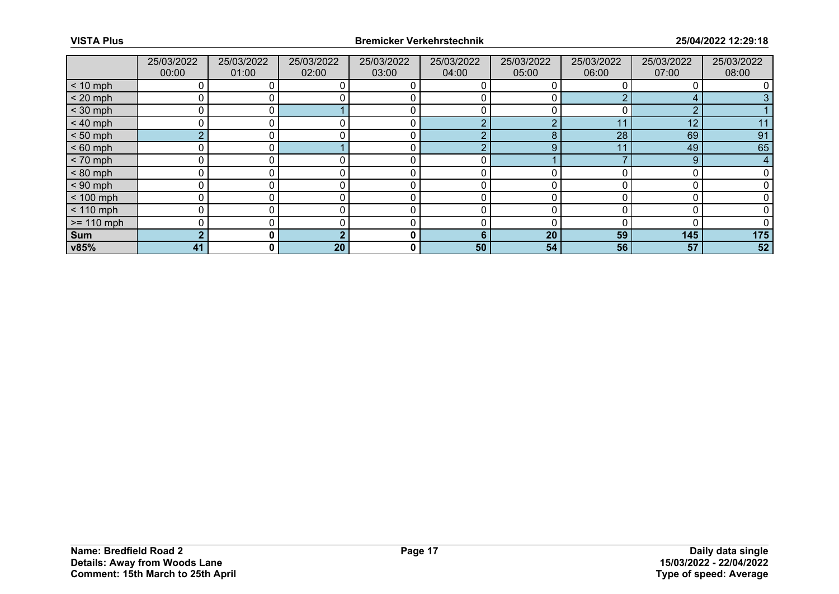|              | 25/03/2022<br>00:00 | 25/03/2022<br>01:00 | 25/03/2022<br>02:00 | 25/03/2022<br>03:00 | 25/03/2022<br>04:00 | 25/03/2022<br>05:00 | 25/03/2022<br>06:00 | 25/03/2022<br>07:00 | 25/03/2022<br>08:00 |
|--------------|---------------------|---------------------|---------------------|---------------------|---------------------|---------------------|---------------------|---------------------|---------------------|
| $< 10$ mph   | 0                   |                     | 0                   |                     |                     |                     |                     |                     |                     |
| $< 20$ mph   | 0                   |                     |                     |                     |                     |                     |                     |                     |                     |
| $<$ 30 mph   | 0                   |                     |                     |                     |                     |                     |                     | $\Omega$            |                     |
| $< 40$ mph   | 0                   | 0                   | 0                   | 0                   | റ                   | $\Omega$            | 11                  | 12                  | 11                  |
| $< 50$ mph   | $\overline{2}$      |                     |                     |                     | c                   | 8                   | 28                  | 69                  | 91                  |
| $< 60$ mph   | O                   | $\Omega$            |                     |                     | ◠                   | 9                   | 11                  | 49                  | 65                  |
| $< 70$ mph   | 0                   | 0                   | $\Omega$            | 0                   | 0                   |                     |                     | 9                   | 4                   |
| $< 80$ mph   | 0                   |                     |                     | 0                   | 0                   |                     |                     |                     |                     |
| $< 90$ mph   | 0                   |                     |                     | C                   | Ω                   |                     |                     |                     |                     |
| $< 100$ mph  | 0                   | 0                   |                     | 0                   | 0                   |                     |                     |                     |                     |
| $< 110$ mph  | 0                   |                     |                     | ſ                   |                     | ∩                   |                     |                     |                     |
| $>= 110$ mph | 0                   |                     |                     |                     | Ω                   |                     |                     |                     |                     |
| Sum          | C                   | $\mathbf{0}$        |                     | 0                   | 6                   | 20                  | 59                  | 145                 | 175                 |
| v85%         | 41                  | 0 I                 | 20                  | 0                   | 50                  | 54                  | 56                  | 57                  | 52                  |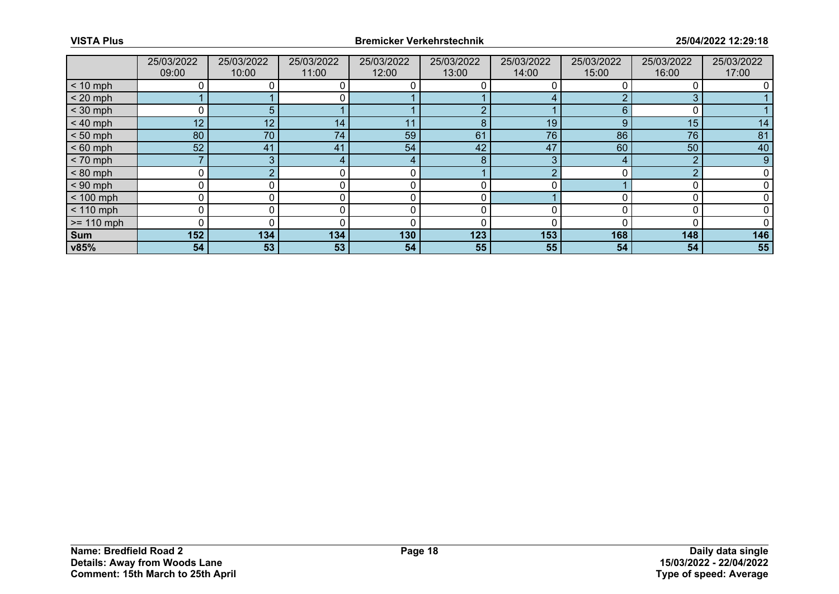|              | 25/03/2022<br>09:00 | 25/03/2022<br>10:00 | 25/03/2022<br>11:00 | 25/03/2022<br>12:00 | 25/03/2022<br>13:00 | 25/03/2022<br>14:00 | 25/03/2022<br>15:00 | 25/03/2022<br>16:00 | 25/03/2022<br>17:00 |
|--------------|---------------------|---------------------|---------------------|---------------------|---------------------|---------------------|---------------------|---------------------|---------------------|
| $< 10$ mph   | 0                   |                     |                     |                     |                     |                     |                     |                     |                     |
| $< 20$ mph   |                     |                     |                     |                     |                     |                     |                     |                     |                     |
| $<$ 30 mph   | 0                   | 5                   |                     |                     | $\sqrt{2}$          |                     | 6                   |                     |                     |
| $< 40$ mph   | 12                  | 12                  | 14 <sub>1</sub>     | 11                  | 8                   | 19                  | 9                   | 15                  | 14                  |
| $< 50$ mph   | 80                  | 70                  | 74                  | 59                  | 61                  | 76                  | 86                  | 76                  | 81                  |
| $< 60$ mph   | 52                  | 41                  | 41                  | 54                  | 42                  | 47                  | 60                  | 50                  | 40                  |
| $< 70$ mph   |                     | 3                   | 4                   | 4                   | 8                   | 3                   |                     | റ                   | 9                   |
| $< 80$ mph   | 0                   |                     |                     |                     |                     |                     |                     | ŋ                   |                     |
| $< 90$ mph   | 0                   |                     |                     |                     |                     |                     |                     |                     |                     |
| $< 100$ mph  | 0                   | 0                   |                     | 0                   | 0                   |                     |                     |                     |                     |
| $< 110$ mph  | 0                   |                     |                     |                     | 0                   |                     |                     |                     |                     |
| $>= 110$ mph | 0                   |                     |                     | ſ                   |                     |                     |                     |                     |                     |
| Sum          | 152                 | 134                 | 134                 | 130                 | 123                 | 153                 | 168                 | 148                 | 146                 |
| v85%         | 54                  | 53                  | 53                  | 54                  | 55                  | 55                  | 54                  | 54                  | 55                  |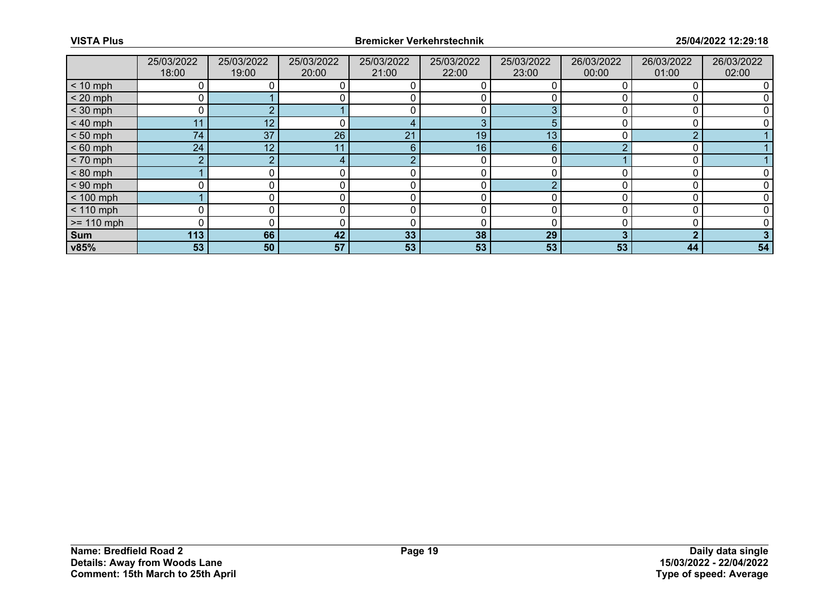|              | 25/03/2022<br>18:00 | 25/03/2022<br>19:00 | 25/03/2022<br>20:00 | 25/03/2022<br>21:00 | 25/03/2022<br>22:00 | 25/03/2022<br>23:00 | 26/03/2022<br>00:00 | 26/03/2022<br>01:00 | 26/03/2022<br>02:00 |
|--------------|---------------------|---------------------|---------------------|---------------------|---------------------|---------------------|---------------------|---------------------|---------------------|
| $< 10$ mph   | 0                   |                     |                     |                     |                     |                     |                     |                     |                     |
| $< 20$ mph   |                     |                     |                     |                     |                     |                     |                     |                     |                     |
| $<$ 30 mph   | 0                   |                     |                     |                     |                     | ◠                   |                     |                     |                     |
| $< 40$ mph   | 11                  | 12                  | 0                   |                     | 3                   | 5                   |                     |                     |                     |
| $< 50$ mph   | 74                  | 37                  | 26                  | 21                  | 19                  | 13                  |                     | ◠                   |                     |
| $< 60$ mph   | 24                  | 12                  |                     | 6                   | 16                  | 6                   |                     |                     |                     |
| $< 70$ mph   | $\overline{2}$      | ∩                   | 4                   | c                   | 0                   | 0                   |                     | $\sqrt{2}$          |                     |
| $< 80$ mph   |                     |                     |                     |                     |                     |                     |                     |                     |                     |
| $< 90$ mph   |                     |                     |                     |                     |                     | $\sqrt{ }$          |                     |                     |                     |
| $< 100$ mph  |                     | 0                   |                     | 0                   | 0                   |                     |                     |                     |                     |
| $< 110$ mph  | 0                   |                     |                     |                     |                     |                     |                     |                     |                     |
| $>= 110$ mph | $\Omega$            |                     |                     | ſ                   |                     |                     |                     |                     |                     |
| Sum          | 113                 | 66                  | 42                  | 33                  | 38                  | 29                  |                     | ◠                   |                     |
| v85%         | 53                  | 50                  | 57                  | 53                  | 53                  | 53                  | 53                  | 44                  | 54                  |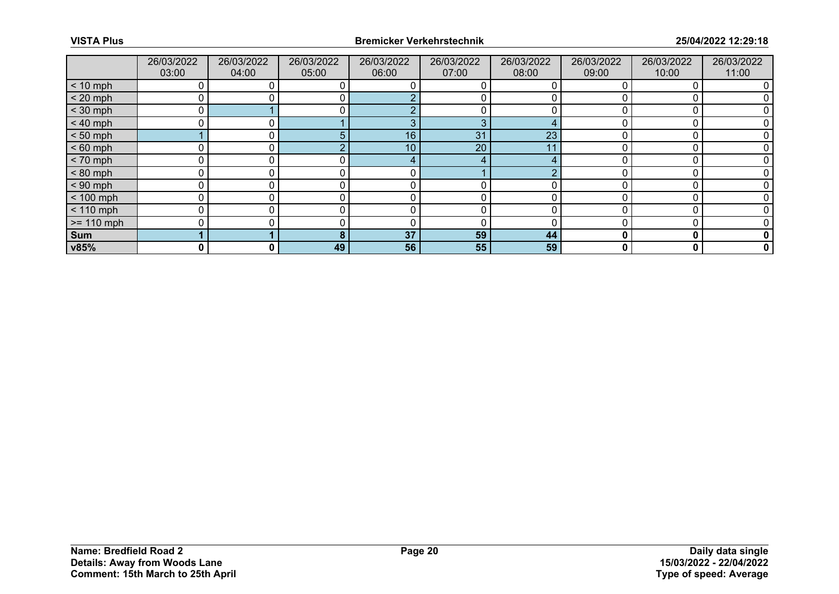|              | 26/03/2022<br>03:00 | 26/03/2022<br>04:00 | 26/03/2022<br>05:00 | 26/03/2022<br>06:00 | 26/03/2022<br>07:00 | 26/03/2022<br>08:00 | 26/03/2022<br>09:00 | 26/03/2022<br>10:00 | 26/03/2022<br>11:00 |
|--------------|---------------------|---------------------|---------------------|---------------------|---------------------|---------------------|---------------------|---------------------|---------------------|
| $< 10$ mph   |                     |                     |                     |                     |                     |                     |                     |                     |                     |
| $< 20$ mph   |                     |                     |                     |                     |                     |                     |                     |                     |                     |
| $<$ 30 mph   |                     |                     |                     |                     |                     |                     |                     |                     |                     |
| $< 40$ mph   |                     |                     |                     |                     | 3                   |                     |                     |                     |                     |
| $< 50$ mph   |                     |                     | 5                   | 16                  | 31                  | 23                  |                     |                     |                     |
| $< 60$ mph   |                     |                     |                     | 10                  | 20                  | 11                  |                     |                     |                     |
| $< 70$ mph   | C                   |                     |                     |                     |                     |                     |                     |                     |                     |
| $< 80$ mph   | ٢                   |                     |                     | $\mathbf{0}$ .      |                     | $\sqrt{2}$          |                     |                     |                     |
| $< 90$ mph   |                     |                     |                     |                     |                     |                     |                     |                     |                     |
| $< 100$ mph  | C                   |                     |                     |                     | 0                   |                     |                     |                     |                     |
| $< 110$ mph  | ٢                   |                     |                     | $\mathbf{0}$        | 0                   |                     |                     |                     |                     |
| $>= 110$ mph |                     |                     |                     |                     | C                   |                     |                     |                     |                     |
| <b>Sum</b>   |                     |                     | 8                   | 37                  | 59                  | 44                  |                     | O                   | 0                   |
| v85%         | 0                   | $\mathbf{0}$        | 49                  | 56                  | 55                  | 59                  | 0                   | 0                   | $\mathbf 0$         |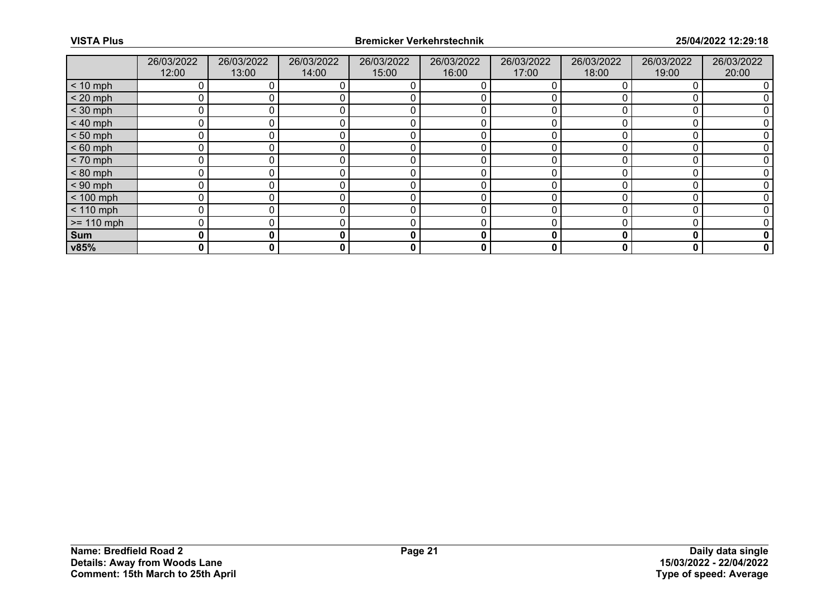|              | 26/03/2022<br>12:00 | 26/03/2022<br>13:00 | 26/03/2022<br>14:00 | 26/03/2022<br>15:00 | 26/03/2022<br>16:00 | 26/03/2022<br>17:00 | 26/03/2022<br>18:00 | 26/03/2022<br>19:00 | 26/03/2022<br>20:00 |
|--------------|---------------------|---------------------|---------------------|---------------------|---------------------|---------------------|---------------------|---------------------|---------------------|
| $< 10$ mph   |                     |                     |                     |                     |                     |                     |                     |                     |                     |
| $< 20$ mph   | 0                   |                     |                     |                     |                     |                     |                     |                     |                     |
| $<$ 30 mph   | 0                   |                     |                     |                     |                     |                     |                     |                     |                     |
| $< 40$ mph   | 0                   |                     |                     |                     |                     |                     |                     |                     |                     |
| $< 50$ mph   | 0                   |                     |                     |                     |                     |                     |                     |                     |                     |
| $< 60$ mph   | 0                   |                     |                     |                     |                     |                     |                     |                     |                     |
| $< 70$ mph   | 0                   |                     |                     |                     |                     |                     |                     |                     |                     |
| $< 80$ mph   | 0                   |                     |                     | ſ                   |                     |                     |                     |                     |                     |
| $< 90$ mph   | 0                   |                     |                     |                     |                     |                     |                     |                     |                     |
| $< 100$ mph  | 0                   |                     |                     | 0                   |                     |                     |                     |                     |                     |
| $< 110$ mph  | 0                   |                     |                     | 0                   |                     |                     |                     |                     |                     |
| $>= 110$ mph | 0                   |                     |                     |                     |                     |                     |                     |                     |                     |
| Sum          | 0                   | 0                   | 0                   | 0                   | 0                   | 0                   |                     | 0                   |                     |
| v85%         | 0                   | 0                   | 0                   | 0                   | 0                   | 0                   | 0                   | 0                   | 0                   |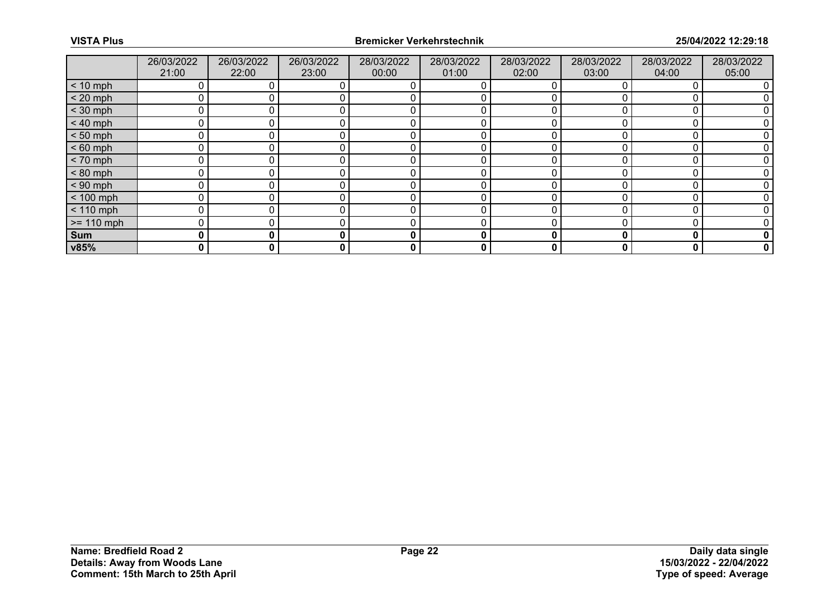|              | 26/03/2022<br>21:00 | 26/03/2022<br>22:00 | 26/03/2022<br>23:00 | 28/03/2022<br>00:00 | 28/03/2022<br>01:00 | 28/03/2022<br>02:00 | 28/03/2022<br>03:00 | 28/03/2022<br>04:00 | 28/03/2022<br>05:00 |
|--------------|---------------------|---------------------|---------------------|---------------------|---------------------|---------------------|---------------------|---------------------|---------------------|
| $< 10$ mph   |                     |                     |                     |                     |                     |                     |                     |                     |                     |
| $< 20$ mph   | 0                   |                     |                     |                     |                     |                     |                     |                     |                     |
| $<$ 30 mph   |                     |                     |                     |                     |                     |                     |                     |                     |                     |
| $< 40$ mph   | 0                   |                     |                     |                     |                     |                     |                     |                     |                     |
| $< 50$ mph   | 0                   |                     |                     |                     |                     |                     |                     |                     |                     |
| $< 60$ mph   | 0                   |                     |                     |                     |                     |                     |                     |                     |                     |
| $< 70$ mph   | 0                   |                     |                     |                     |                     |                     |                     |                     |                     |
| $< 80$ mph   | 0                   |                     |                     |                     |                     |                     |                     |                     |                     |
| $< 90$ mph   | 0                   |                     |                     |                     |                     |                     |                     |                     |                     |
| $< 100$ mph  | 0                   |                     |                     |                     | 0                   |                     |                     |                     |                     |
| $< 110$ mph  | 0                   |                     |                     |                     |                     |                     |                     |                     |                     |
| $>= 110$ mph | 0                   |                     |                     |                     |                     |                     |                     |                     |                     |
| Sum          | 0                   | 0                   |                     | 0                   | 0                   | 0                   |                     | O                   | 0                   |
| v85%         | 0                   | 0                   | 0                   | 0                   | 0                   | 0                   | 0                   | 0                   | 0                   |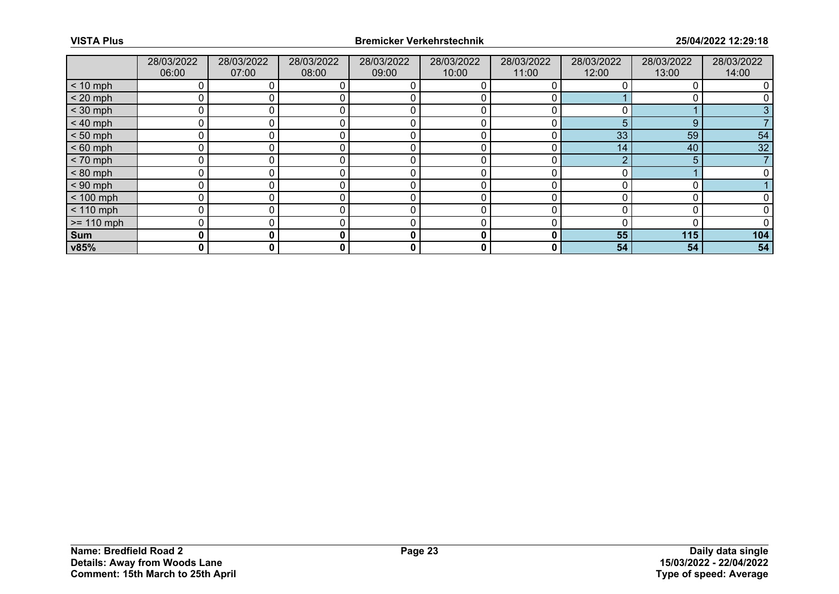|              | 28/03/2022<br>06:00 | 28/03/2022<br>07:00 | 28/03/2022<br>08:00 | 28/03/2022<br>09:00 | 28/03/2022<br>10:00 | 28/03/2022<br>11:00 | 28/03/2022<br>12:00 | 28/03/2022<br>13:00 | 28/03/2022<br>14:00 |
|--------------|---------------------|---------------------|---------------------|---------------------|---------------------|---------------------|---------------------|---------------------|---------------------|
| $< 10$ mph   |                     |                     |                     |                     |                     |                     |                     |                     |                     |
| $< 20$ mph   | 0                   |                     |                     |                     |                     |                     |                     |                     |                     |
| $<$ 30 mph   | 0                   |                     |                     |                     |                     |                     |                     |                     |                     |
| $< 40$ mph   | 0                   |                     |                     |                     |                     |                     | 5                   | 9                   |                     |
| $< 50$ mph   | 0                   |                     |                     |                     |                     |                     | 33                  | 59                  | 54                  |
| $< 60$ mph   | 0                   |                     |                     |                     |                     |                     | 14                  | 40                  | 32                  |
| $< 70$ mph   | 0                   |                     |                     |                     |                     |                     |                     | 5                   |                     |
| $< 80$ mph   | 0                   |                     |                     | ſ                   |                     |                     |                     |                     |                     |
| $< 90$ mph   | 0                   |                     |                     |                     |                     |                     |                     |                     |                     |
| $< 100$ mph  | 0                   |                     |                     | 0                   | 0                   |                     |                     |                     |                     |
| $< 110$ mph  | 0                   |                     |                     | 0                   |                     |                     |                     |                     |                     |
| $>= 110$ mph | 0                   |                     |                     |                     |                     |                     |                     |                     |                     |
| Sum          | 0                   | 0                   | 0                   | 0                   | 0                   | 0                   | 55                  | 115                 | 104                 |
| v85%         | 0                   | 0                   | 0                   | 0                   | 0                   | 0                   | 54                  | 54                  | 54                  |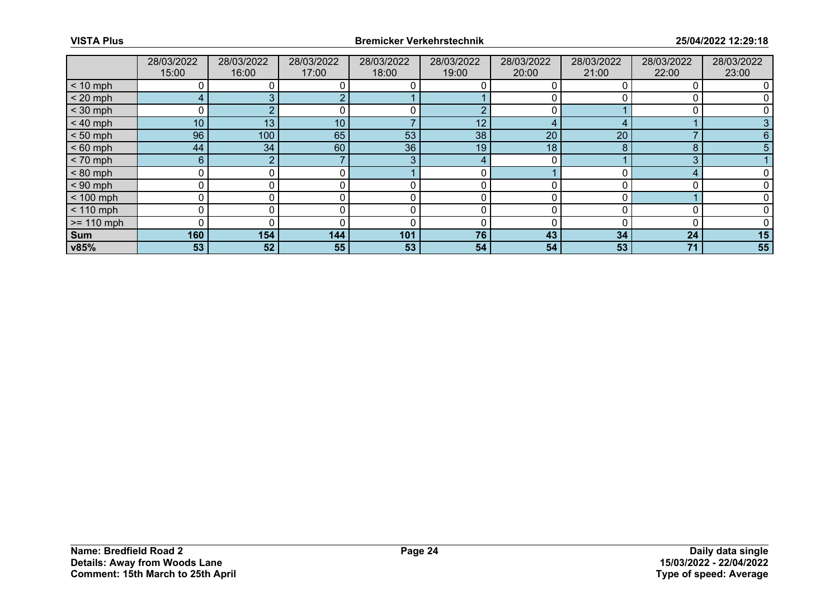|              | 28/03/2022<br>15:00 | 28/03/2022<br>16:00 | 28/03/2022<br>17:00 | 28/03/2022<br>18:00 | 28/03/2022<br>19:00 | 28/03/2022<br>20:00 | 28/03/2022<br>21:00 | 28/03/2022<br>22:00 | 28/03/2022<br>23:00 |
|--------------|---------------------|---------------------|---------------------|---------------------|---------------------|---------------------|---------------------|---------------------|---------------------|
| $< 10$ mph   |                     |                     |                     |                     |                     |                     |                     |                     |                     |
| $< 20$ mph   | $\overline{4}$      |                     |                     |                     |                     |                     |                     |                     |                     |
| $<$ 30 mph   | 0                   |                     |                     |                     |                     |                     |                     |                     |                     |
| $< 40$ mph   | 10 <sup>°</sup>     | 13                  | 10 <sup>°</sup>     |                     | 12                  |                     |                     |                     |                     |
| $< 50$ mph   | 96                  | 100                 | 65                  | 53                  | 38                  | 20                  | 20                  |                     | 6                   |
| $< 60$ mph   | 44                  | 34                  | 60                  | 36                  | 19                  | 18                  | 8                   | 8                   |                     |
| $< 70$ mph   | $6^{\circ}$         | 2                   |                     | З                   |                     |                     |                     | 3                   |                     |
| $< 80$ mph   | 0                   |                     | 0                   |                     |                     |                     |                     |                     |                     |
| $< 90$ mph   | 0                   |                     |                     |                     |                     |                     |                     |                     |                     |
| $< 100$ mph  | 0                   | 0                   |                     | 0                   | 0                   |                     |                     |                     |                     |
| $< 110$ mph  | 0                   | 0                   |                     | 0                   | 0                   |                     |                     |                     |                     |
| $>= 110$ mph | 0                   |                     |                     |                     |                     |                     |                     |                     |                     |
| Sum          | 160                 | 154                 | 144                 | 101                 | 76                  | 43                  | 34                  | 24                  | 15                  |
| v85%         | 53                  | 52                  | 55                  | 53                  | 54                  | 54                  | 53                  | 71                  | 55                  |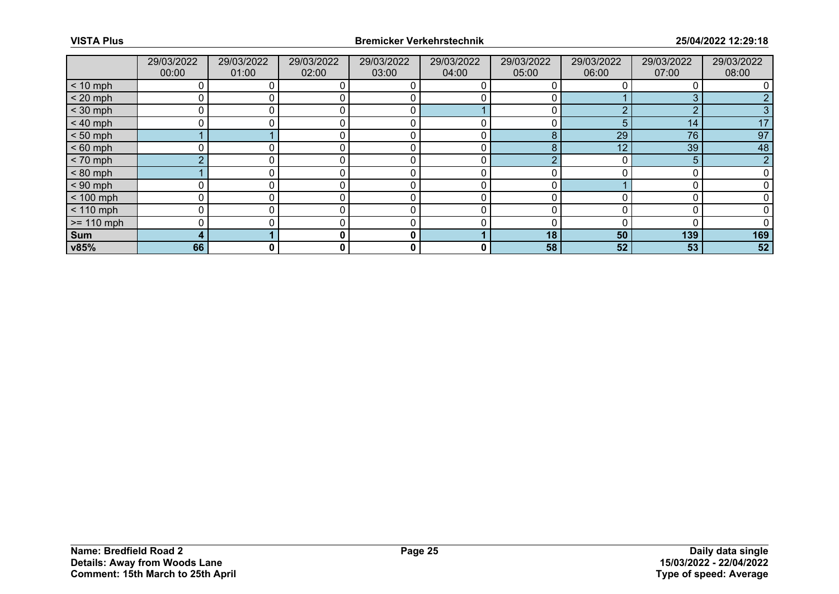|              | 29/03/2022<br>00:00 | 29/03/2022<br>01:00 | 29/03/2022<br>02:00 | 29/03/2022<br>03:00 | 29/03/2022<br>04:00 | 29/03/2022<br>05:00 | 29/03/2022<br>06:00 | 29/03/2022<br>07:00 | 29/03/2022<br>08:00 |
|--------------|---------------------|---------------------|---------------------|---------------------|---------------------|---------------------|---------------------|---------------------|---------------------|
| $< 10$ mph   | 0                   |                     |                     |                     | 0                   |                     |                     |                     |                     |
| $< 20$ mph   | 0                   |                     |                     |                     |                     |                     |                     |                     |                     |
| $<$ 30 mph   | 0                   |                     |                     | r                   |                     |                     | ◠                   | n                   |                     |
| $< 40$ mph   | 0                   | 0                   |                     | C                   | 0                   |                     | 5                   | 14                  | 17                  |
| $< 50$ mph   |                     |                     |                     |                     | 0                   | 8                   | 29                  | 76                  | 97                  |
| $< 60$ mph   | 0                   |                     |                     | r                   |                     | 8                   | 12                  | 39                  | 48                  |
| $< 70$ mph   | $\Omega$            |                     |                     | r                   | 0                   |                     |                     | 5                   | <sub>o</sub>        |
| $< 80$ mph   |                     |                     |                     | r                   | 0                   |                     |                     |                     |                     |
| $< 90$ mph   | 0                   |                     |                     |                     |                     |                     |                     |                     |                     |
| $< 100$ mph  | 0                   | n.                  |                     |                     | 0                   |                     |                     |                     |                     |
| $< 110$ mph  | 0                   |                     |                     |                     |                     |                     |                     |                     |                     |
| $>= 110$ mph | 0                   |                     |                     |                     |                     |                     |                     |                     |                     |
| Sum          | 4                   |                     |                     | 0                   |                     | 18                  | 50                  | 139                 | 169                 |
| v85%         | 66                  | 0                   | 0                   | 0                   | 0                   | 58                  | 52                  | 53                  | 52                  |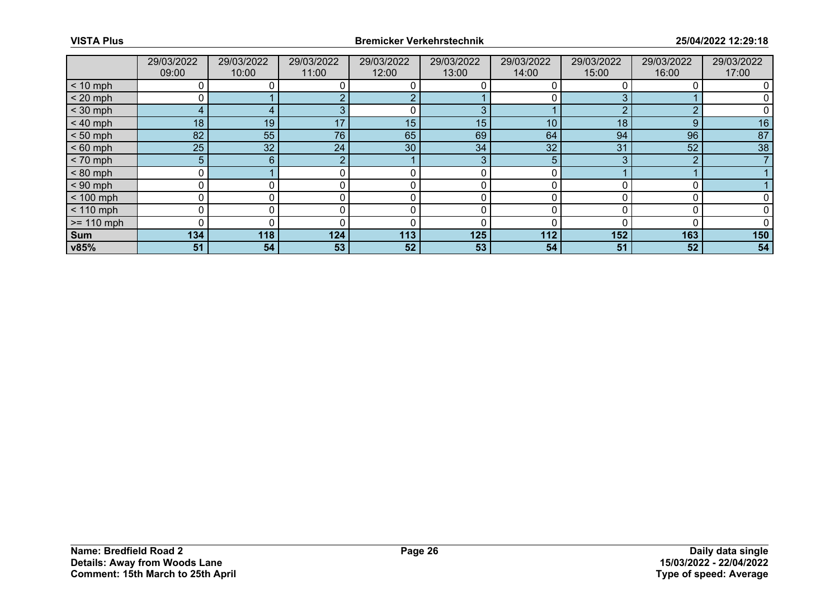|              | 29/03/2022<br>09:00 | 29/03/2022<br>10:00 | 29/03/2022<br>11:00 | 29/03/2022<br>12:00 | 29/03/2022<br>13:00 | 29/03/2022<br>14:00 | 29/03/2022<br>15:00 | 29/03/2022<br>16:00 | 29/03/2022<br>17:00 |
|--------------|---------------------|---------------------|---------------------|---------------------|---------------------|---------------------|---------------------|---------------------|---------------------|
| $< 10$ mph   | 0                   |                     |                     |                     |                     |                     |                     |                     |                     |
| $< 20$ mph   | 0                   |                     |                     |                     |                     |                     |                     |                     |                     |
| $<$ 30 mph   | 4                   |                     |                     |                     |                     |                     |                     |                     |                     |
| $< 40$ mph   | 18                  | 19                  | 17                  | 15                  | 15                  | 10                  | 18                  | 9                   | 16                  |
| $< 50$ mph   | 82                  | 55                  | 76                  | 65                  | 69                  | 64                  | 94                  | 96                  | 87                  |
| $< 60$ mph   | 25                  | 32 <sup>°</sup>     | 24                  | 30                  | 34                  | 32                  | 31                  | 52                  | 38                  |
| $< 70$ mph   | 5 <sup>5</sup>      | 6                   |                     |                     | 3                   | 5                   |                     | $\Omega$            |                     |
| $< 80$ mph   | 0                   |                     |                     |                     | 0                   |                     |                     |                     |                     |
| $< 90$ mph   | 0                   |                     |                     |                     |                     |                     |                     |                     |                     |
| $< 100$ mph  | 0                   | 0                   |                     |                     | 0                   | O                   |                     |                     |                     |
| $< 110$ mph  | 0                   |                     |                     |                     |                     |                     |                     |                     |                     |
| $>= 110$ mph | 0                   |                     |                     |                     |                     |                     |                     |                     |                     |
| Sum          | 134                 | 118                 | 124                 | 113                 | 125                 | 112                 | 152                 | 163                 | 150                 |
| v85%         | 51                  | 54                  | 53                  | 52                  | 53                  | 54                  | 51                  | 52                  | 54                  |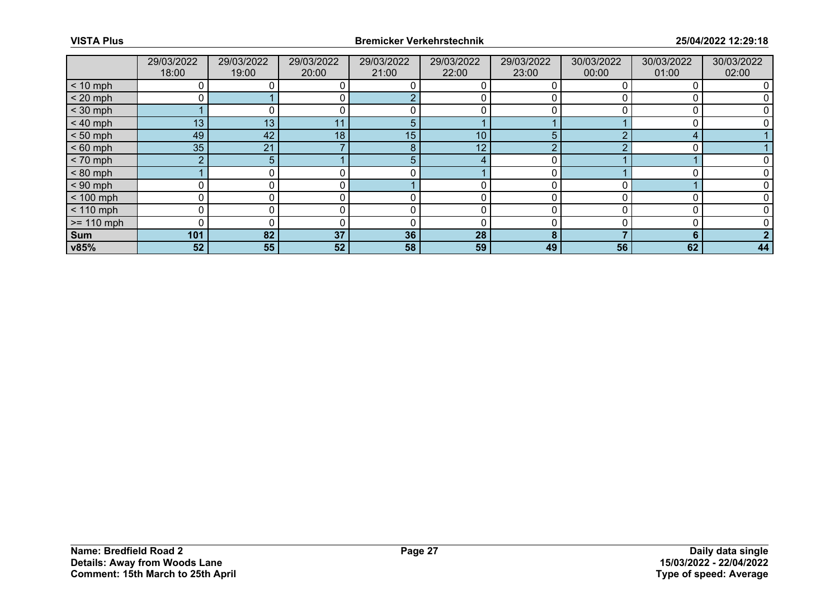|              | 29/03/2022<br>18:00 | 29/03/2022<br>19:00 | 29/03/2022<br>20:00 | 29/03/2022<br>21:00 | 29/03/2022<br>22:00 | 29/03/2022<br>23:00 | 30/03/2022<br>00:00 | 30/03/2022<br>01:00 | 30/03/2022<br>02:00 |
|--------------|---------------------|---------------------|---------------------|---------------------|---------------------|---------------------|---------------------|---------------------|---------------------|
| $< 10$ mph   | 0                   |                     |                     |                     |                     |                     |                     |                     |                     |
| $< 20$ mph   |                     |                     |                     |                     |                     |                     |                     |                     |                     |
| $<$ 30 mph   |                     |                     |                     |                     |                     |                     |                     |                     |                     |
| $< 40$ mph   | 13                  | 13                  | 11                  |                     |                     |                     |                     |                     |                     |
| $< 50$ mph   | 49                  | 42                  | 18                  | 15                  | 10 <sub>1</sub>     | 5                   |                     | ◢                   |                     |
| $< 60$ mph   | 35                  | 21                  |                     | 8                   | 12 <sub>2</sub>     |                     |                     |                     |                     |
| $< 70$ mph   | $\overline{2}$      | 5.                  |                     |                     | 4                   |                     |                     |                     |                     |
| $< 80$ mph   |                     |                     |                     |                     |                     |                     |                     |                     |                     |
| $< 90$ mph   | Ω                   |                     |                     |                     |                     |                     |                     |                     |                     |
| $< 100$ mph  | 0                   | 0                   |                     |                     | 0                   |                     |                     |                     |                     |
| $< 110$ mph  | 0                   |                     |                     |                     |                     |                     |                     |                     |                     |
| $>= 110$ mph | 0                   |                     |                     |                     |                     |                     |                     |                     |                     |
| Sum          | 101                 | 82                  | 37                  | 36                  | 28                  | 8                   |                     | 6                   |                     |
| v85%         | 52                  | 55 <sub>1</sub>     | 52                  | 58                  | 59                  | 49                  | 56                  | 62                  | 44                  |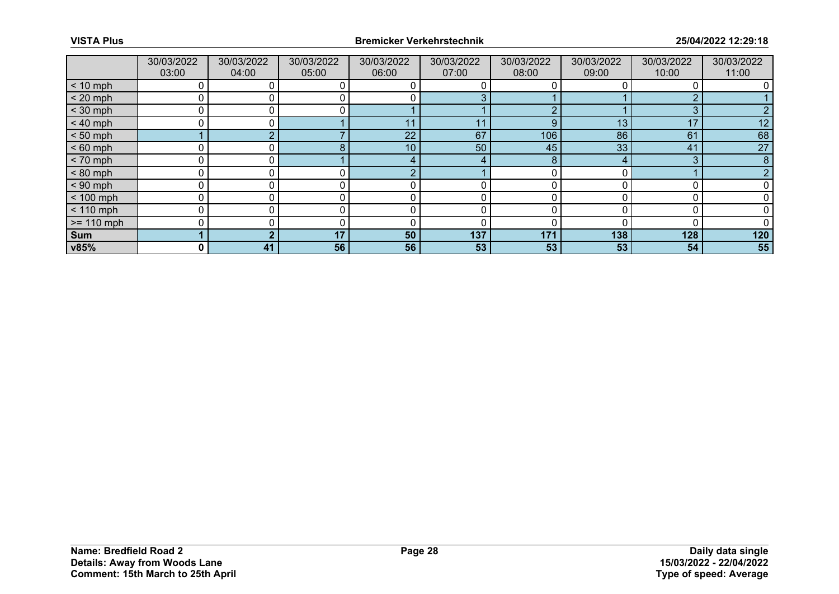|              | 30/03/2022<br>03:00 | 30/03/2022<br>04:00 | 30/03/2022<br>05:00 | 30/03/2022<br>06:00 | 30/03/2022<br>07:00 | 30/03/2022<br>08:00 | 30/03/2022<br>09:00 | 30/03/2022<br>10:00 | 30/03/2022<br>11:00 |
|--------------|---------------------|---------------------|---------------------|---------------------|---------------------|---------------------|---------------------|---------------------|---------------------|
| $< 10$ mph   | 0                   |                     |                     |                     |                     |                     |                     |                     |                     |
| $< 20$ mph   | 0                   |                     |                     |                     |                     |                     |                     |                     |                     |
| $<$ 30 mph   | 0                   |                     |                     |                     |                     |                     |                     | 3                   | ⌒                   |
| $< 40$ mph   | 0                   | 0.                  |                     | 11                  | 11                  | 9                   | 13                  | 17                  | 12                  |
| $< 50$ mph   |                     |                     |                     | 22                  | 67                  | 106                 | 86                  | 61                  | 68                  |
| $< 60$ mph   | Ω                   |                     |                     | 10                  | 50                  | 45                  | 33                  | 41                  | 27                  |
| $< 70$ mph   | 0                   | 0 l                 |                     |                     | 4                   | 8                   | 4                   | 3                   | 8                   |
| $< 80$ mph   | 0                   |                     |                     |                     |                     |                     |                     |                     |                     |
| $< 90$ mph   | 0                   |                     |                     |                     |                     |                     |                     |                     |                     |
| $< 100$ mph  | 0                   | 0                   |                     | r                   | 0                   | n                   |                     |                     |                     |
| $< 110$ mph  | 0                   |                     |                     |                     |                     |                     |                     |                     |                     |
| $>= 110$ mph | Ω                   |                     |                     | ╭                   | 0                   |                     |                     |                     |                     |
| Sum          |                     | ◠                   | 17                  | 50                  | 137                 | 171                 | 138                 | 128                 | 120                 |
| v85%         | 0                   | 41                  | 56                  | 56                  | 53                  | 53                  | 53                  | 54                  | 55                  |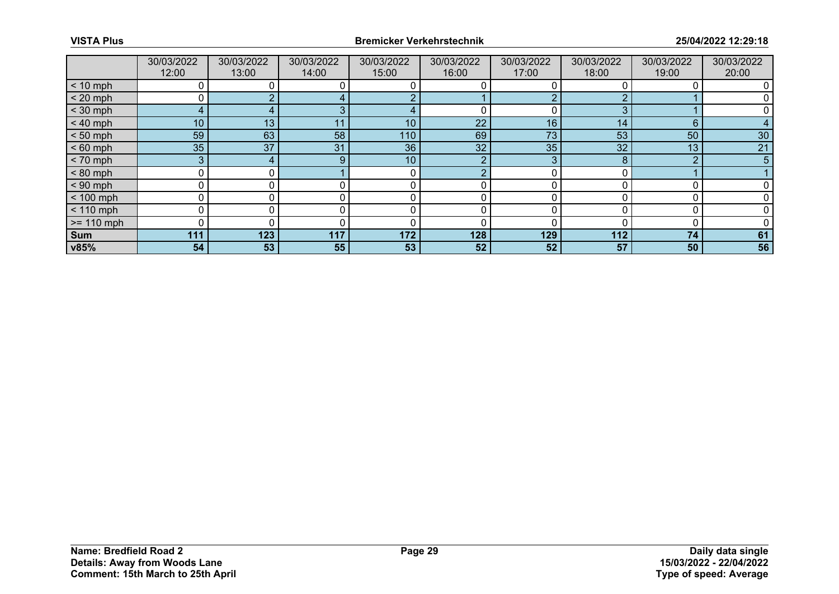|              | 30/03/2022<br>12:00 | 30/03/2022<br>13:00 | 30/03/2022<br>14:00 | 30/03/2022<br>15:00 | 30/03/2022<br>16:00 | 30/03/2022<br>17:00 | 30/03/2022<br>18:00 | 30/03/2022<br>19:00 | 30/03/2022<br>20:00 |
|--------------|---------------------|---------------------|---------------------|---------------------|---------------------|---------------------|---------------------|---------------------|---------------------|
| $< 10$ mph   | 0                   |                     |                     |                     |                     |                     |                     |                     |                     |
| $< 20$ mph   |                     |                     |                     |                     |                     |                     |                     |                     |                     |
| $<$ 30 mph   | 4                   |                     | $\Omega$            |                     |                     |                     | n                   |                     |                     |
| $< 40$ mph   | 10 <sup>°</sup>     | 13                  | 11                  | 10                  | 22                  | 16                  | 14                  | 6                   |                     |
| $< 50$ mph   | 59                  | 63                  | 58                  | 110                 | 69                  | 73                  | 53                  | 50                  | 30                  |
| $< 60$ mph   | 35                  | 37                  | 31                  | 36                  | 32 <sup>°</sup>     | 35                  | 32                  | 13                  | 21                  |
| $< 70$ mph   | 3                   | 4                   | 9                   | 10                  | າ                   | 3                   | 8                   | $\Omega$            | 5                   |
| $< 80$ mph   | 0                   |                     |                     |                     |                     |                     |                     |                     |                     |
| $< 90$ mph   | 0                   |                     |                     |                     |                     |                     |                     |                     |                     |
| $< 100$ mph  | 0                   | 0                   |                     | 0                   | 0                   |                     |                     |                     |                     |
| $< 110$ mph  | 0                   |                     |                     |                     |                     |                     |                     |                     |                     |
| $>= 110$ mph | 0                   |                     |                     | ſ                   |                     |                     |                     |                     |                     |
| <b>Sum</b>   | 111                 | 123                 | 117                 | 172                 | 128                 | 129                 | 112                 | 74                  | 61                  |
| v85%         | 54                  | 53                  | 55                  | 53                  | 52                  | 52                  | 57                  | 50                  | 56                  |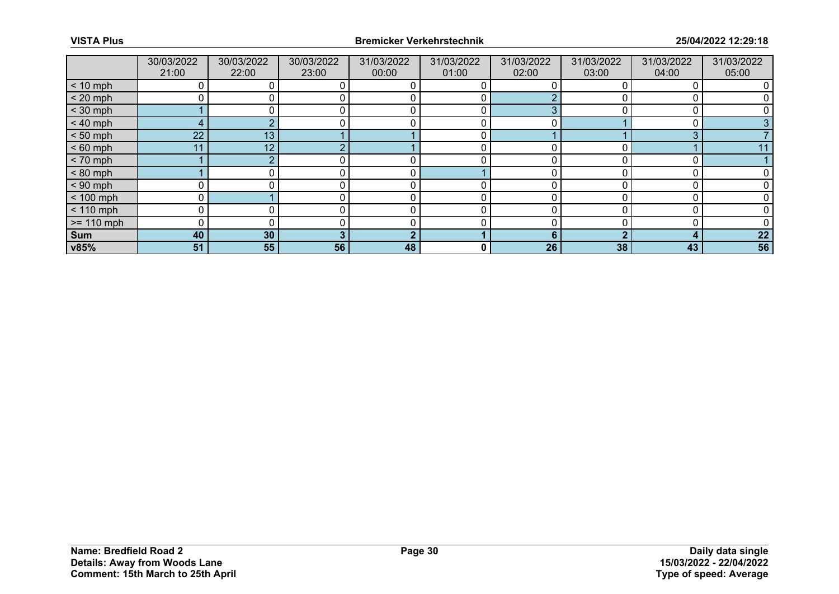|              | 30/03/2022<br>21:00 | 30/03/2022<br>22:00 | 30/03/2022<br>23:00 | 31/03/2022<br>00:00 | 31/03/2022<br>01:00 | 31/03/2022<br>02:00 | 31/03/2022<br>03:00 | 31/03/2022<br>04:00 | 31/03/2022<br>05:00 |
|--------------|---------------------|---------------------|---------------------|---------------------|---------------------|---------------------|---------------------|---------------------|---------------------|
| $< 10$ mph   |                     |                     |                     |                     |                     |                     |                     |                     |                     |
| $< 20$ mph   |                     |                     |                     |                     |                     |                     |                     |                     |                     |
| $<$ 30 mph   |                     |                     |                     |                     |                     | ◠                   |                     |                     |                     |
| $< 40$ mph   | 4                   |                     |                     | C                   | 0                   | 0                   |                     |                     |                     |
| $< 50$ mph   | 22 <sup>°</sup>     | 13                  |                     |                     |                     |                     |                     | 3                   |                     |
| $< 60$ mph   | 11                  | 12                  |                     |                     |                     |                     |                     |                     |                     |
| $< 70$ mph   |                     |                     |                     | 0                   | 0                   | 0                   |                     |                     |                     |
| $< 80$ mph   |                     |                     |                     |                     |                     |                     |                     |                     |                     |
| $< 90$ mph   |                     |                     |                     |                     |                     |                     |                     |                     |                     |
| $< 100$ mph  | $\mathbf 0$         |                     |                     | 0                   | 0                   | 0                   |                     |                     |                     |
| $< 110$ mph  |                     |                     |                     |                     |                     |                     |                     |                     |                     |
| $>= 110$ mph |                     |                     |                     |                     |                     |                     |                     |                     |                     |
| Sum          | 40                  | 30                  |                     | €                   |                     | 6                   |                     | 4                   | 22                  |
| v85%         | 51                  | 55                  | 56                  | 48                  | 0                   | 26                  | 38                  | 43                  | 56                  |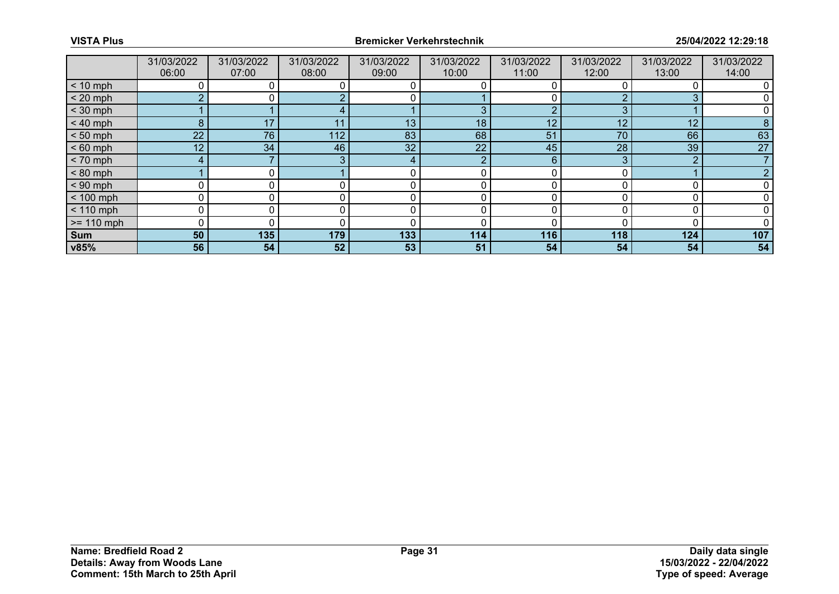|              | 31/03/2022<br>06:00 | 31/03/2022<br>07:00 | 31/03/2022<br>08:00 | 31/03/2022<br>09:00 | 31/03/2022<br>10:00 | 31/03/2022<br>11:00 | 31/03/2022<br>12:00 | 31/03/2022<br>13:00 | 31/03/2022<br>14:00 |
|--------------|---------------------|---------------------|---------------------|---------------------|---------------------|---------------------|---------------------|---------------------|---------------------|
| $< 10$ mph   |                     |                     |                     |                     |                     |                     |                     |                     |                     |
| $< 20$ mph   | C.                  |                     |                     |                     |                     |                     |                     |                     |                     |
| $<$ 30 mph   |                     |                     |                     |                     | ρ                   |                     | ◠                   |                     |                     |
| $< 40$ mph   | 8                   | 17                  | 11                  | 13                  | 18                  | 12                  | 12                  | 12                  | 8                   |
| $< 50$ mph   | 22 <sup>1</sup>     | 76                  | 112                 | 83                  | 68                  | 51                  | 70                  | 66                  | 63                  |
| $< 60$ mph   | 12 <sub>1</sub>     | 34                  | 46                  | 32                  | 22                  | 45                  | 28                  | 39                  | 27                  |
| $< 70$ mph   | 4                   |                     | 3                   | 4                   | ာ                   | 6                   | 3                   | $\Omega$            |                     |
| $< 80$ mph   |                     |                     |                     |                     |                     |                     |                     |                     |                     |
| $< 90$ mph   | 0                   |                     |                     |                     |                     |                     |                     |                     |                     |
| $< 100$ mph  | $\Omega$            | 0                   |                     | r                   | 0                   |                     |                     |                     |                     |
| $< 110$ mph  | 0                   |                     |                     |                     |                     |                     |                     |                     |                     |
| $>= 110$ mph | 0                   |                     |                     | C                   | 0                   |                     |                     |                     |                     |
| Sum          | 50                  | 135                 | 179                 | 133                 | 114                 | 116                 | 118                 | 124                 | 107                 |
| v85%         | 56                  | 54                  | 52                  | 53                  | 51                  | 54                  | 54                  | 54                  | 54                  |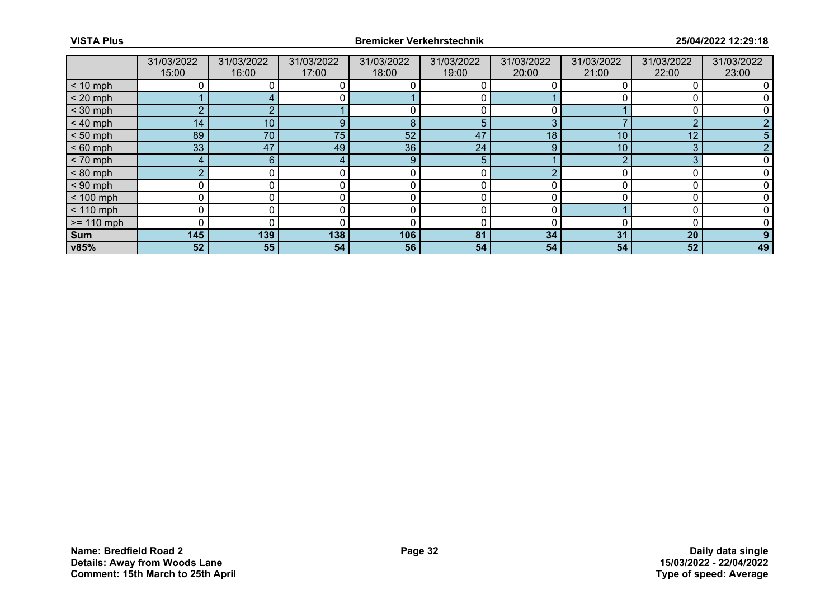|              | 31/03/2022<br>15:00 | 31/03/2022<br>16:00 | 31/03/2022<br>17:00 | 31/03/2022<br>18:00 | 31/03/2022<br>19:00 | 31/03/2022<br>20:00 | 31/03/2022<br>21:00 | 31/03/2022<br>22:00 | 31/03/2022<br>23:00 |
|--------------|---------------------|---------------------|---------------------|---------------------|---------------------|---------------------|---------------------|---------------------|---------------------|
| $< 10$ mph   |                     |                     |                     |                     |                     |                     |                     |                     |                     |
| $< 20$ mph   |                     |                     | 0                   |                     |                     |                     |                     |                     |                     |
| $<$ 30 mph   | $\sim$              |                     |                     |                     |                     |                     |                     |                     |                     |
| $< 40$ mph   | 14 <sub>2</sub>     | 10 <sup>°</sup>     | 9                   | 8                   | 5                   | 3                   |                     | റ                   |                     |
| $< 50$ mph   | 89                  | 70                  | 75 <sub>1</sub>     | 52                  | 47                  | 18                  | 10                  | 12                  | 5                   |
| $< 60$ mph   | 33                  | 47                  | 49                  | 36                  | 24                  | 9                   | 10                  | З                   |                     |
| $< 70$ mph   | 4                   | 6.                  |                     | 9                   | 5                   |                     |                     | 3                   |                     |
| $< 80$ mph   | $\overline{2}$      |                     |                     | $\Omega$            |                     |                     |                     | $\cap$              |                     |
| $< 90$ mph   | U                   |                     |                     |                     |                     |                     |                     |                     |                     |
| $< 100$ mph  | 0                   |                     |                     | C                   | 0                   | 0                   |                     | r                   |                     |
| $< 110$ mph  | 0                   |                     |                     | $\Omega$            |                     | $\Omega$            |                     | C                   |                     |
| $>= 110$ mph | 0                   |                     |                     |                     | 0                   | n                   |                     |                     |                     |
| Sum          | 145                 | 139                 | 138                 | 106                 | 81                  | 34                  | 31                  | 20                  |                     |
| v85%         | 52                  | 55                  | 54                  | 56                  | 54                  | 54                  | 54                  | 52                  | 49                  |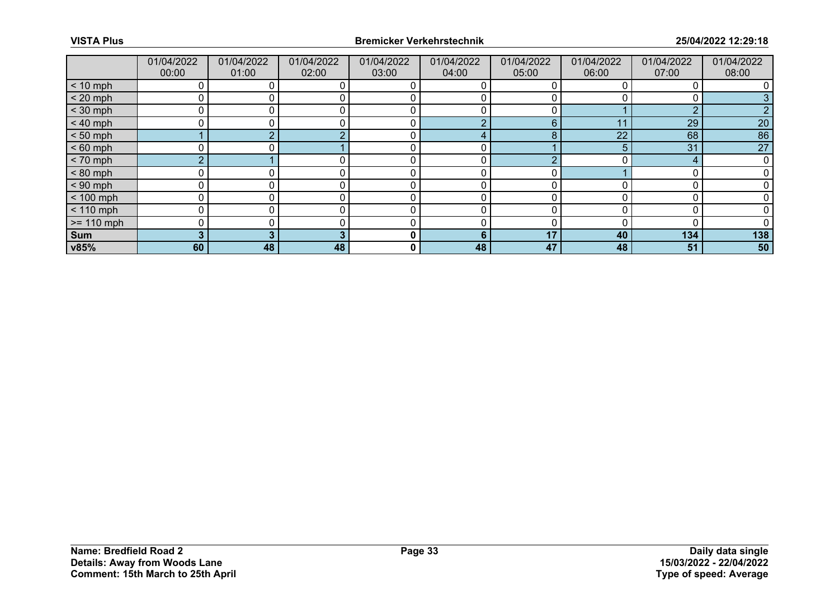|              | 01/04/2022<br>00:00 | 01/04/2022<br>01:00 | 01/04/2022<br>02:00 | 01/04/2022<br>03:00 | 01/04/2022<br>04:00 | 01/04/2022<br>05:00 | 01/04/2022<br>06:00 | 01/04/2022<br>07:00 | 01/04/2022<br>08:00 |
|--------------|---------------------|---------------------|---------------------|---------------------|---------------------|---------------------|---------------------|---------------------|---------------------|
| $< 10$ mph   | 0                   |                     | 0                   |                     |                     |                     |                     |                     |                     |
| $< 20$ mph   | 0                   |                     |                     |                     | 0                   |                     |                     |                     |                     |
| $<$ 30 mph   | 0                   |                     |                     | C                   |                     |                     |                     | $\Omega$            |                     |
| $< 40$ mph   | 0                   | 0                   | 0                   | 0                   | റ                   | 6                   | 11                  | 29                  | 20                  |
| $< 50$ mph   |                     |                     |                     |                     | 4                   | 8                   | 22                  | 68                  | 86                  |
| $< 60$ mph   | ∩                   |                     |                     | C                   |                     |                     |                     | 31                  | 27                  |
| $< 70$ mph   | $\overline{2}$      |                     |                     | 0                   | 0                   |                     |                     |                     |                     |
| $< 80$ mph   | 0                   |                     |                     | 0                   | 0                   |                     |                     |                     |                     |
| $< 90$ mph   | 0                   |                     |                     | C                   | Ω                   |                     |                     |                     |                     |
| $< 100$ mph  | 0                   | 0                   |                     | 0                   | 0                   |                     |                     |                     |                     |
| $< 110$ mph  | 0                   |                     |                     | 0                   |                     | n                   |                     |                     |                     |
| $>= 110$ mph | 0                   |                     |                     |                     | Ω                   |                     |                     |                     |                     |
| Sum          | 3                   |                     |                     | 0                   | 6                   | 17                  | 40                  | 134                 | 138                 |
| v85%         | 60                  | 48                  | 48                  | 0                   | 48                  | 47                  | 48                  | 51                  | 50                  |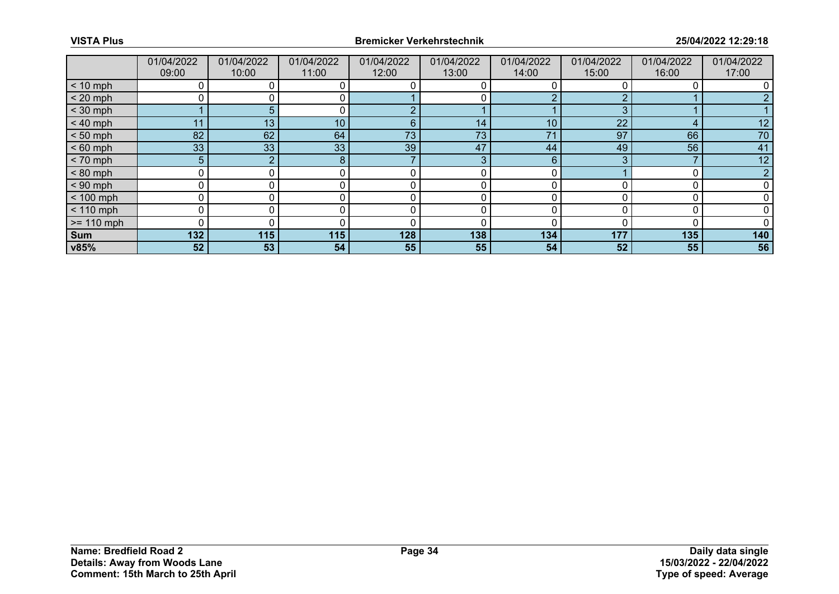|              | 01/04/2022     | 01/04/2022      | 01/04/2022      | 01/04/2022 | 01/04/2022 | 01/04/2022 | 01/04/2022 | 01/04/2022 | 01/04/2022 |
|--------------|----------------|-----------------|-----------------|------------|------------|------------|------------|------------|------------|
|              | 09:00          | 10:00           | 11:00           | 12:00      | 13:00      | 14:00      | 15:00      | 16:00      | 17:00      |
| $< 10$ mph   |                |                 |                 |            |            |            |            |            |            |
| $< 20$ mph   | 0              |                 | 0               |            |            |            |            |            |            |
| $<$ 30 mph   |                | 5.              |                 |            |            |            |            |            |            |
| $< 40$ mph   | 11             | 13 <sub>1</sub> | 10 <sub>1</sub> | 6          | 14         | 10         | 22         |            | 12         |
| $< 50$ mph   | 82             | 62              | 64              | 73         | 73         | 71         | 97         | 66         | 70         |
| $< 60$ mph   | 33             | 33              | 33              | 39         | 47         | 44         | 49         | 56         | 41         |
| $< 70$ mph   | 5 <sup>5</sup> | $\overline{2}$  | 8               |            | 3          | 6          |            |            | 12         |
| $< 80$ mph   | 0              | 0.              |                 |            | 0          |            |            |            |            |
| $< 90$ mph   | 0              |                 |                 |            |            |            |            |            |            |
| $< 100$ mph  | 0              | 0               |                 | 0          | 0          |            |            |            |            |
| $< 110$ mph  | 0              | 0               |                 | 0          | 0          |            |            |            |            |
| $>= 110$ mph | 0              |                 |                 |            |            |            |            |            |            |
| Sum          | 132            | 115             | 115             | 128        | 138        | 134        | 177        | 135        | 140        |
| v85%         | 52             | 53              | 54              | 55         | 55         | 54         | 52         | 55         | 56         |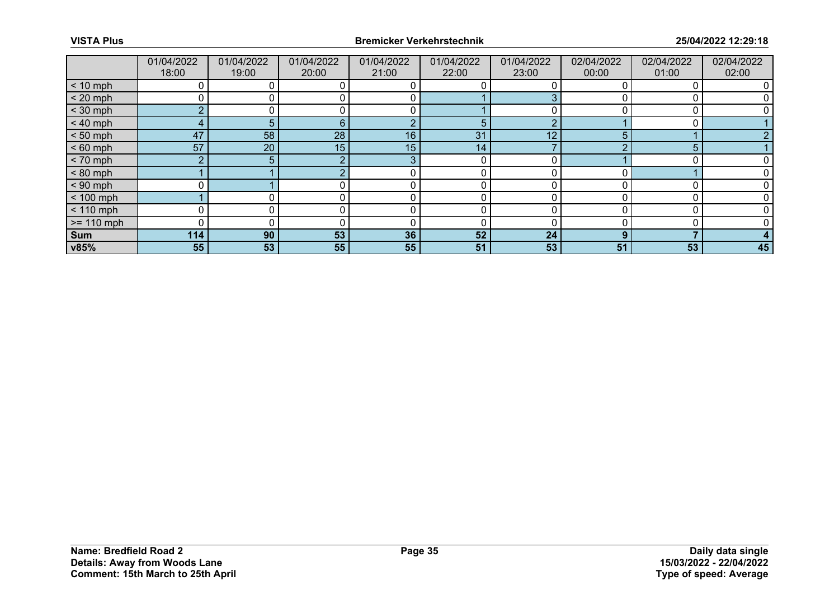|              | 01/04/2022<br>18:00 | 01/04/2022<br>19:00 | 01/04/2022<br>20:00 | 01/04/2022<br>21:00 | 01/04/2022<br>22:00 | 01/04/2022<br>23:00 | 02/04/2022<br>00:00 | 02/04/2022<br>01:00 | 02/04/2022<br>02:00 |
|--------------|---------------------|---------------------|---------------------|---------------------|---------------------|---------------------|---------------------|---------------------|---------------------|
| $< 10$ mph   | 0                   |                     |                     |                     |                     |                     |                     | 0                   |                     |
| $< 20$ mph   |                     |                     |                     |                     |                     |                     |                     |                     |                     |
| $<$ 30 mph   | $\Omega$            |                     |                     | C                   |                     |                     |                     | r                   |                     |
| $< 40$ mph   | 4                   | 5.                  | 6                   | റ                   | 5                   | ◠                   |                     | $\Omega$            |                     |
| $< 50$ mph   | 47                  | 58                  | 28                  | 16                  | 31                  | 12                  |                     |                     |                     |
| $< 60$ mph   | 57                  | 20                  | 15 <sub>1</sub>     | 15                  | 14                  |                     |                     | 5                   |                     |
| $< 70$ mph   | $\overline{2}$      | 5.                  | ົ                   | 3                   | 0                   | 0                   |                     | 0                   |                     |
| $< 80$ mph   |                     |                     |                     |                     |                     | n                   |                     |                     |                     |
| $< 90$ mph   |                     |                     |                     |                     |                     |                     |                     |                     |                     |
| $< 100$ mph  |                     |                     | 0                   | 0                   | 0                   | $\Omega$            |                     | $\Omega$            |                     |
| $< 110$ mph  | 0                   |                     |                     |                     |                     | n                   |                     |                     |                     |
| $>= 110$ mph | 0                   |                     |                     |                     |                     |                     |                     |                     |                     |
| Sum          | $114$               | 90                  | 53                  | 36                  | 52                  | 24                  | Ω                   |                     |                     |
| v85%         | 55                  | 53                  | 55                  | 55                  | 51                  | 53                  | 51                  | 53                  | 45                  |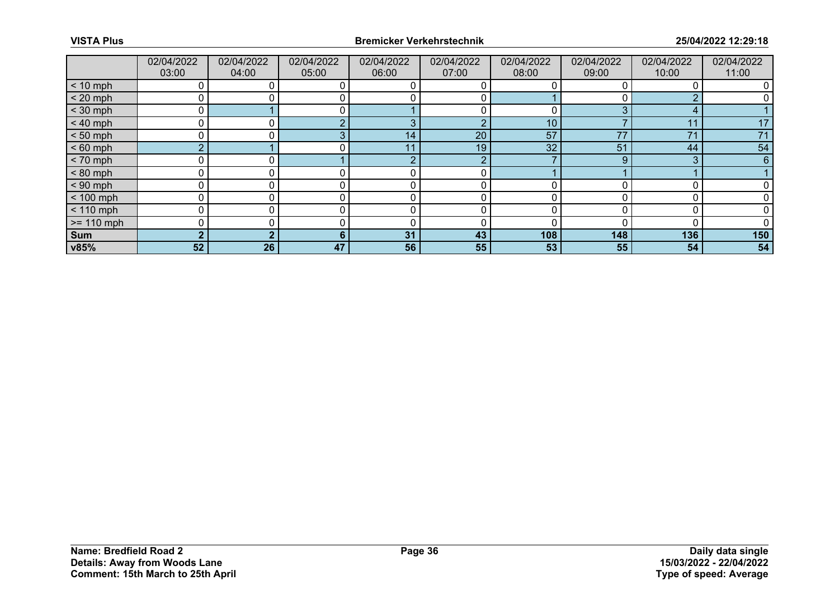|               | 02/04/2022<br>03:00 | 02/04/2022<br>04:00 | 02/04/2022<br>05:00 | 02/04/2022<br>06:00 | 02/04/2022<br>07:00 | 02/04/2022<br>08:00 | 02/04/2022<br>09:00 | 02/04/2022<br>10:00 | 02/04/2022<br>11:00 |
|---------------|---------------------|---------------------|---------------------|---------------------|---------------------|---------------------|---------------------|---------------------|---------------------|
| $< 10$ mph    | 0                   |                     |                     |                     |                     |                     |                     |                     |                     |
| $< 20$ mph    | 0                   |                     |                     |                     |                     |                     |                     |                     |                     |
| $<$ 30 mph    | 0                   |                     |                     |                     |                     |                     | ⌒                   |                     |                     |
| $< 40$ mph    | 0                   | $\Omega$            | $\sim$              | З                   | റ                   | 10                  |                     | 11                  | 17                  |
| $< 50$ mph    | 0                   |                     |                     | 14                  | 20                  | 57                  | 77                  | 71                  | 71                  |
| $< 60$ mph    | $\overline{2}$      |                     |                     | 11                  | 19.                 | 32                  | 51                  | 44                  | 54                  |
| $< 70$ mph    | 0                   | 0                   |                     | റ                   | റ                   |                     | 9                   | 3                   | 6                   |
| $< 80$ mph    | 0                   |                     |                     |                     |                     |                     |                     |                     |                     |
| $< 90$ mph    | 0                   |                     |                     |                     |                     |                     |                     |                     |                     |
| $< 100$ mph   | 0                   | 0                   | 0                   | 0                   | 0                   |                     |                     |                     |                     |
| $< 110$ mph   | 0                   |                     |                     |                     |                     |                     |                     |                     |                     |
| $\ge$ 110 mph | 0                   |                     |                     | C                   |                     |                     |                     |                     |                     |
| Sum           | $\overline{2}$      | ◠                   | 6                   | 31                  | 43                  | 108                 | 148                 | 136                 | 150                 |
| v85%          | 52                  | 26                  | 47                  | 56                  | 55                  | 53                  | 55                  | 54                  | 54                  |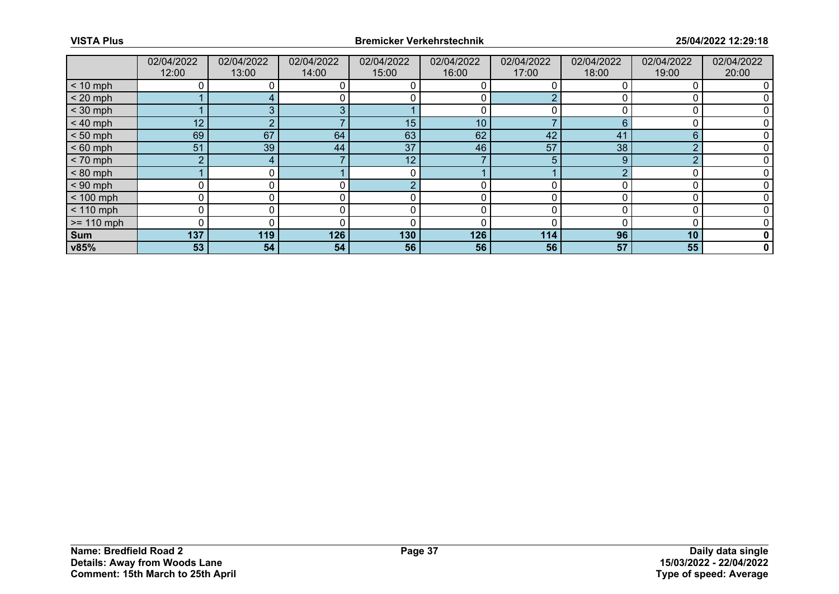|              | 02/04/2022<br>12:00 | 02/04/2022<br>13:00 | 02/04/2022<br>14:00 | 02/04/2022<br>15:00 | 02/04/2022<br>16:00 | 02/04/2022<br>17:00 | 02/04/2022<br>18:00 | 02/04/2022<br>19:00 | 02/04/2022<br>20:00 |
|--------------|---------------------|---------------------|---------------------|---------------------|---------------------|---------------------|---------------------|---------------------|---------------------|
|              |                     |                     |                     |                     |                     |                     |                     |                     |                     |
| $< 10$ mph   |                     |                     |                     |                     |                     |                     |                     |                     |                     |
| $< 20$ mph   |                     |                     |                     |                     | 0                   |                     |                     |                     |                     |
| $<$ 30 mph   |                     |                     |                     |                     |                     |                     |                     |                     |                     |
| $< 40$ mph   | 12 <sub>1</sub>     |                     |                     | 15                  | 10 <sup>°</sup>     |                     | 6                   |                     |                     |
| $< 50$ mph   | 69                  | 67                  | 64                  | 63                  | 62                  | 42                  | 41                  | 6                   |                     |
| $< 60$ mph   | 51                  | 39                  | 44                  | 37                  | 46                  | 57                  | 38                  | ◠                   |                     |
| $< 70$ mph   | $\overline{2}$      | 4                   |                     | 12                  |                     | 5                   | 9                   | n                   |                     |
| $< 80$ mph   |                     |                     |                     | C                   |                     |                     |                     |                     |                     |
| $< 90$ mph   | 0                   |                     |                     |                     |                     |                     |                     |                     |                     |
| $< 100$ mph  | 0                   |                     |                     |                     | 0                   |                     |                     |                     |                     |
| $< 110$ mph  | 0                   |                     |                     |                     | 0                   |                     |                     |                     |                     |
| $>= 110$ mph | 0                   |                     |                     |                     |                     |                     |                     |                     |                     |
| Sum          | 137                 | 119                 | 126                 | 130                 | 126                 | 114                 | 96                  | 10                  | 0                   |
| v85%         | 53                  | 54                  | 54                  | 56                  | 56                  | 56                  | 57                  | 55                  | $\mathbf 0$         |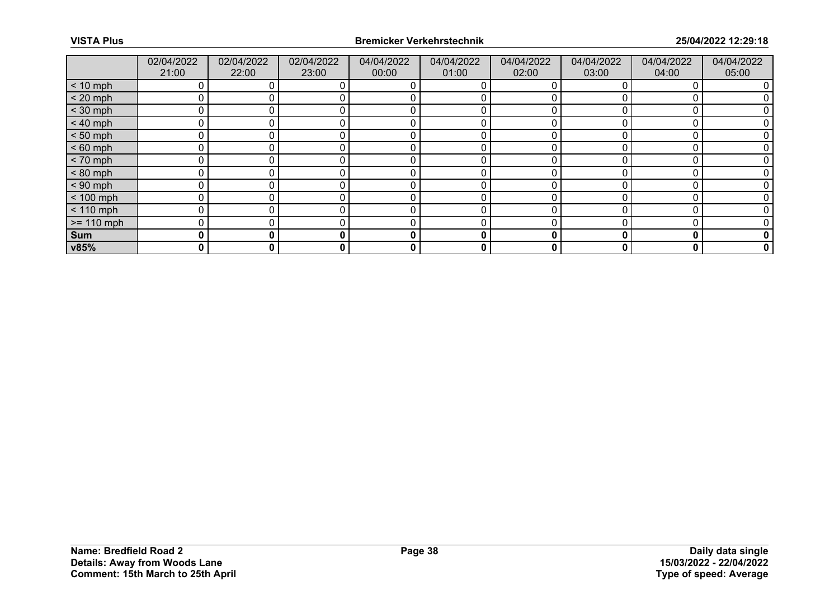|              | 02/04/2022<br>21:00 | 02/04/2022<br>22:00 | 02/04/2022<br>23:00 | 04/04/2022<br>00:00 | 04/04/2022<br>01:00 | 04/04/2022<br>02:00 | 04/04/2022<br>03:00 | 04/04/2022<br>04:00 | 04/04/2022<br>05:00 |
|--------------|---------------------|---------------------|---------------------|---------------------|---------------------|---------------------|---------------------|---------------------|---------------------|
| $< 10$ mph   |                     |                     |                     |                     |                     |                     |                     |                     |                     |
| $< 20$ mph   | 0                   |                     |                     |                     |                     |                     |                     |                     |                     |
| $<$ 30 mph   |                     |                     |                     |                     |                     |                     |                     |                     |                     |
| $< 40$ mph   | 0                   |                     |                     |                     |                     |                     |                     |                     |                     |
| $< 50$ mph   | $\Omega$            |                     |                     |                     |                     |                     |                     |                     |                     |
| $< 60$ mph   | 0                   |                     |                     |                     |                     |                     |                     |                     |                     |
| $< 70$ mph   | 0                   |                     |                     |                     |                     |                     |                     |                     |                     |
| $< 80$ mph   | $\Omega$            |                     |                     |                     |                     |                     |                     |                     |                     |
| $< 90$ mph   | 0                   |                     |                     |                     |                     |                     |                     |                     |                     |
| $< 100$ mph  | 0                   |                     |                     |                     | 0                   |                     |                     |                     |                     |
| $< 110$ mph  | 0                   |                     |                     |                     | 0                   |                     |                     |                     |                     |
| $>= 110$ mph | 0                   |                     |                     |                     |                     |                     |                     |                     |                     |
| Sum          | 0                   | 0                   |                     | 0                   | 0                   | 0                   |                     | O                   | 0                   |
| v85%         | 0                   | 0                   | 0                   | 0                   | 0                   | 0                   | 0                   | 0                   | 0                   |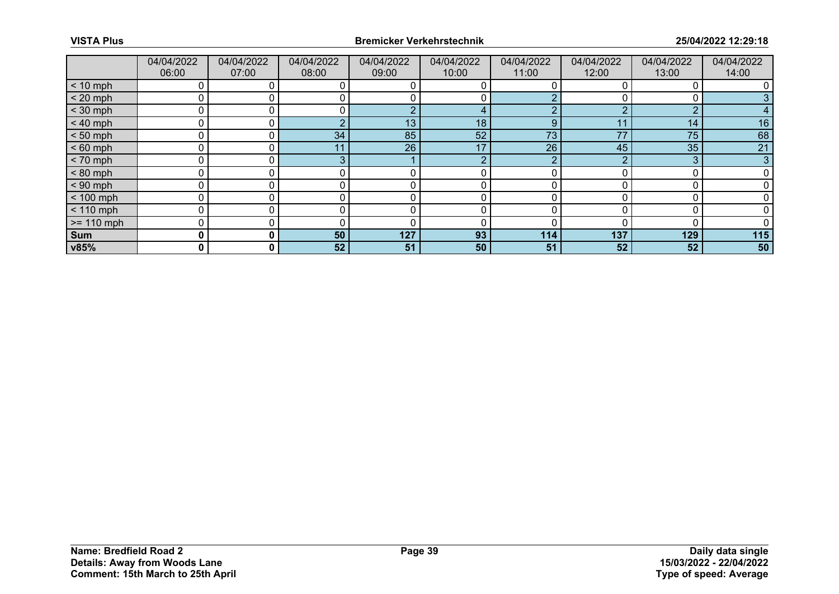|              | 04/04/2022<br>06:00 | 04/04/2022<br>07:00 | 04/04/2022<br>08:00 | 04/04/2022<br>09:00 | 04/04/2022<br>10:00 | 04/04/2022<br>11:00 | 04/04/2022<br>12:00 | 04/04/2022<br>13:00 | 04/04/2022<br>14:00 |
|--------------|---------------------|---------------------|---------------------|---------------------|---------------------|---------------------|---------------------|---------------------|---------------------|
| $< 10$ mph   |                     |                     |                     |                     |                     |                     |                     |                     |                     |
| $< 20$ mph   | 0                   |                     |                     |                     |                     |                     |                     |                     |                     |
| $<$ 30 mph   | 0                   |                     |                     | r                   |                     |                     |                     | ◠                   |                     |
| $< 40$ mph   | 0                   |                     |                     | 13                  | 18                  | 9                   | 11                  | 14                  | 16                  |
| $< 50$ mph   | 0                   | 0 l                 | 34                  | 85                  | 52                  | 73                  | 77                  | 75                  | 68                  |
| $< 60$ mph   | 0                   |                     |                     | 26                  | 17                  | 26                  | 45                  | 35                  | 21                  |
| $< 70$ mph   | 0                   |                     | 3                   |                     | Ω                   | ◠                   |                     | 3                   |                     |
| $< 80$ mph   | 0                   |                     |                     |                     | 0                   |                     |                     |                     |                     |
| $< 90$ mph   | 0                   |                     |                     |                     |                     |                     |                     |                     |                     |
| $< 100$ mph  | 0                   | 0                   |                     | 0                   | 0                   |                     |                     |                     |                     |
| $< 110$ mph  | 0                   | 0                   |                     | 0                   | 0                   |                     |                     |                     |                     |
| $>= 110$ mph | 0                   |                     |                     |                     |                     |                     |                     |                     |                     |
| Sum          | 0                   | $\mathbf{0}$        | 50                  | 127                 | 93                  | 114                 | 137                 | 129                 | 115                 |
| v85%         | 0                   | 0 I                 | 52                  | 51                  | 50                  | 51                  | 52                  | 52                  | 50                  |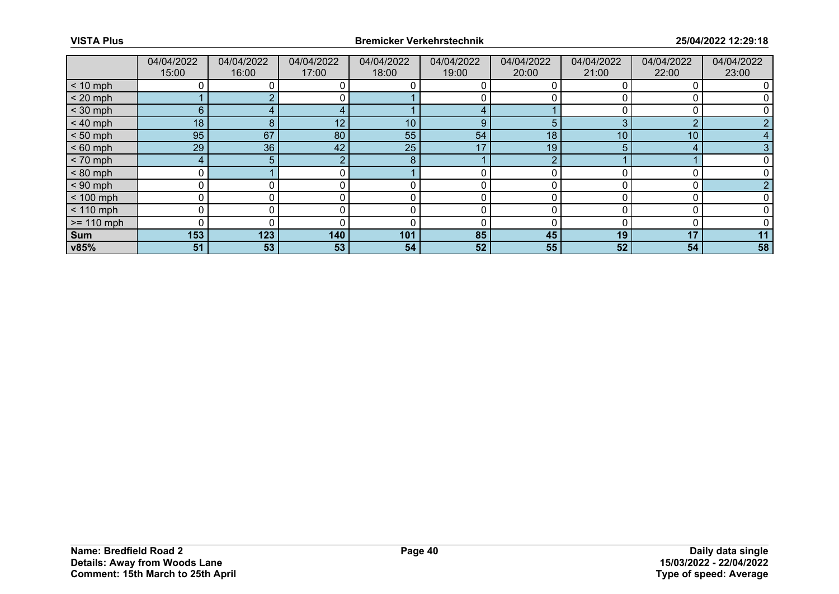|              | 04/04/2022 | 04/04/2022     | 04/04/2022 | 04/04/2022 | 04/04/2022 | 04/04/2022 | 04/04/2022 | 04/04/2022      | 04/04/2022 |
|--------------|------------|----------------|------------|------------|------------|------------|------------|-----------------|------------|
|              | 15:00      | 16:00          | 17:00      | 18:00      | 19:00      | 20:00      | 21:00      | 22:00           | 23:00      |
| $< 10$ mph   |            |                |            |            |            |            |            |                 |            |
| $< 20$ mph   |            |                | 0          |            |            |            |            |                 |            |
| $<$ 30 mph   | 6          |                |            |            |            |            |            |                 |            |
| $< 40$ mph   | 18         | 8              | 12         | 10         | 9          | 5          |            | ◠               |            |
| $< 50$ mph   | 95         | 67             | 80         | 55         | 54         | 18         | 10         | 10 <sup>1</sup> |            |
| $< 60$ mph   | 29         | 36             | 42         | 25         | 17         | 19         |            | 4               |            |
| $< 70$ mph   | 4          | 5 <sup>1</sup> |            | 8          |            | ◠          |            |                 |            |
| $< 80$ mph   | 0          |                | 0          |            |            |            |            |                 |            |
| $< 90$ mph   | 0          |                |            |            |            |            |            |                 |            |
| $< 100$ mph  | 0          |                |            | 0          | 0          |            |            |                 |            |
| $< 110$ mph  | 0          | 0              |            | 0          | 0          |            |            |                 |            |
| $>= 110$ mph | 0          |                |            |            |            |            |            |                 |            |
| Sum          | 153        | 123            | 140        | 101        | 85         | 45         | 19         | 17              | 11         |
| v85%         | 51         | 53             | 53         | 54         | 52         | 55         | 52         | 54              | 58         |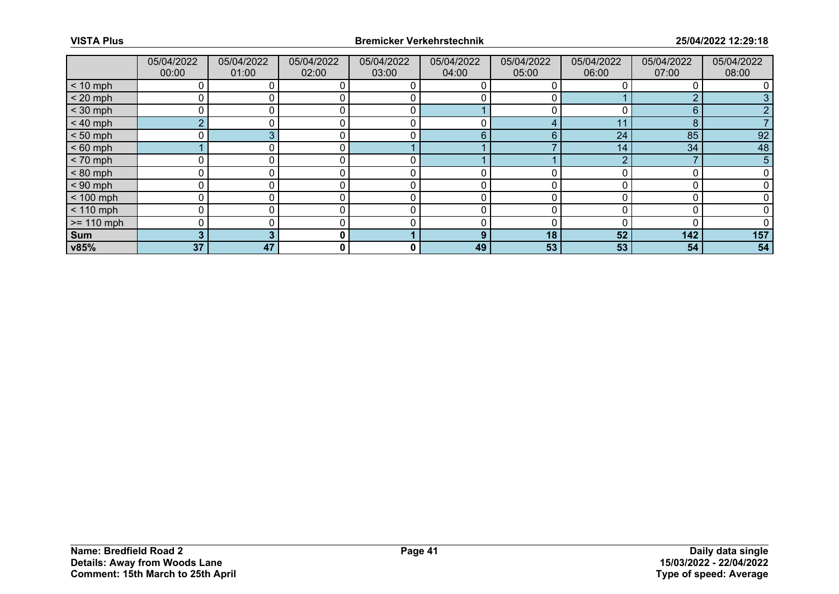|              | 05/04/2022<br>00:00 | 05/04/2022<br>01:00 | 05/04/2022<br>02:00 | 05/04/2022<br>03:00 | 05/04/2022<br>04:00 | 05/04/2022<br>05:00 | 05/04/2022<br>06:00 | 05/04/2022<br>07:00 | 05/04/2022<br>08:00 |
|--------------|---------------------|---------------------|---------------------|---------------------|---------------------|---------------------|---------------------|---------------------|---------------------|
| $< 10$ mph   | 0                   |                     |                     |                     |                     |                     |                     |                     |                     |
| $< 20$ mph   | 0                   |                     |                     |                     |                     |                     |                     | ◠                   |                     |
| $<$ 30 mph   | 0                   |                     |                     | r                   |                     |                     |                     | 6                   |                     |
| $< 40$ mph   | $\overline{2}$      | 0                   |                     | C                   | 0                   | 4                   | 11                  | 8                   |                     |
| $< 50$ mph   | 0                   |                     |                     |                     | 6                   | 6                   | 24                  | 85                  | 92                  |
| $< 60$ mph   |                     |                     |                     |                     |                     |                     | 14                  | 34                  | 48                  |
| $< 70$ mph   | $\mathbf 0$         | 0                   | 0                   | 0                   |                     |                     |                     |                     | 5                   |
| $< 80$ mph   | 0                   |                     |                     |                     |                     |                     |                     |                     |                     |
| $< 90$ mph   | 0                   |                     |                     |                     |                     |                     |                     |                     |                     |
| $< 100$ mph  | $\mathbf 0$         | 0                   |                     | r                   | 0                   |                     |                     |                     |                     |
| $< 110$ mph  | 0                   |                     |                     | C                   | 0                   |                     |                     | 0                   |                     |
| $>= 110$ mph | 0                   |                     |                     |                     |                     |                     |                     |                     |                     |
| Sum          | 3                   |                     | 0                   |                     | 9                   | 18                  | 52                  | 142                 | 157                 |
| v85%         | 37                  | 47                  | 0                   | 0                   | 49                  | 53                  | 53                  | 54                  | 54                  |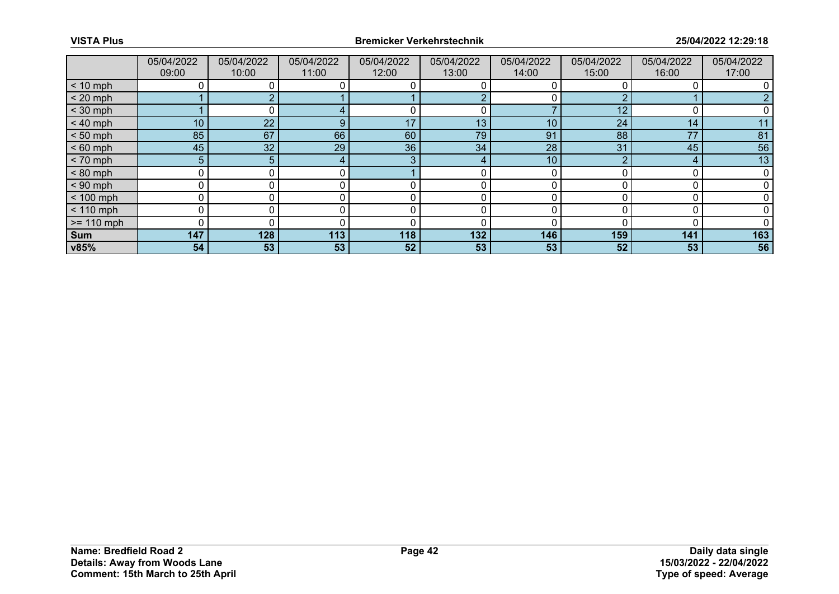|              | 05/04/2022      | 05/04/2022 | 05/04/2022 | 05/04/2022 | 05/04/2022 | 05/04/2022      | 05/04/2022 | 05/04/2022 | 05/04/2022  |
|--------------|-----------------|------------|------------|------------|------------|-----------------|------------|------------|-------------|
|              | 09:00           | 10:00      | 11:00      | 12:00      | 13:00      | 14:00           | 15:00      | 16:00      | 17:00       |
| $< 10$ mph   |                 |            |            |            |            |                 |            |            |             |
| $< 20$ mph   |                 |            |            |            |            | 0               |            |            |             |
| $<$ 30 mph   |                 |            |            |            |            |                 | 12         |            |             |
| $< 40$ mph   | 10 <sub>1</sub> | 22         | 9          | 17         | 13         | 10              | 24         | 14         |             |
| $< 50$ mph   | 85              | 67         | 66         | 60         | 79         | 91              | 88         | 77         | 81          |
| $< 60$ mph   | 45              | 32         | 29         | 36         | 34         | 28              | 31         | 45         | 56          |
| $< 70$ mph   | 5               | 5.         |            | 3          |            | 10 <sup>°</sup> |            | 4          | 13          |
| $< 80$ mph   | 0               |            | 0          |            |            | 0               |            | C          | $\mathbf 0$ |
| $< 90$ mph   | ი               |            |            |            |            | ∩               |            |            |             |
| $< 100$ mph  | 0               |            |            | C          | 0          | 0               |            | C          |             |
| $< 110$ mph  | $\mathbf 0$     |            |            | $\Omega$   |            | 0               |            | $\Omega$   |             |
| $>= 110$ mph | 0               |            |            |            | O          |                 |            |            |             |
| Sum          | 147             | 128        | 113        | 118        | 132        | 146             | 159        | 141        | 163         |
| v85%         | 54              | 53         | 53         | 52         | 53         | 53              | 52         | 53         | 56          |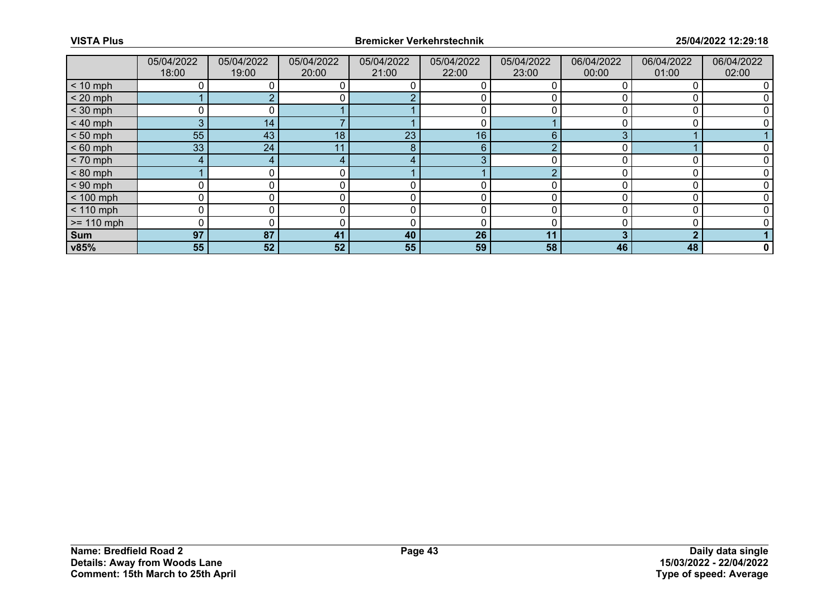|              | 05/04/2022<br>18:00 | 05/04/2022<br>19:00 | 05/04/2022<br>20:00 | 05/04/2022<br>21:00 | 05/04/2022<br>22:00 | 05/04/2022<br>23:00 | 06/04/2022<br>00:00 | 06/04/2022<br>01:00 | 06/04/2022<br>02:00 |
|--------------|---------------------|---------------------|---------------------|---------------------|---------------------|---------------------|---------------------|---------------------|---------------------|
| $< 10$ mph   | 0                   |                     | 0                   |                     | 0                   |                     |                     |                     |                     |
| $< 20$ mph   |                     |                     |                     |                     |                     |                     |                     |                     |                     |
| $<$ 30 mph   | ∩                   |                     |                     |                     |                     |                     |                     |                     |                     |
| $< 40$ mph   | 3                   | 14                  |                     |                     | 0                   |                     |                     |                     |                     |
| $< 50$ mph   | 55                  | 43                  | 18 <sup>°</sup>     | 23                  | 16                  | 6                   |                     |                     |                     |
| $< 60$ mph   | 33 <sup>°</sup>     | 24                  |                     | 8                   | 6                   | $\sqrt{ }$          |                     |                     |                     |
| $< 70$ mph   | 4                   | 4                   |                     |                     | 3                   |                     |                     |                     |                     |
| $< 80$ mph   |                     |                     | 0                   |                     |                     | $\sqrt{ }$          |                     |                     |                     |
| $< 90$ mph   | 0                   |                     |                     |                     |                     |                     |                     |                     |                     |
| $< 100$ mph  | 0                   | 0                   |                     | 0                   | 0                   |                     |                     |                     |                     |
| $< 110$ mph  | 0                   | 0                   |                     | 0                   | 0                   | n                   |                     |                     |                     |
| $>= 110$ mph | 0                   |                     |                     | ſ                   | 0                   |                     |                     |                     |                     |
| Sum          | 97                  | 87                  | 41                  | 40                  | 26                  | 11                  |                     | ◠                   |                     |
| v85%         | 55                  | 52                  | 52                  | 55                  | 59                  | 58                  | 46                  | 48                  | 0                   |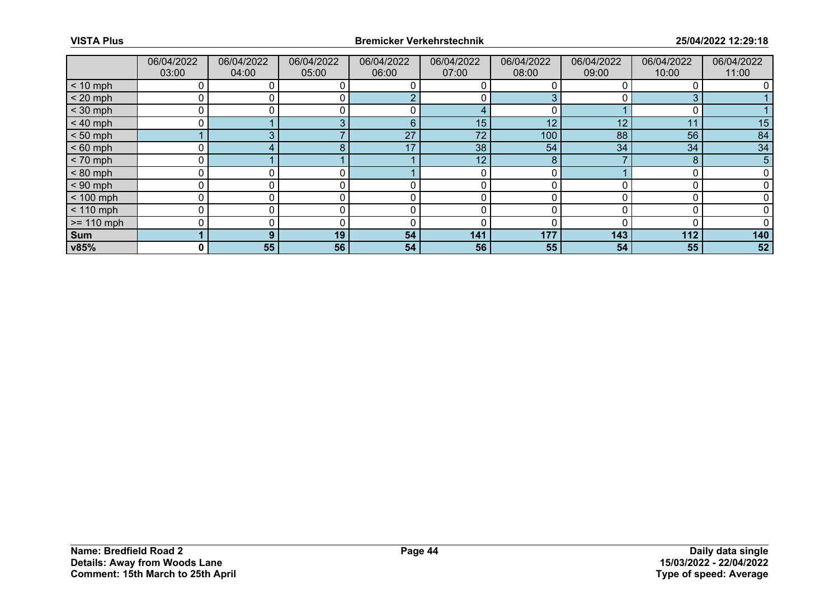|              | 06/04/2022<br>03:00 | 06/04/2022<br>04:00 | 06/04/2022<br>05:00 | 06/04/2022<br>06:00 | 06/04/2022<br>07:00 | 06/04/2022<br>08:00 | 06/04/2022<br>09:00 | 06/04/2022<br>10:00 | 06/04/2022<br>11:00 |
|--------------|---------------------|---------------------|---------------------|---------------------|---------------------|---------------------|---------------------|---------------------|---------------------|
| $< 10$ mph   |                     |                     |                     |                     |                     |                     |                     |                     |                     |
| $< 20$ mph   |                     |                     |                     |                     | 0                   |                     |                     | 3                   |                     |
| $<$ 30 mph   |                     |                     |                     |                     |                     |                     |                     |                     |                     |
| $< 40$ mph   |                     |                     |                     | 6                   | 15                  | 12                  | 12                  | 11                  | 15                  |
| $< 50$ mph   |                     |                     |                     | 27                  | 72                  | 100                 | 88                  | 56                  | 84                  |
| $< 60$ mph   |                     |                     |                     | 17                  | 38                  | 54                  | 34                  | 34                  | 34                  |
| $< 70$ mph   |                     |                     |                     |                     | 12 <sub>1</sub>     | 8                   |                     | 8                   | 5                   |
| $< 80$ mph   | C                   |                     |                     |                     | $\Omega$            |                     |                     |                     |                     |
| $< 90$ mph   |                     |                     |                     |                     |                     |                     |                     |                     |                     |
| $< 100$ mph  | C                   |                     |                     |                     | 0                   |                     |                     |                     |                     |
| $< 110$ mph  | ٢                   |                     |                     | 0                   | 0                   |                     |                     |                     |                     |
| $>= 110$ mph |                     |                     |                     |                     | C                   |                     |                     |                     |                     |
| <b>Sum</b>   |                     | 9                   | 19 <sub>1</sub>     | 54                  | 141                 | 177                 | 143                 | 112                 | 140                 |
| v85%         | 0                   | 55                  | 56                  | 54                  | 56                  | 55                  | 54                  | 55                  | 52                  |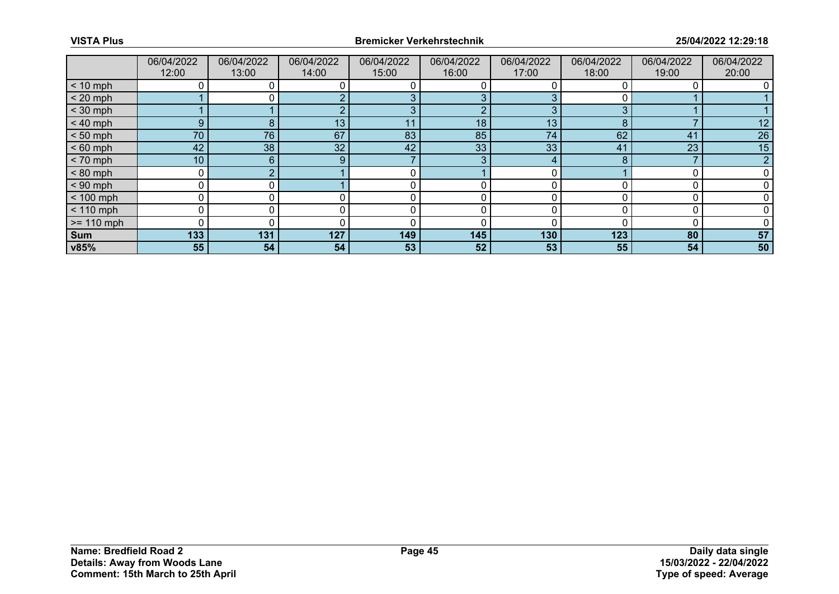|              | 06/04/2022<br>12:00 | 06/04/2022<br>13:00 | 06/04/2022<br>14:00 | 06/04/2022<br>15:00 | 06/04/2022<br>16:00 | 06/04/2022<br>17:00 | 06/04/2022<br>18:00 | 06/04/2022<br>19:00 | 06/04/2022<br>20:00 |
|--------------|---------------------|---------------------|---------------------|---------------------|---------------------|---------------------|---------------------|---------------------|---------------------|
| $< 10$ mph   | 0                   |                     |                     |                     |                     |                     |                     |                     |                     |
| $< 20$ mph   |                     |                     |                     |                     | 3                   |                     |                     |                     |                     |
| $<$ 30 mph   |                     |                     |                     | З                   | ◠                   | 3                   | ◠                   |                     |                     |
| $< 40$ mph   | 9                   | 8                   | 13 <sub>1</sub>     | 11                  | 18                  | 13                  | 8                   |                     | 12                  |
| $< 50$ mph   | 70                  | 76                  | 67                  | 83                  | 85                  | 74                  | 62                  | 41                  | 26                  |
| $< 60$ mph   | 42                  | 38                  | 32 <sup>2</sup>     | 42                  | 33                  | 33                  | 41                  | 23                  | 15                  |
| $< 70$ mph   | 10 <sup>°</sup>     | 6                   | 9                   |                     | 3                   | 4                   |                     |                     | o                   |
| $< 80$ mph   | 0                   | ◠                   |                     | C                   |                     | n                   |                     |                     |                     |
| $< 90$ mph   | 0                   |                     |                     |                     |                     |                     |                     |                     |                     |
| $< 100$ mph  | 0                   | 0                   |                     | 0                   | 0                   |                     |                     |                     |                     |
| $< 110$ mph  | 0                   | 0                   |                     | 0                   | 0                   | n                   |                     |                     |                     |
| $>= 110$ mph | $\Omega$            |                     |                     |                     | 0                   |                     |                     |                     |                     |
| Sum          | 133                 | 131                 | 127                 | 149                 | 145                 | 130                 | 123                 | 80                  | 57                  |
| v85%         | 55                  | 54                  | 54                  | 53                  | 52                  | 53                  | 55                  | 54                  | 50                  |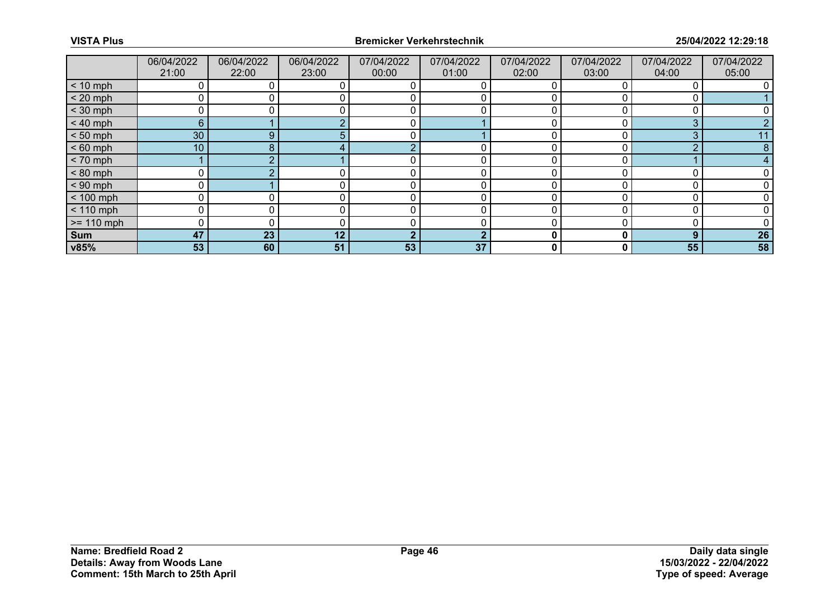|              | 06/04/2022<br>21:00 | 06/04/2022<br>22:00 | 06/04/2022<br>23:00 | 07/04/2022<br>00:00 | 07/04/2022<br>01:00 | 07/04/2022<br>02:00 | 07/04/2022<br>03:00 | 07/04/2022<br>04:00 | 07/04/2022<br>05:00 |
|--------------|---------------------|---------------------|---------------------|---------------------|---------------------|---------------------|---------------------|---------------------|---------------------|
| $< 10$ mph   |                     |                     |                     |                     |                     |                     |                     |                     |                     |
| $< 20$ mph   |                     |                     |                     |                     |                     |                     |                     |                     |                     |
| $<$ 30 mph   |                     |                     |                     |                     |                     |                     |                     |                     |                     |
| $< 40$ mph   | 6 <sup>°</sup>      |                     |                     | 0                   |                     |                     |                     | 3                   |                     |
| $< 50$ mph   | 30                  | 9                   |                     |                     |                     |                     |                     | З                   |                     |
| $< 60$ mph   | 10 <sup>°</sup>     | 8                   |                     | $\Omega$            |                     |                     |                     | ⌒                   |                     |
| $< 70$ mph   |                     |                     |                     | 0                   | 0                   | 0                   |                     |                     |                     |
| $< 80$ mph   |                     |                     |                     |                     | 0                   |                     |                     |                     |                     |
| $< 90$ mph   |                     |                     |                     |                     |                     |                     |                     |                     |                     |
| $< 100$ mph  | 0                   |                     |                     | 0                   | 0                   | <sup>0</sup>        |                     |                     |                     |
| $< 110$ mph  |                     |                     |                     |                     |                     |                     |                     |                     |                     |
| $>= 110$ mph |                     |                     |                     |                     |                     |                     |                     |                     |                     |
| <b>Sum</b>   | 47                  | 23                  | 12                  | າ                   | ◠                   | 0                   | 0                   | 9                   | 26                  |
| v85%         | 53                  | 60                  | 51                  | 53                  | 37                  | 0                   | 0                   | 55                  | 58                  |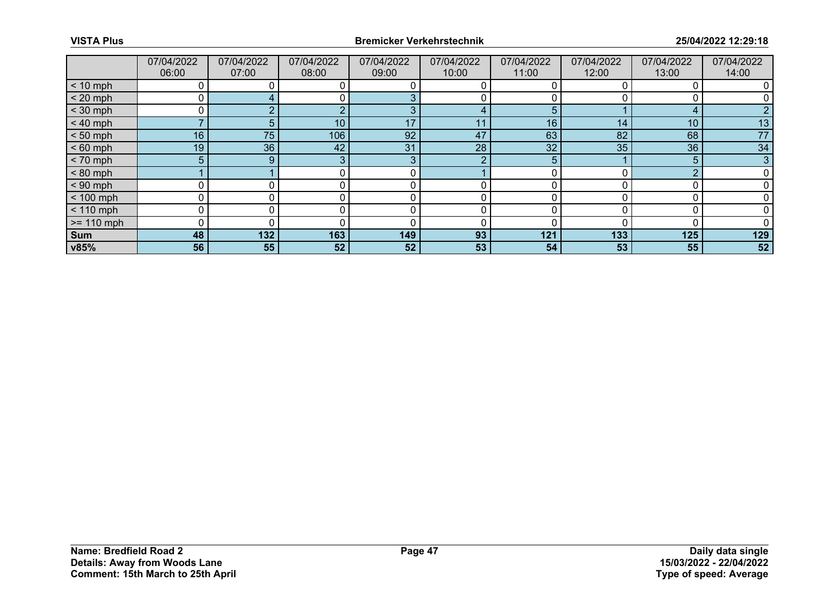|              | 07/04/2022<br>06:00 | 07/04/2022<br>07:00 | 07/04/2022<br>08:00 | 07/04/2022<br>09:00 | 07/04/2022<br>10:00 | 07/04/2022<br>11:00 | 07/04/2022<br>12:00 | 07/04/2022<br>13:00 | 07/04/2022<br>14:00 |
|--------------|---------------------|---------------------|---------------------|---------------------|---------------------|---------------------|---------------------|---------------------|---------------------|
| $< 10$ mph   |                     |                     |                     |                     |                     |                     |                     |                     |                     |
| $< 20$ mph   | 0                   |                     |                     |                     |                     |                     |                     |                     |                     |
| $<$ 30 mph   | ი                   |                     |                     |                     |                     |                     |                     |                     |                     |
| $< 40$ mph   |                     | 5.                  | 10 <sup>°</sup>     | 17                  | 11                  | 16                  | 14                  | 10                  | 13                  |
| $< 50$ mph   | 16                  | 75                  | 106                 | 92                  | 47                  | 63                  | 82                  | 68                  | 77                  |
| $< 60$ mph   | 19                  | 36                  | 42                  | 31                  | 28                  | 32                  | 35                  | 36                  | 34                  |
| $< 70$ mph   | 5 <sup>5</sup>      | $9^{\circ}$         | 3                   | 3                   | Ω                   | 5                   |                     | 5                   | 3                   |
| $< 80$ mph   |                     |                     |                     | 0                   |                     |                     |                     | ◠                   |                     |
| $< 90$ mph   | 0                   |                     |                     |                     |                     |                     |                     |                     |                     |
| $< 100$ mph  | 0                   | 0                   |                     | 0                   | 0                   |                     |                     |                     |                     |
| $< 110$ mph  | 0                   | 0                   |                     | 0                   | 0                   |                     |                     |                     |                     |
| $>= 110$ mph | 0                   |                     |                     |                     |                     |                     |                     |                     |                     |
| Sum          | 48                  | 132                 | 163                 | 149                 | 93                  | 121                 | 133                 | 125                 | 129                 |
| v85%         | 56                  | 55                  | 52                  | 52                  | 53                  | 54                  | 53                  | 55                  | 52                  |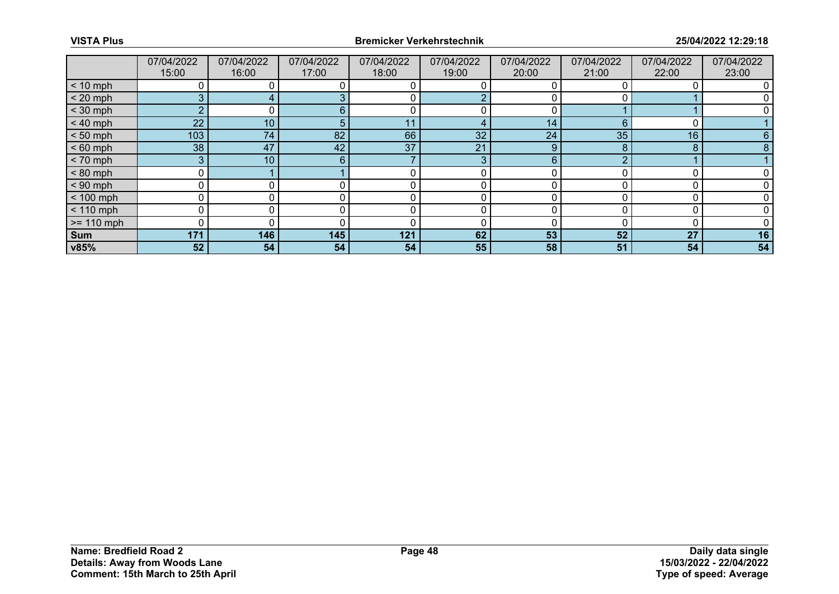|              | 07/04/2022<br>15:00 | 07/04/2022<br>16:00 | 07/04/2022<br>17:00 | 07/04/2022<br>18:00 | 07/04/2022<br>19:00 | 07/04/2022<br>20:00 | 07/04/2022<br>21:00 | 07/04/2022<br>22:00 | 07/04/2022<br>23:00 |
|--------------|---------------------|---------------------|---------------------|---------------------|---------------------|---------------------|---------------------|---------------------|---------------------|
| $< 10$ mph   |                     |                     |                     |                     |                     |                     |                     |                     |                     |
| $< 20$ mph   | 3                   |                     |                     | 0                   |                     |                     |                     |                     |                     |
| $<$ 30 mph   | 2                   |                     | ค                   |                     |                     |                     |                     |                     |                     |
| $< 40$ mph   | 22                  | 10 <sup>1</sup>     |                     | 11                  | 4                   | 14                  |                     |                     |                     |
| $< 50$ mph   | 103                 | 74                  | 82                  | 66                  | 32 <sup>°</sup>     | 24                  | 35                  | 16                  |                     |
| $< 60$ mph   | 38                  | 47                  | 42                  | 37                  | 21                  | 9                   |                     | 8                   |                     |
| $< 70$ mph   | 3 <sup>1</sup>      | 10 <sub>1</sub>     | 6                   |                     | 3                   | 6                   | ⌒                   |                     |                     |
| $< 80$ mph   | 0                   |                     |                     |                     | 0                   | ∩                   |                     |                     |                     |
| $< 90$ mph   |                     |                     |                     |                     |                     |                     |                     |                     |                     |
| $< 100$ mph  | 0                   |                     |                     | 0                   | 0                   | 0                   |                     |                     |                     |
| $< 110$ mph  |                     |                     |                     |                     |                     |                     |                     |                     |                     |
| $>= 110$ mph |                     |                     |                     |                     |                     |                     |                     |                     |                     |
| <b>Sum</b>   | 171                 | 146                 | 145                 | 121                 | 62                  | 53                  | 52                  | 27                  | 16                  |
| v85%         | 52                  | 54                  | 54                  | 54                  | 55                  | 58                  | 51                  | 54                  | 54                  |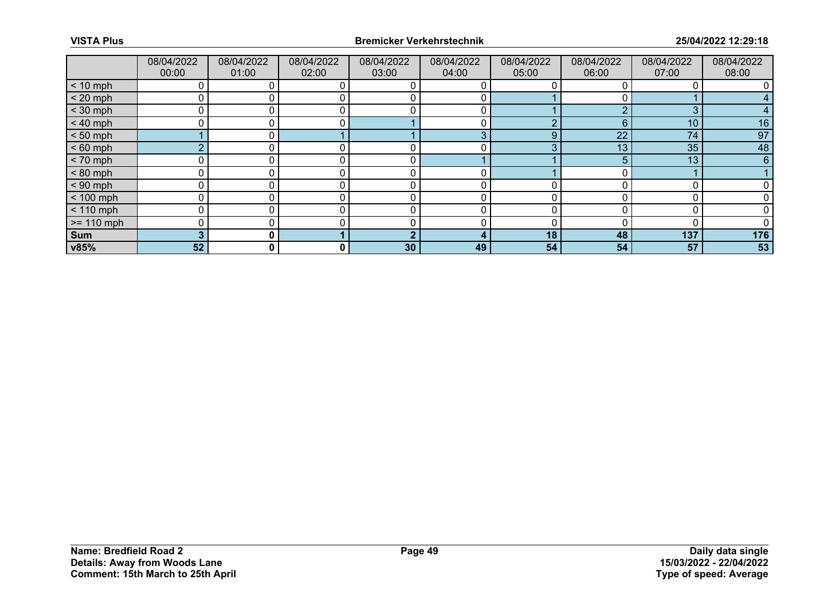|              | 08/04/2022<br>00:00 | 08/04/2022<br>01:00 | 08/04/2022<br>02:00 | 08/04/2022<br>03:00 | 08/04/2022<br>04:00 | 08/04/2022<br>05:00 | 08/04/2022<br>06:00 | 08/04/2022<br>07:00 | 08/04/2022<br>08:00 |
|--------------|---------------------|---------------------|---------------------|---------------------|---------------------|---------------------|---------------------|---------------------|---------------------|
| $< 10$ mph   |                     |                     |                     |                     |                     |                     |                     |                     |                     |
| $< 20$ mph   | 0                   |                     |                     |                     |                     |                     |                     |                     |                     |
| $<$ 30 mph   | 0                   |                     |                     |                     |                     |                     |                     | 3                   |                     |
| $< 40$ mph   | 0                   |                     |                     |                     |                     |                     | 6                   | 10                  | 16                  |
| $< 50$ mph   |                     | 0 I                 |                     |                     | 3                   | 9                   | 22                  | 74                  | 97                  |
| $< 60$ mph   | $\Omega$            |                     |                     |                     |                     | ◠                   | 13                  | 35                  | 48                  |
| $< 70$ mph   | 0                   |                     |                     |                     |                     |                     |                     | 13                  | 6                   |
| $< 80$ mph   | 0                   | 0                   |                     | 0                   |                     |                     |                     |                     |                     |
| $< 90$ mph   | 0                   |                     |                     |                     |                     |                     |                     |                     |                     |
| $< 100$ mph  | 0                   |                     |                     |                     |                     |                     |                     |                     |                     |
| $< 110$ mph  | 0                   |                     |                     | 0                   |                     |                     |                     |                     |                     |
| $>= 110$ mph | 0                   |                     |                     |                     | 0                   |                     |                     |                     |                     |
| Sum          | 3                   | 0 I                 |                     |                     |                     | 18                  | 48                  | 137                 | 176                 |
| v85%         | 52                  | $\mathbf{0}$        | 0                   | 30                  | 49                  | 54                  | 54                  | 57                  | 53                  |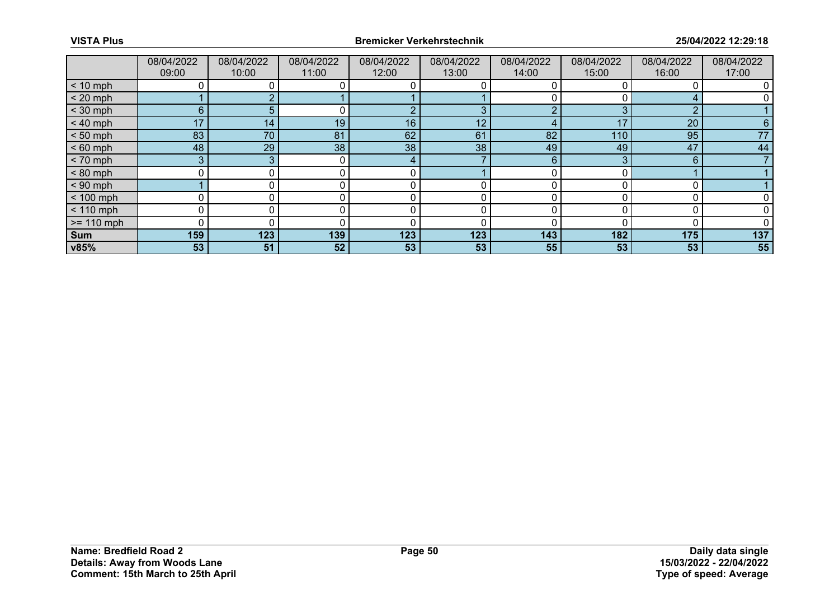|              | 08/04/2022 | 08/04/2022 | 08/04/2022   | 08/04/2022 | 08/04/2022 | 08/04/2022 | 08/04/2022 | 08/04/2022 | 08/04/2022 |
|--------------|------------|------------|--------------|------------|------------|------------|------------|------------|------------|
|              | 09:00      | 10:00      | 11:00        | 12:00      | 13:00      | 14:00      | 15:00      | 16:00      | 17:00      |
| $< 10$ mph   |            |            |              |            |            |            |            |            |            |
| $< 20$ mph   |            |            |              |            |            |            |            |            |            |
| $<$ 30 mph   | 6          |            |              |            | З          |            | ≘          | ◠          |            |
| $< 40$ mph   | 17         | 14         | 19           | 16         | 12         |            | 17         | 20         |            |
| $< 50$ mph   | 83         | 70         | 81           | 62         | 61         | 82         | 110        | 95         | 77         |
| $< 60$ mph   | 48         | 29         | 38           | 38         | 38         | 49         | 49         | 47         | 44         |
| $< 70$ mph   | 3          | 3          | $\mathbf{0}$ | 4          |            | 6          |            | 6          |            |
| $< 80$ mph   | 0          |            |              |            |            |            |            |            |            |
| $< 90$ mph   |            |            |              |            |            |            |            |            |            |
| $< 100$ mph  | 0          | 0          | 0            | 0          | 0          | O          |            |            |            |
| $< 110$ mph  | 0          |            |              |            |            |            |            |            |            |
| $>= 110$ mph | O          |            |              |            |            |            |            |            |            |
| Sum          | 159        | 123        | 139          | 123        | 123        | 143        | 182        | 175        | 137        |
| v85%         | 53         | 51         | 52           | 53         | 53         | 55         | 53         | 53         | 55         |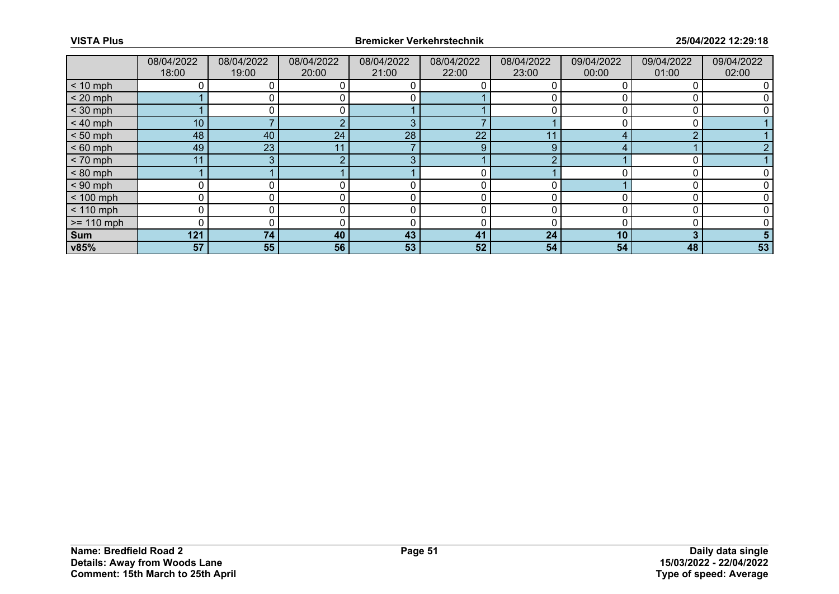|              | 08/04/2022<br>18:00 | 08/04/2022<br>19:00 | 08/04/2022<br>20:00 | 08/04/2022<br>21:00 | 08/04/2022<br>22:00 | 08/04/2022<br>23:00 | 09/04/2022<br>00:00 | 09/04/2022<br>01:00 | 09/04/2022<br>02:00 |
|--------------|---------------------|---------------------|---------------------|---------------------|---------------------|---------------------|---------------------|---------------------|---------------------|
| $< 10$ mph   |                     |                     |                     |                     |                     |                     |                     |                     |                     |
| $< 20$ mph   |                     |                     |                     |                     |                     |                     |                     |                     |                     |
| $<$ 30 mph   |                     |                     |                     |                     |                     |                     |                     |                     |                     |
| $< 40$ mph   | 10 <sub>1</sub>     |                     |                     | 3                   |                     |                     |                     |                     |                     |
| $< 50$ mph   | 48                  | 40                  | 24                  | 28                  | 22                  | 11                  | ⊿                   | ◠                   |                     |
| $< 60$ mph   | 49                  | 23                  |                     |                     | 9                   | $\Omega$            |                     |                     |                     |
| $< 70$ mph   | 11                  | 3                   |                     | ρ                   |                     |                     |                     |                     |                     |
| $< 80$ mph   |                     |                     |                     |                     | 0                   |                     |                     |                     |                     |
| $< 90$ mph   | 0                   |                     |                     |                     |                     |                     |                     |                     |                     |
| $< 100$ mph  | 0                   |                     |                     |                     | 0                   |                     |                     |                     |                     |
| $< 110$ mph  | 0                   |                     |                     |                     | 0                   |                     |                     |                     |                     |
| $>= 110$ mph | 0                   |                     |                     |                     |                     |                     |                     |                     |                     |
| Sum          | 121                 | 74                  | 40                  | 43                  | 41                  | 24                  | 10 <sub>1</sub>     | 3                   |                     |
| v85%         | 57                  | 55                  | 56                  | 53                  | 52                  | 54                  | 54                  | 48                  | 53                  |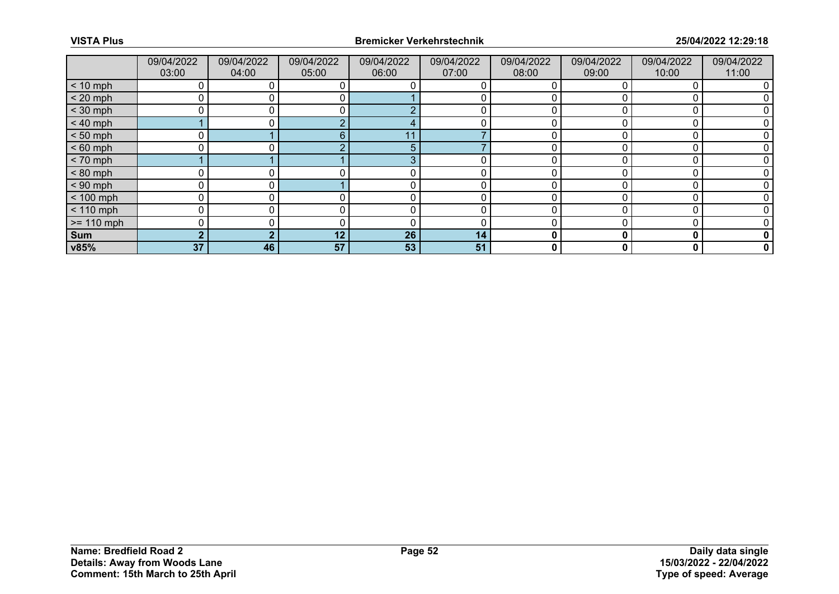|              | 09/04/2022<br>03:00 | 09/04/2022<br>04:00 | 09/04/2022<br>05:00 | 09/04/2022<br>06:00 | 09/04/2022<br>07:00 | 09/04/2022<br>08:00 | 09/04/2022<br>09:00 | 09/04/2022<br>10:00 | 09/04/2022<br>11:00 |
|--------------|---------------------|---------------------|---------------------|---------------------|---------------------|---------------------|---------------------|---------------------|---------------------|
| $< 10$ mph   | 0                   |                     |                     |                     |                     |                     |                     |                     |                     |
| $< 20$ mph   |                     |                     |                     |                     |                     |                     |                     |                     |                     |
| $<$ 30 mph   | 0                   |                     |                     | $\sqrt{2}$          |                     |                     |                     |                     |                     |
| $< 40$ mph   |                     | 0 I                 | $\Omega$            |                     | 0                   |                     |                     |                     |                     |
| $< 50$ mph   |                     |                     | 6.                  | 11                  |                     |                     |                     |                     |                     |
| $< 60$ mph   | ∩                   |                     | $\sqrt{2}$          | 5                   |                     |                     |                     |                     |                     |
| $< 70$ mph   |                     |                     |                     | З                   | 0                   |                     |                     |                     |                     |
| $< 80$ mph   | 0                   |                     |                     |                     |                     |                     |                     |                     |                     |
| $< 90$ mph   | 0                   |                     |                     |                     |                     |                     |                     |                     |                     |
| $< 100$ mph  | $\mathbf{0}$        | 0                   |                     | 0                   | 0                   |                     |                     |                     |                     |
| $< 110$ mph  | 0                   |                     |                     |                     |                     |                     |                     |                     |                     |
| $>= 110$ mph | 0                   |                     |                     | ſ                   |                     |                     |                     |                     |                     |
| Sum          | $\overline{2}$      | ◠                   | 12                  | 26                  | 14                  | 0                   |                     | 0                   |                     |
| v85%         | 37                  | 46                  | 57                  | 53                  | 51                  | 0                   |                     | 0                   | 0                   |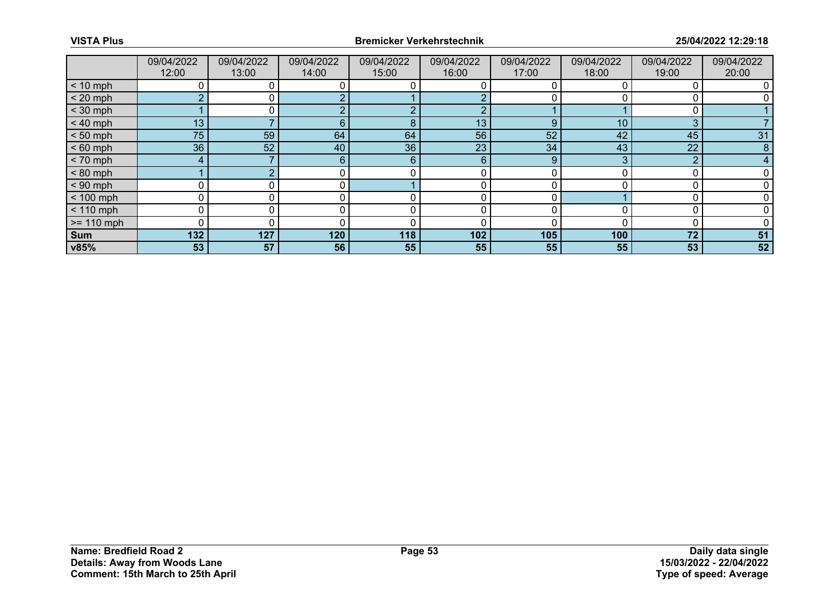|              | 09/04/2022<br>12:00 | 09/04/2022<br>13:00 | 09/04/2022<br>14:00 | 09/04/2022<br>15:00 | 09/04/2022<br>16:00 | 09/04/2022<br>17:00 | 09/04/2022<br>18:00 | 09/04/2022<br>19:00 | 09/04/2022<br>20:00 |
|--------------|---------------------|---------------------|---------------------|---------------------|---------------------|---------------------|---------------------|---------------------|---------------------|
| $< 10$ mph   |                     |                     |                     |                     |                     |                     |                     |                     |                     |
| $< 20$ mph   | C                   |                     |                     |                     |                     |                     |                     |                     |                     |
| $<$ 30 mph   |                     |                     |                     |                     |                     |                     |                     |                     |                     |
| $< 40$ mph   | 13                  |                     | 6                   | 8                   | 13                  | 9                   | 10 <sup>°</sup>     | 3                   |                     |
| $< 50$ mph   | 75 <sub>1</sub>     | 59                  | 64                  | 64                  | 56                  | 52                  | 42                  | 45                  | 31                  |
| $< 60$ mph   | 36                  | 52                  | 40                  | 36                  | 23                  | 34                  | 43                  | 22                  | 8                   |
| $< 70$ mph   | 4                   |                     | $6^{\circ}$         | 6                   | 6                   | 9                   |                     | C                   |                     |
| $< 80$ mph   |                     |                     |                     |                     | 0                   |                     |                     |                     |                     |
| $< 90$ mph   | 0                   |                     |                     |                     |                     |                     |                     |                     |                     |
| $< 100$ mph  | 0                   |                     |                     |                     | 0                   |                     |                     |                     |                     |
| $< 110$ mph  | 0                   |                     |                     |                     | 0                   |                     |                     |                     |                     |
| $>= 110$ mph | 0                   |                     |                     |                     |                     |                     |                     |                     |                     |
| Sum          | 132                 | 127                 | 120                 | 118                 | 102                 | 105                 | 100                 | 72                  | 51                  |
| v85%         | 53                  | 57                  | 56                  | 55                  | 55                  | 55                  | 55                  | 53                  | 52                  |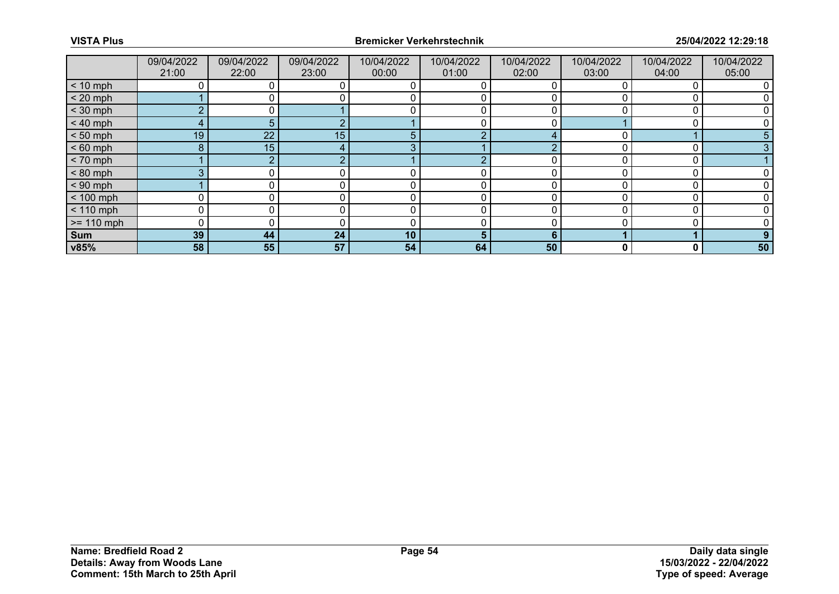|              | 09/04/2022<br>21:00 | 09/04/2022<br>22:00 | 09/04/2022<br>23:00 | 10/04/2022<br>00:00 | 10/04/2022<br>01:00 | 10/04/2022<br>02:00 | 10/04/2022<br>03:00 | 10/04/2022<br>04:00 | 10/04/2022<br>05:00 |
|--------------|---------------------|---------------------|---------------------|---------------------|---------------------|---------------------|---------------------|---------------------|---------------------|
| $< 10$ mph   |                     |                     |                     |                     |                     |                     |                     |                     |                     |
| $< 20$ mph   |                     |                     |                     |                     |                     |                     |                     |                     |                     |
| $<$ 30 mph   | <sub>o</sub>        |                     |                     |                     |                     |                     |                     |                     |                     |
| $< 40$ mph   | 4                   | 5 <sup>1</sup>      |                     |                     |                     |                     |                     |                     |                     |
| $< 50$ mph   | 19                  | 22                  | 15                  | 5                   | ◠                   | $\prime$            |                     |                     |                     |
| $< 60$ mph   | 8                   | 15                  |                     |                     |                     |                     |                     |                     |                     |
| $< 70$ mph   |                     | o                   |                     |                     |                     |                     |                     |                     |                     |
| $< 80$ mph   | 3                   |                     |                     |                     |                     |                     |                     |                     |                     |
| $< 90$ mph   |                     |                     |                     |                     |                     |                     |                     |                     |                     |
| $< 100$ mph  | 0                   | 0                   |                     | 0                   | 0                   |                     |                     |                     |                     |
| $< 110$ mph  | $\mathbf{0}$        | 0                   |                     | 0                   | 0                   |                     |                     |                     |                     |
| $>= 110$ mph | 0                   |                     |                     |                     |                     |                     |                     |                     |                     |
| Sum          | 39                  | 44                  | 24                  | 10                  | 5.                  | 6                   |                     |                     |                     |
| v85%         | 58                  | 55                  | 57                  | 54                  | 64                  | 50                  | 0                   | 0                   | 50                  |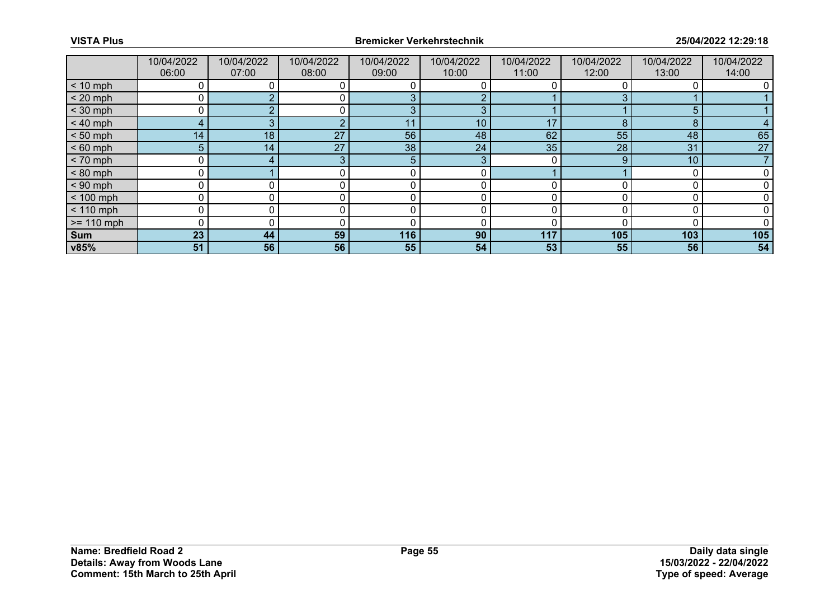|              | 10/04/2022<br>06:00 | 10/04/2022<br>07:00 | 10/04/2022<br>08:00 | 10/04/2022<br>09:00 | 10/04/2022<br>10:00 | 10/04/2022<br>11:00 | 10/04/2022<br>12:00 | 10/04/2022<br>13:00 | 10/04/2022<br>14:00 |
|--------------|---------------------|---------------------|---------------------|---------------------|---------------------|---------------------|---------------------|---------------------|---------------------|
| $< 10$ mph   |                     |                     |                     |                     |                     |                     |                     |                     |                     |
| $< 20$ mph   | 0                   |                     | 0                   |                     |                     |                     |                     |                     |                     |
| $<$ 30 mph   |                     |                     |                     | £                   | З                   |                     |                     | 5                   |                     |
| $< 40$ mph   | 4                   | 3                   | C                   | 11                  | 10                  | 17                  | 8                   | 8                   |                     |
| $< 50$ mph   | 14 <sub>1</sub>     | 18                  | 27                  | 56                  | 48                  | 62                  | 55                  | 48                  | 65                  |
| $< 60$ mph   | 5                   | 14                  | 27                  | 38                  | 24                  | 35                  | 28                  | 31                  | 27                  |
| $< 70$ mph   | 0                   | 4                   | 3                   | 5                   | 3                   |                     | 9                   | 10                  |                     |
| $< 80$ mph   | 0                   |                     |                     |                     |                     |                     |                     |                     |                     |
| $< 90$ mph   | O                   |                     |                     |                     |                     |                     |                     |                     |                     |
| $< 100$ mph  | 0                   | 0                   | 0                   | 0                   | 0                   | U                   |                     |                     |                     |
| $< 110$ mph  | 0                   |                     |                     |                     |                     |                     |                     |                     |                     |
| $>= 110$ mph | $\Omega$            |                     |                     |                     |                     |                     |                     |                     |                     |
| Sum          | 23                  | 44                  | 59                  | 116                 | 90                  | 117                 | 105                 | 103                 | 105                 |
| v85%         | 51                  | 56                  | 56                  | 55                  | 54                  | 53                  | 55                  | 56                  | 54                  |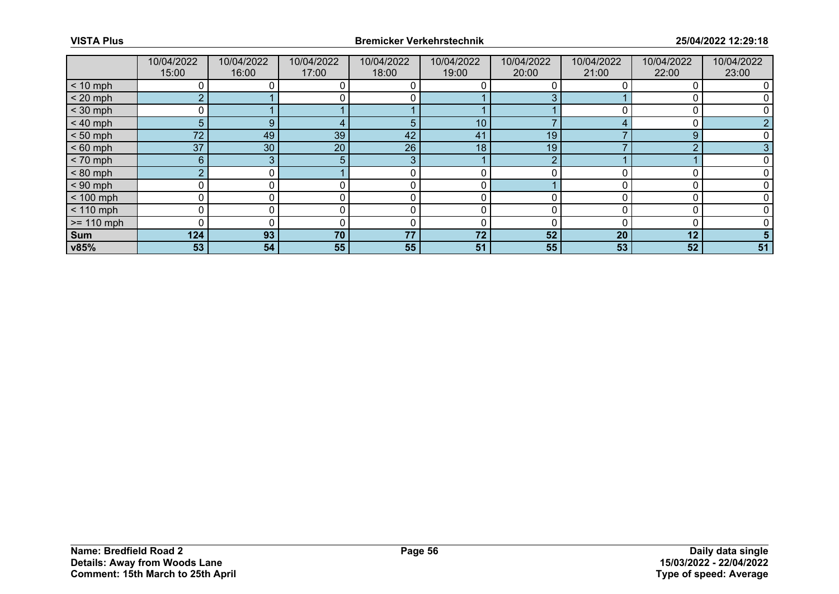|              | 10/04/2022<br>15:00 | 10/04/2022<br>16:00 | 10/04/2022<br>17:00 | 10/04/2022<br>18:00 | 10/04/2022<br>19:00 | 10/04/2022<br>20:00 | 10/04/2022<br>21:00 | 10/04/2022<br>22:00 | 10/04/2022<br>23:00 |
|--------------|---------------------|---------------------|---------------------|---------------------|---------------------|---------------------|---------------------|---------------------|---------------------|
| $< 10$ mph   |                     |                     |                     |                     |                     |                     |                     |                     |                     |
| $< 20$ mph   | $\overline{2}$      |                     |                     |                     |                     |                     |                     |                     |                     |
| $<$ 30 mph   |                     |                     |                     |                     |                     |                     |                     |                     |                     |
| $< 40$ mph   | 5                   | 9                   |                     | 5                   | 10                  |                     |                     |                     |                     |
| $< 50$ mph   | 72                  | 49                  | 39                  | 42                  | 41                  | 19                  |                     | 9                   |                     |
| $< 60$ mph   | 37                  | 30                  | 20                  | 26                  | 18 <sub>1</sub>     | 19                  |                     | ⌒                   |                     |
| $< 70$ mph   | $6\phantom{1}$      | 3                   | 5.                  | 3                   |                     | ∩                   |                     |                     |                     |
| $< 80$ mph   | $\overline{2}$      |                     |                     |                     |                     |                     |                     |                     |                     |
| $< 90$ mph   | O                   |                     |                     |                     |                     |                     |                     |                     |                     |
| $< 100$ mph  | 0                   | 0                   |                     |                     | 0                   |                     |                     |                     |                     |
| $< 110$ mph  | 0                   |                     |                     |                     |                     |                     |                     |                     |                     |
| $>= 110$ mph | 0                   |                     |                     |                     |                     |                     |                     |                     |                     |
| Sum          | 124                 | 93                  | 70                  | 77                  | 72                  | 52                  | 20 <sub>2</sub>     | 12                  |                     |
| v85%         | 53                  | 54                  | 55                  | 55                  | 51                  | 55                  | 53                  | 52                  | 51                  |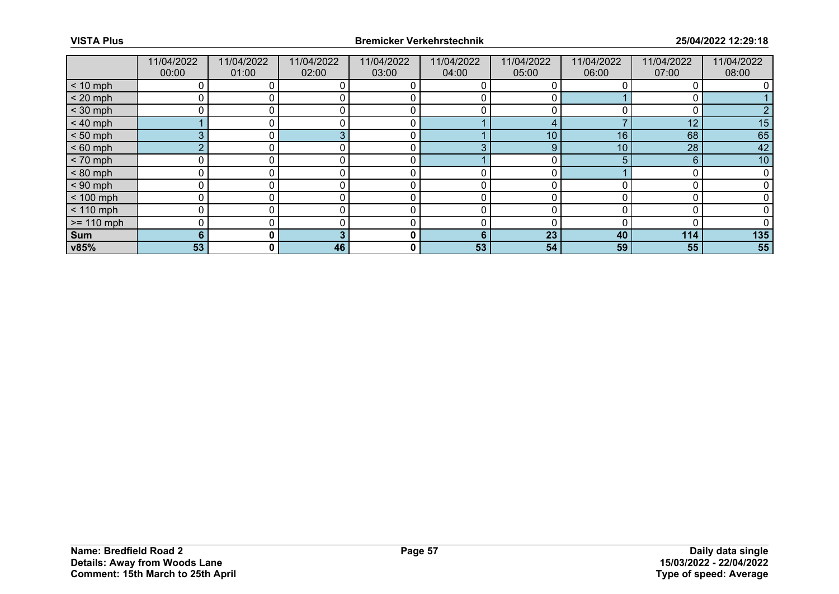|              | 11/04/2022<br>00:00 | 11/04/2022<br>01:00 | 11/04/2022<br>02:00 | 11/04/2022<br>03:00 | 11/04/2022<br>04:00 | 11/04/2022<br>05:00 | 11/04/2022<br>06:00 | 11/04/2022<br>07:00 | 11/04/2022<br>08:00 |
|--------------|---------------------|---------------------|---------------------|---------------------|---------------------|---------------------|---------------------|---------------------|---------------------|
| $< 10$ mph   |                     |                     |                     |                     |                     |                     |                     |                     |                     |
| $< 20$ mph   | 0                   |                     |                     |                     |                     |                     |                     |                     |                     |
| $<$ 30 mph   |                     |                     |                     |                     |                     |                     |                     |                     |                     |
| $< 40$ mph   |                     |                     |                     |                     |                     |                     |                     | 12                  | 15                  |
| $< 50$ mph   | 3                   | 0 I                 |                     | C                   |                     | 10                  | 16                  | 68                  | 65                  |
| $< 60$ mph   | $\Omega$            |                     |                     |                     |                     | 9                   | 10                  | 28                  | 42                  |
| $< 70$ mph   | 0                   |                     |                     |                     |                     |                     |                     | 6                   | 10                  |
| $< 80$ mph   | 0                   |                     |                     | C                   |                     |                     |                     |                     |                     |
| $< 90$ mph   | 0                   |                     |                     |                     |                     |                     |                     |                     |                     |
| $< 100$ mph  | 0                   | 0                   |                     | 0                   | 0                   |                     |                     |                     |                     |
| $< 110$ mph  | 0                   | 0                   |                     | 0                   | 0                   |                     |                     |                     |                     |
| $>= 110$ mph | 0                   |                     |                     |                     |                     |                     |                     |                     |                     |
| Sum          | 6                   | $\mathbf{0}$        |                     | 0                   | 6                   | 23                  | 40                  | 114                 | 135                 |
| v85%         | 53                  | $\mathbf{0}$        | 46                  | 0                   | 53                  | 54                  | 59                  | 55                  | 55                  |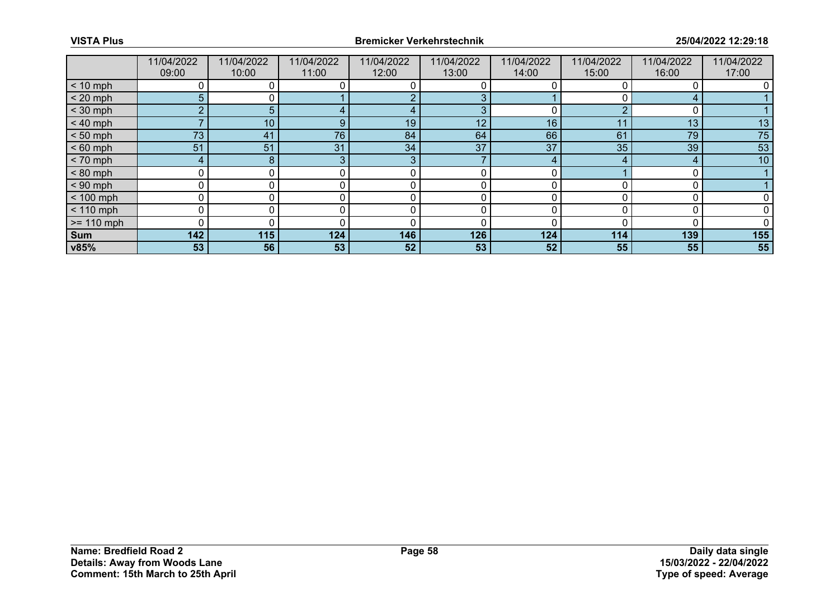|              | 11/04/2022<br>09:00 | 11/04/2022<br>10:00 | 11/04/2022<br>11:00 | 11/04/2022<br>12:00 | 11/04/2022<br>13:00 | 11/04/2022<br>14:00 | 11/04/2022<br>15:00 | 11/04/2022<br>16:00 | 11/04/2022<br>17:00 |
|--------------|---------------------|---------------------|---------------------|---------------------|---------------------|---------------------|---------------------|---------------------|---------------------|
|              |                     |                     |                     |                     |                     |                     |                     |                     |                     |
| $< 10$ mph   |                     |                     |                     |                     |                     |                     |                     |                     |                     |
| $< 20$ mph   | 5                   | 0 l                 |                     |                     | 3                   |                     |                     | 4                   |                     |
| $<$ 30 mph   | <sub>o</sub>        | 5.                  |                     |                     | З                   |                     |                     |                     |                     |
| $< 40$ mph   |                     | 10                  | 9                   | 19                  | 12                  | 16                  | 11                  | 13                  | 13                  |
| $< 50$ mph   | 73                  | 41                  | 76                  | 84                  | 64                  | 66                  | 61                  | 79                  | 75                  |
| $< 60$ mph   | 51                  | 51                  | 31                  | 34                  | 37                  | 37                  | 35                  | 39                  | 53                  |
| $< 70$ mph   | 4                   | 8                   | 3                   | 3                   |                     | 4                   |                     |                     | 10                  |
| $< 80$ mph   | 0                   | 0                   |                     | 0                   | 0                   |                     |                     |                     |                     |
| $< 90$ mph   | 0                   |                     |                     |                     |                     |                     |                     |                     |                     |
| $< 100$ mph  | 0                   | 0                   |                     | 0                   | 0                   |                     |                     |                     |                     |
| $< 110$ mph  | 0                   | 0                   | $\Omega$ .          | 0                   | 0                   |                     |                     |                     |                     |
| $>= 110$ mph | 0                   |                     |                     |                     |                     |                     |                     |                     |                     |
| Sum          | 142                 | 115                 | 124                 | 146                 | 126                 | 124                 | 114                 | 139                 | 155                 |
| v85%         | 53                  | 56                  | 53                  | 52                  | 53                  | 52                  | 55                  | 55                  | 55                  |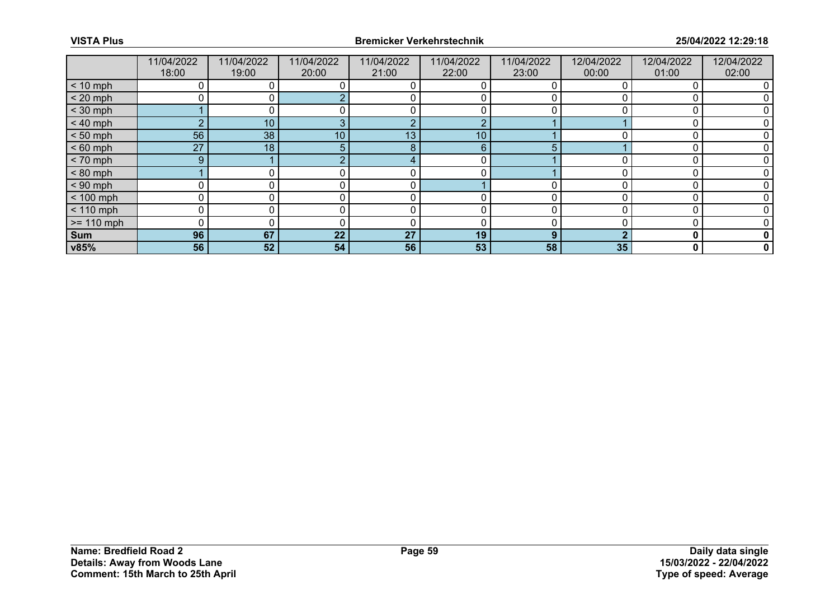|              | 11/04/2022     | 11/04/2022 | 11/04/2022      | 11/04/2022 | 11/04/2022 | 11/04/2022 | 12/04/2022 | 12/04/2022 | 12/04/2022 |
|--------------|----------------|------------|-----------------|------------|------------|------------|------------|------------|------------|
|              | 18:00          | 19:00      | 20:00           | 21:00      | 22:00      | 23:00      | 00:00      | 01:00      | 02:00      |
| $< 10$ mph   |                |            |                 |            |            |            |            |            |            |
| $< 20$ mph   | U              | ΟI         |                 |            |            |            |            |            |            |
| $<$ 30 mph   |                |            |                 |            |            |            |            |            |            |
| $< 40$ mph   | $\overline{2}$ | 10         | 3               | റ          | റ          |            |            |            |            |
| $< 50$ mph   | 56             | 38         | 10 <sup>°</sup> | 13         | 10         |            |            |            |            |
| $< 60$ mph   | 27             | 18         | 5.              | 8          | 6          |            |            |            |            |
| $< 70$ mph   | 9              |            | $\sim$          |            | 0          |            |            |            |            |
| $< 80$ mph   |                |            |                 |            |            |            |            |            |            |
| $< 90$ mph   |                |            |                 |            |            |            |            |            |            |
| $< 100$ mph  | 0              | 0          | 0               | 0          | 0          |            |            |            |            |
| $< 110$ mph  | 0              |            |                 |            |            |            |            |            |            |
| $>= 110$ mph | 0              |            |                 |            |            |            |            |            |            |
| Sum          | 96             | 67         | 22              | 27         | 19         | 9          |            | 0          |            |
| v85%         | 56             | 52         | 54              | 56         | 53         | 58         | 35         | 0          | 0          |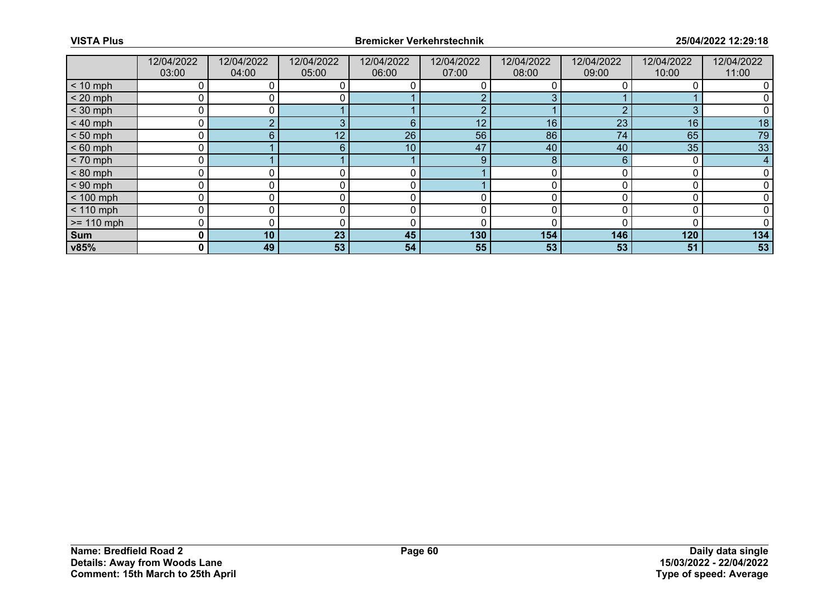|              | 12/04/2022<br>03:00 | 12/04/2022<br>04:00 | 12/04/2022<br>05:00 | 12/04/2022<br>06:00 | 12/04/2022<br>07:00 | 12/04/2022<br>08:00 | 12/04/2022<br>09:00 | 12/04/2022<br>10:00 | 12/04/2022<br>11:00 |
|--------------|---------------------|---------------------|---------------------|---------------------|---------------------|---------------------|---------------------|---------------------|---------------------|
|              |                     |                     |                     |                     |                     |                     |                     |                     |                     |
| $< 10$ mph   |                     |                     |                     |                     |                     |                     |                     |                     |                     |
| $< 20$ mph   | 0                   |                     | 0                   |                     |                     | 3                   |                     |                     |                     |
| $<$ 30 mph   | ი                   |                     |                     |                     |                     |                     |                     |                     |                     |
| $< 40$ mph   | 0                   |                     | 3                   | 6                   | 12                  | 16                  | 23                  | 16                  | 18                  |
| $< 50$ mph   | 0                   | 6.                  | 12 <sub>1</sub>     | 26                  | 56                  | 86                  | 74                  | 65                  | 79                  |
| $< 60$ mph   | 0                   |                     | 6.                  | 10                  | 47                  | 40                  | 40                  | 35                  | 33                  |
| $< 70$ mph   | 0                   |                     |                     |                     | 9                   | 8                   | 6                   |                     | 4                   |
| $< 80$ mph   | 0                   |                     |                     | C                   |                     |                     |                     |                     |                     |
| $< 90$ mph   | 0                   |                     |                     |                     |                     |                     |                     |                     |                     |
| $< 100$ mph  | 0                   | 0                   |                     | 0                   |                     |                     |                     |                     |                     |
| $< 110$ mph  | 0                   | 0                   |                     | 0                   | 0                   |                     |                     |                     |                     |
| $>= 110$ mph | 0                   |                     |                     |                     |                     |                     |                     |                     |                     |
| Sum          | 0                   | 10                  | 23                  | 45                  | 130                 | 154                 | 146                 | 120                 | 134                 |
| v85%         | 0                   | 49                  | 53                  | 54                  | 55                  | 53                  | 53                  | 51                  | 53                  |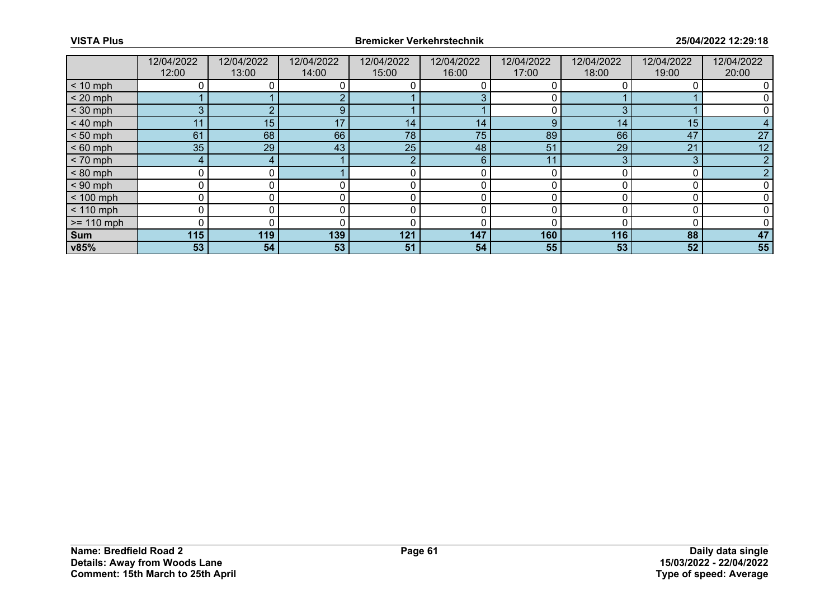|              | 12/04/2022<br>12:00 | 12/04/2022<br>13:00 | 12/04/2022<br>14:00 | 12/04/2022<br>15:00 | 12/04/2022<br>16:00 | 12/04/2022<br>17:00 | 12/04/2022<br>18:00 | 12/04/2022<br>19:00 | 12/04/2022<br>20:00 |
|--------------|---------------------|---------------------|---------------------|---------------------|---------------------|---------------------|---------------------|---------------------|---------------------|
| $< 10$ mph   | 0                   |                     |                     |                     |                     |                     |                     |                     |                     |
| $< 20$ mph   |                     |                     |                     |                     |                     |                     |                     |                     |                     |
| $<$ 30 mph   | 3                   |                     | 9                   |                     |                     |                     | n                   |                     |                     |
| $< 40$ mph   | 11                  | 15                  | 17                  | 14                  | 14 <sub>1</sub>     | 9                   | 14                  | 15                  |                     |
| $< 50$ mph   | 61                  | 68                  | 66                  | 78                  | 75                  | 89                  | 66                  | 47                  | 27                  |
| $< 60$ mph   | 35                  | 29                  | 43                  | 25                  | 48                  | 51                  | 29                  | 21                  | 12                  |
| $< 70$ mph   | 4                   | 4                   |                     | - 2                 | 6                   | 11                  |                     | 3                   |                     |
| $< 80$ mph   | $\mathbf 0$         |                     |                     |                     | 0                   |                     |                     |                     |                     |
| $< 90$ mph   | 0                   |                     |                     |                     |                     |                     |                     |                     |                     |
| $< 100$ mph  | 0                   | 0                   | 0                   | 0                   | 0                   | U                   |                     |                     |                     |
| $< 110$ mph  | 0                   |                     |                     |                     |                     |                     |                     |                     |                     |
| $>= 110$ mph | 0                   |                     |                     | ſ                   |                     |                     |                     |                     |                     |
| Sum          | 115                 | 119                 | 139                 | 121                 | 147                 | 160                 | 116                 | 88                  | 47                  |
| v85%         | 53                  | 54                  | 53                  | 51                  | 54                  | 55                  | 53                  | 52                  | 55                  |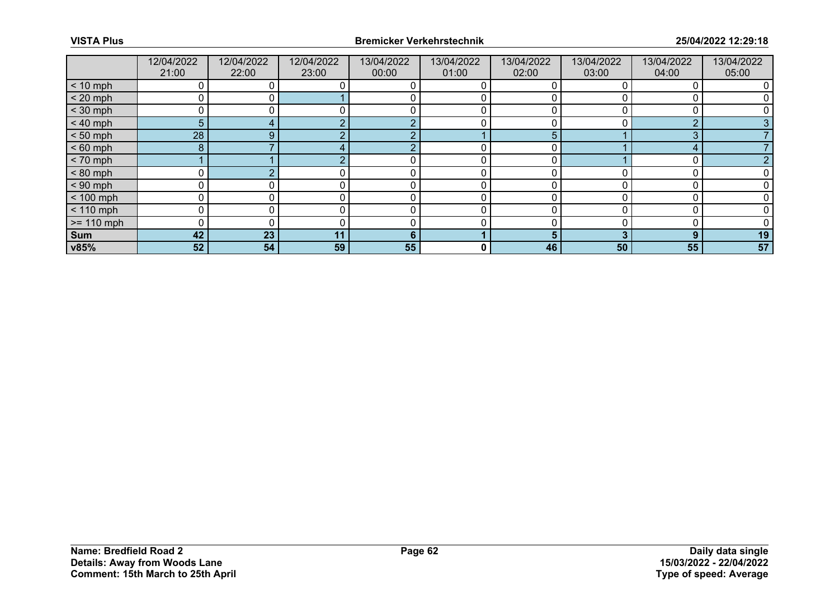|              | 12/04/2022<br>21:00 | 12/04/2022<br>22:00 | 12/04/2022<br>23:00 | 13/04/2022<br>00:00 | 13/04/2022<br>01:00 | 13/04/2022<br>02:00 | 13/04/2022<br>03:00 | 13/04/2022<br>04:00 | 13/04/2022<br>05:00 |
|--------------|---------------------|---------------------|---------------------|---------------------|---------------------|---------------------|---------------------|---------------------|---------------------|
| $< 10$ mph   | 0                   |                     |                     |                     | O                   |                     |                     |                     |                     |
| $< 20$ mph   | 0                   |                     |                     |                     |                     |                     |                     |                     |                     |
| $<$ 30 mph   | 0                   |                     |                     |                     |                     |                     |                     |                     |                     |
| $< 40$ mph   | 5                   |                     |                     | $\Omega$            | 0                   |                     |                     | $\Omega$            |                     |
| $< 50$ mph   | 28                  | 9                   |                     |                     |                     | 5                   |                     | 3                   |                     |
| $< 60$ mph   | 8                   |                     |                     | ╭                   |                     |                     |                     | ◢                   |                     |
| $< 70$ mph   |                     |                     |                     |                     | 0                   | 0                   |                     | 0                   |                     |
| $< 80$ mph   |                     |                     |                     |                     |                     |                     |                     |                     |                     |
| $< 90$ mph   | 0                   |                     |                     |                     |                     |                     |                     |                     |                     |
| $< 100$ mph  | 0                   | 0                   |                     | r                   | 0                   | O                   |                     |                     |                     |
| $< 110$ mph  | 0                   |                     |                     |                     |                     |                     |                     |                     |                     |
| $>= 110$ mph | 0                   |                     |                     |                     |                     |                     |                     |                     |                     |
| Sum          | 42                  | 23                  | 11                  | 6                   |                     | 5                   | 3                   | 9                   | 19                  |
| v85%         | 52                  | 54                  | 59                  | 55                  | 0                   | 46                  | 50                  | 55                  | 57                  |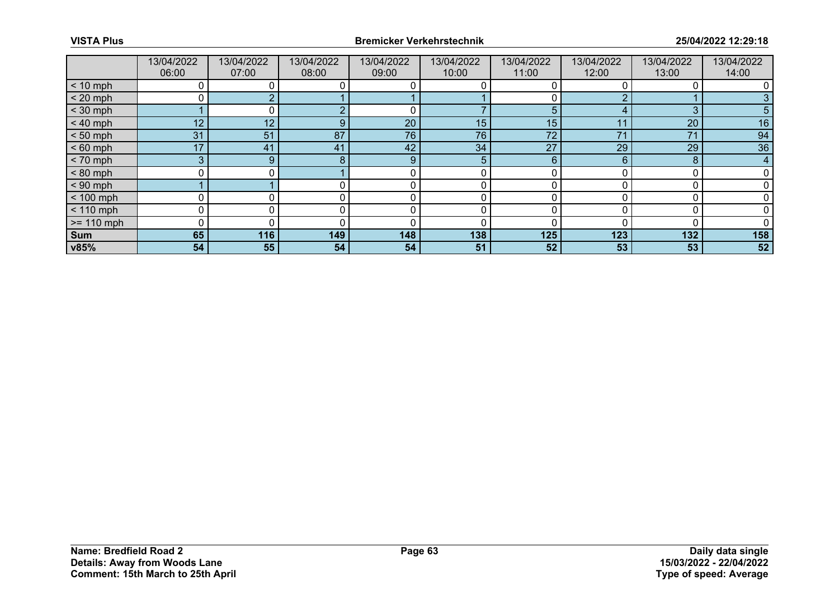|              | 13/04/2022<br>06:00 | 13/04/2022<br>07:00 | 13/04/2022<br>08:00 | 13/04/2022<br>09:00 | 13/04/2022<br>10:00 | 13/04/2022<br>11:00 | 13/04/2022<br>12:00 | 13/04/2022<br>13:00 | 13/04/2022<br>14:00 |
|--------------|---------------------|---------------------|---------------------|---------------------|---------------------|---------------------|---------------------|---------------------|---------------------|
| $< 10$ mph   |                     |                     |                     |                     |                     |                     |                     |                     |                     |
| $< 20$ mph   | 0                   |                     |                     |                     |                     |                     |                     |                     |                     |
| $<$ 30 mph   |                     |                     |                     |                     |                     |                     |                     | 3                   |                     |
| $< 40$ mph   | 12                  | 12                  | 9                   | 20                  | 15                  | 15                  | 11                  | 20                  | 16                  |
| $< 50$ mph   | 31                  | 51                  | 87                  | 76                  | 76                  | 72                  | 71                  | 71                  | 94                  |
| $< 60$ mph   | 17                  | 41                  | 41                  | 42                  | 34                  | 27                  | 29                  | 29                  | 36                  |
| $< 70$ mph   | 3                   | 9                   | 8                   | 9                   | 5                   | 6                   | 6                   | 8                   | 4                   |
| $< 80$ mph   | 0                   | 0 I                 |                     | 0                   | 0                   |                     |                     |                     |                     |
| $< 90$ mph   |                     |                     |                     |                     |                     |                     |                     |                     |                     |
| $< 100$ mph  | 0                   |                     |                     | 0                   | 0                   |                     |                     |                     |                     |
| $< 110$ mph  | 0                   | 0                   | 0                   | 0                   | 0                   |                     |                     |                     |                     |
| $>= 110$ mph | 0                   |                     |                     |                     |                     |                     |                     |                     |                     |
| Sum          | 65                  | 116                 | 149                 | 148                 | 138                 | 125                 | 123                 | 132                 | 158                 |
| v85%         | 54                  | 55                  | 54                  | 54                  | 51                  | 52                  | 53                  | 53                  | 52                  |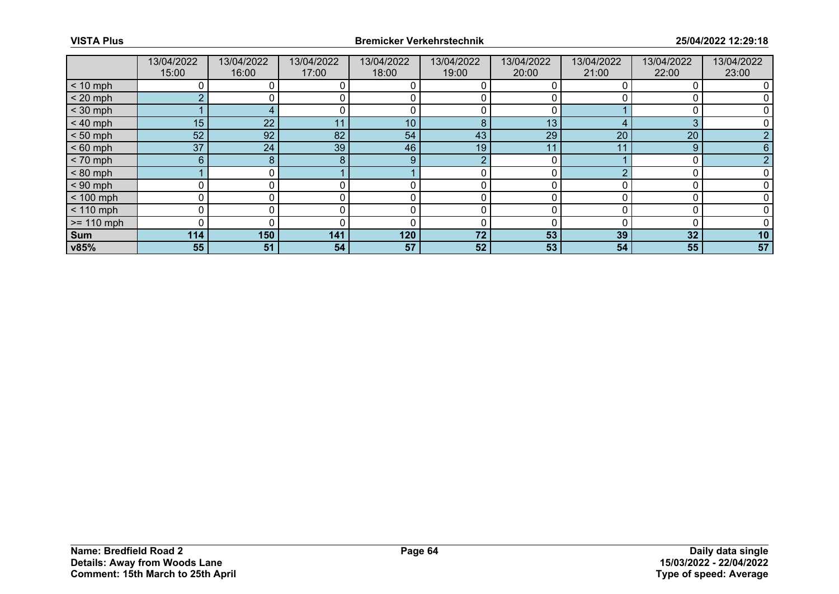|              | 13/04/2022      | 13/04/2022 | 13/04/2022 | 13/04/2022 | 13/04/2022 | 13/04/2022 | 13/04/2022 | 13/04/2022 | 13/04/2022 |
|--------------|-----------------|------------|------------|------------|------------|------------|------------|------------|------------|
|              | 15:00           | 16:00      | 17:00      | 18:00      | 19:00      | 20:00      | 21:00      | 22:00      | 23:00      |
| $< 10$ mph   |                 |            |            |            |            |            |            |            |            |
| $< 20$ mph   | <sub>2</sub>    |            |            |            |            |            |            |            |            |
| $<$ 30 mph   |                 |            |            |            |            |            |            |            |            |
| $< 40$ mph   | 15 <sub>1</sub> | 22         | 11         | 10         | 8          | 13         |            | 3          |            |
| $< 50$ mph   | 52              | 92         | 82         | 54         | 43         | 29         | 20         | 20         |            |
| $< 60$ mph   | 37              | 24         | 39         | 46         | 19         | 11         |            | 9          |            |
| $< 70$ mph   | 6 <sup>°</sup>  | 8          | 8          | 9          | റ          |            |            | 0          |            |
| $< 80$ mph   |                 | ი I        |            |            |            |            |            |            |            |
| $< 90$ mph   |                 |            |            |            |            |            |            |            |            |
| $< 100$ mph  | 0               | 0          | 0          | 0          | 0          | U          |            |            |            |
| $< 110$ mph  | 0               |            |            |            |            |            |            |            |            |
| $>= 110$ mph | $\Omega$        |            |            |            |            |            |            |            |            |
| Sum          | 114             | 150        | 141        | 120        | 72         | 53         | 39         | 32         | 10         |
| v85%         | 55              | 51         | 54         | 57         | 52         | 53         | 54         | 55         | 57         |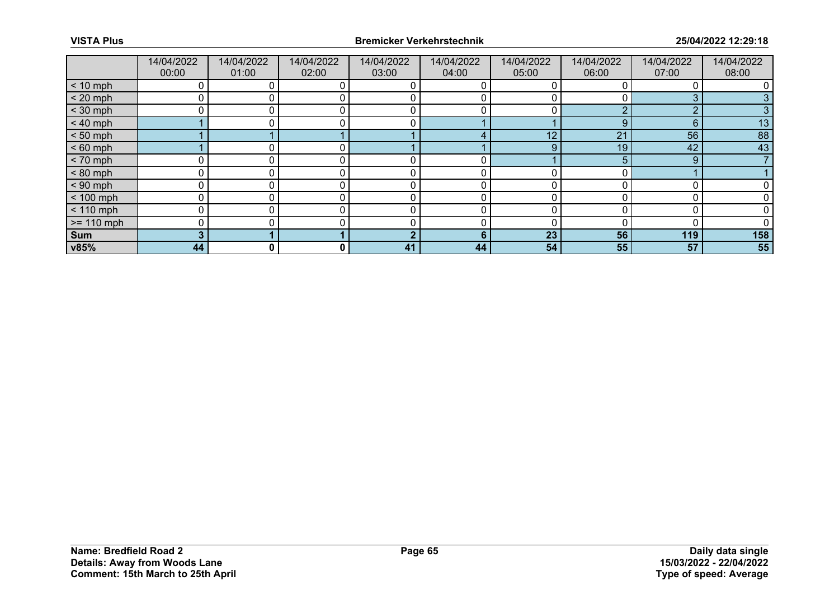|              | 14/04/2022<br>00:00 | 14/04/2022<br>01:00 | 14/04/2022<br>02:00 | 14/04/2022<br>03:00 | 14/04/2022<br>04:00 | 14/04/2022<br>05:00 | 14/04/2022<br>06:00 | 14/04/2022<br>07:00 | 14/04/2022<br>08:00 |
|--------------|---------------------|---------------------|---------------------|---------------------|---------------------|---------------------|---------------------|---------------------|---------------------|
| $< 10$ mph   | 0                   |                     |                     |                     |                     |                     |                     |                     |                     |
| $< 20$ mph   | 0                   |                     |                     |                     |                     |                     |                     | 3                   |                     |
| $<$ 30 mph   | 0                   |                     |                     | ╭                   |                     |                     | ◠                   | c                   |                     |
| $< 40$ mph   |                     | 0                   |                     | 0                   |                     |                     | 9                   | 6                   | 13                  |
| $< 50$ mph   |                     |                     |                     |                     |                     | 12                  | 21                  | 56                  | 88                  |
| $< 60$ mph   |                     |                     |                     |                     |                     | 9                   | 19                  | 42                  | 43                  |
| $< 70$ mph   | $\mathbf 0$         | 0                   | 0                   |                     | 0                   |                     | 5.                  | 9                   |                     |
| $< 80$ mph   | 0                   |                     |                     |                     | 0                   |                     |                     |                     |                     |
| $< 90$ mph   | 0                   |                     |                     |                     |                     |                     |                     |                     |                     |
| $< 100$ mph  | 0                   | 0                   |                     | r                   | 0                   |                     |                     |                     |                     |
| $< 110$ mph  | 0                   |                     |                     | C                   | 0                   |                     |                     | 0                   |                     |
| $>= 110$ mph | 0                   |                     |                     |                     |                     |                     |                     |                     |                     |
| Sum          | 3                   |                     |                     |                     | 6                   | 23                  | 56                  | 119                 | 158                 |
| v85%         | 44                  | 0                   | 0                   | 41                  | 44                  | 54                  | 55                  | 57                  | 55                  |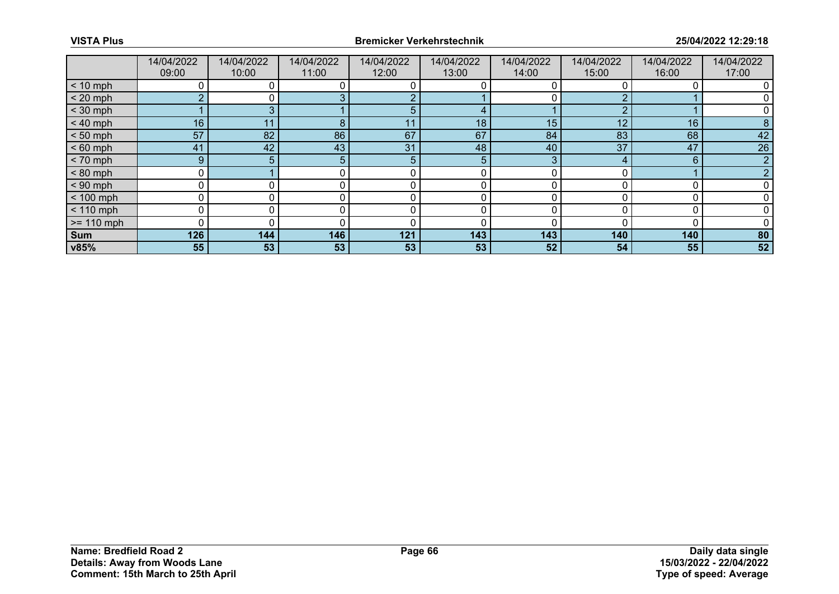|              | 14/04/2022   | 14/04/2022     | 14/04/2022 | 14/04/2022 | 14/04/2022 | 14/04/2022 | 14/04/2022 | 14/04/2022 | 14/04/2022 |
|--------------|--------------|----------------|------------|------------|------------|------------|------------|------------|------------|
|              | 09:00        | 10:00          | 11:00      | 12:00      | 13:00      | 14:00      | 15:00      | 16:00      | 17:00      |
| $< 10$ mph   |              |                |            |            |            |            |            |            |            |
| $< 20$ mph   | <sub>2</sub> | 0 l            |            |            |            |            |            |            |            |
| $<$ 30 mph   |              |                |            |            |            |            |            |            |            |
| $< 40$ mph   | 16           | 11             | 8          | 11         | 18         | 15         | 12         | 16         |            |
| $< 50$ mph   | 57           | 82             | 86         | 67         | 67         | 84         | 83         | 68         | 42         |
| $< 60$ mph   | 41           | 42             | 43         | 31         | 48         | 40         | 37         | 47         | 26         |
| $< 70$ mph   | 9            | 5 <sup>1</sup> | 5.         | 5          | 5          | 3          |            | 6          |            |
| $< 80$ mph   | 0            |                |            | 0          | 0          |            |            |            |            |
| $< 90$ mph   | 0            |                |            |            |            |            |            |            |            |
| $< 100$ mph  | 0            | 0              |            | 0          | 0          |            |            |            |            |
| $< 110$ mph  | 0            | 0              | $\Omega$   | 0          | 0          |            |            |            |            |
| $>= 110$ mph | 0            |                |            |            |            |            |            |            |            |
| Sum          | 126          | 144            | 146        | 121        | 143        | 143        | 140        | 140        | 80         |
| v85%         | 55           | 53             | 53         | 53         | 53         | 52         | 54         | 55         | 52         |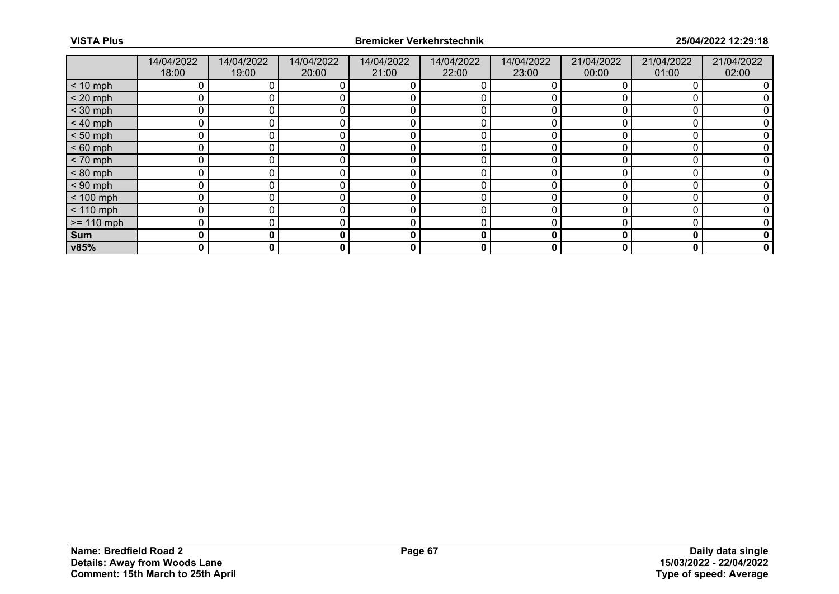|              | 14/04/2022<br>18:00 | 14/04/2022<br>19:00 | 14/04/2022<br>20:00 | 14/04/2022<br>21:00 | 14/04/2022<br>22:00 | 14/04/2022<br>23:00 | 21/04/2022<br>00:00 | 21/04/2022<br>01:00 | 21/04/2022<br>02:00 |
|--------------|---------------------|---------------------|---------------------|---------------------|---------------------|---------------------|---------------------|---------------------|---------------------|
| $< 10$ mph   | 0                   |                     | 0                   | 0                   | 0                   |                     |                     |                     |                     |
| $< 20$ mph   | 0                   |                     |                     |                     | 0                   |                     |                     |                     |                     |
| $<$ 30 mph   | 0                   |                     |                     |                     |                     |                     |                     |                     |                     |
| $< 40$ mph   | 0                   | 0                   | 0                   | 0                   | 0                   |                     |                     |                     |                     |
| $< 50$ mph   | 0                   |                     | 0                   |                     | 0                   |                     |                     |                     |                     |
| $< 60$ mph   | 0                   |                     |                     | C                   | በ                   |                     |                     |                     |                     |
| $< 70$ mph   | 0                   | 0                   | 0                   | 0                   | 0                   |                     |                     |                     |                     |
| $< 80$ mph   | 0                   |                     | 0                   | 0                   | 0                   |                     |                     |                     |                     |
| $< 90$ mph   | 0                   |                     |                     | C                   |                     |                     |                     |                     |                     |
| $< 100$ mph  | 0                   | 0                   |                     | 0                   | 0                   |                     |                     |                     |                     |
| $< 110$ mph  | 0                   |                     |                     | 0                   |                     | ∩                   |                     |                     |                     |
| $>= 110$ mph | 0                   |                     |                     |                     |                     |                     |                     |                     |                     |
| Sum          | 0                   | 0                   | 0                   | 0                   | 0                   | 0                   |                     | 0                   |                     |
| v85%         | 0                   | 0                   | 0                   | 0                   | 0                   | 0                   | 0                   | 0                   | 0                   |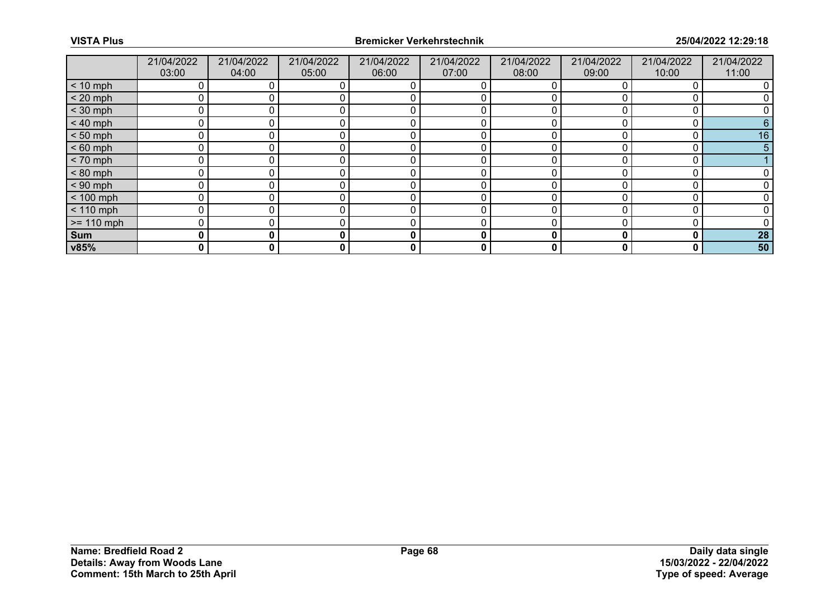|              | 21/04/2022<br>03:00 | 21/04/2022<br>04:00 | 21/04/2022<br>05:00 | 21/04/2022<br>06:00 | 21/04/2022<br>07:00 | 21/04/2022<br>08:00 | 21/04/2022<br>09:00 | 21/04/2022<br>10:00 | 21/04/2022<br>11:00 |
|--------------|---------------------|---------------------|---------------------|---------------------|---------------------|---------------------|---------------------|---------------------|---------------------|
| $< 10$ mph   |                     |                     |                     |                     |                     |                     |                     |                     |                     |
| $< 20$ mph   | 0                   |                     |                     |                     |                     |                     |                     |                     |                     |
| $<$ 30 mph   | 0                   |                     |                     |                     |                     |                     |                     |                     |                     |
| $< 40$ mph   | 0                   |                     |                     |                     |                     |                     |                     |                     |                     |
| $< 50$ mph   | 0                   |                     |                     |                     |                     |                     |                     |                     | 16                  |
| $< 60$ mph   | 0                   |                     |                     |                     |                     |                     |                     |                     |                     |
| $< 70$ mph   | 0                   |                     |                     |                     |                     |                     |                     |                     |                     |
| $< 80$ mph   | 0                   |                     |                     |                     |                     |                     |                     |                     |                     |
| $< 90$ mph   | 0                   |                     |                     |                     |                     |                     |                     |                     |                     |
| $< 100$ mph  | 0                   |                     |                     | 0                   |                     |                     |                     |                     |                     |
| $< 110$ mph  | 0                   |                     |                     | 0                   |                     |                     |                     |                     |                     |
| $>= 110$ mph | 0                   |                     |                     |                     |                     |                     |                     |                     |                     |
| Sum          | 0                   | 0                   | 0                   | 0                   | 0                   | 0                   |                     | 0                   | 28                  |
| v85%         | 0                   | 0                   | 0                   | 0                   | 0                   | 0                   | 0                   | 0                   | 50                  |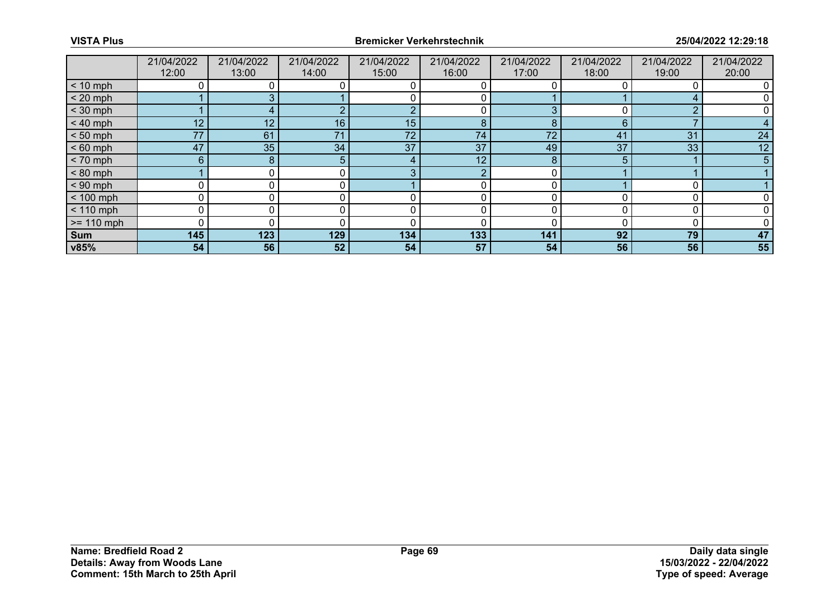|              | 21/04/2022<br>12:00 | 21/04/2022<br>13:00 | 21/04/2022<br>14:00 | 21/04/2022<br>15:00 | 21/04/2022<br>16:00 | 21/04/2022<br>17:00 | 21/04/2022<br>18:00 | 21/04/2022<br>19:00 | 21/04/2022<br>20:00 |
|--------------|---------------------|---------------------|---------------------|---------------------|---------------------|---------------------|---------------------|---------------------|---------------------|
| $< 10$ mph   |                     |                     |                     |                     |                     |                     |                     |                     |                     |
| $< 20$ mph   |                     |                     |                     |                     |                     |                     |                     |                     |                     |
| $<$ 30 mph   |                     |                     |                     | r                   |                     |                     |                     | ◠                   |                     |
| $< 40$ mph   | 12                  | 12                  | 16 <sub>1</sub>     | 15                  | 8                   | 8                   | 6                   |                     |                     |
| $< 50$ mph   | 77                  | 61                  | 71                  | 72                  | 74                  | 72                  | 41                  | 31                  | 24                  |
| $< 60$ mph   | 47                  | 35                  | 34                  | 37                  | 37                  | 49                  | 37                  | 33                  | 12                  |
| $< 70$ mph   | 6 <sup>°</sup>      | 8                   | 5                   |                     | 12                  | 8                   |                     |                     | 5                   |
| $< 80$ mph   |                     |                     | 0                   | P                   | ◠                   |                     |                     |                     |                     |
| $< 90$ mph   |                     |                     |                     |                     |                     |                     |                     |                     |                     |
| $< 100$ mph  | 0                   | 0                   | 0                   | 0                   | 0                   |                     |                     |                     |                     |
| $< 110$ mph  | 0                   |                     |                     |                     |                     |                     |                     |                     |                     |
| $>= 110$ mph | O                   |                     |                     |                     |                     |                     |                     |                     |                     |
| Sum          | 145                 | 123                 | 129                 | 134                 | 133                 | 141                 | 92                  | 79                  | 47                  |
| v85%         | 54                  | 56                  | 52                  | 54                  | 57                  | 54                  | 56                  | 56                  | 55                  |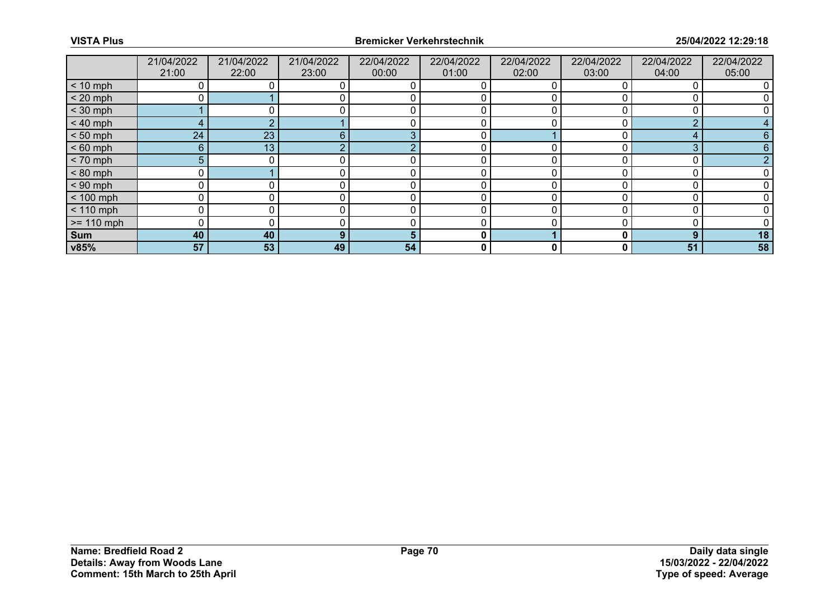|              | 21/04/2022 | 21/04/2022 | 21/04/2022 | 22/04/2022 | 22/04/2022 | 22/04/2022   | 22/04/2022 | 22/04/2022 | 22/04/2022 |
|--------------|------------|------------|------------|------------|------------|--------------|------------|------------|------------|
|              | 21:00      | 22:00      | 23:00      | 00:00      | 01:00      | 02:00        | 03:00      | 04:00      | 05:00      |
| $< 10$ mph   |            |            |            |            |            |              |            |            |            |
| $< 20$ mph   |            |            |            |            |            |              |            |            |            |
| $<$ 30 mph   |            |            |            |            |            |              |            |            |            |
| $< 40$ mph   | 4          |            |            |            |            |              |            | ◠          |            |
| $< 50$ mph   | 24         | 23         | 6          | ρ          |            |              |            | 4          |            |
| $< 60$ mph   | 6          | 13         |            |            |            |              |            | З          |            |
| $< 70$ mph   | 5          |            |            |            |            |              |            |            |            |
| $< 80$ mph   | 0          |            |            |            |            | O            |            |            |            |
| $< 90$ mph   |            |            |            |            |            |              |            |            |            |
| $< 100$ mph  | $\Omega$   |            |            | 0          | 0          |              |            |            |            |
| $< 110$ mph  | $\Omega$   |            |            | $\Omega$   | በ          | <sup>0</sup> |            |            |            |
| $>= 110$ mph |            |            |            |            |            |              |            |            |            |
| Sum          | 40         | 40         | 9          |            | 0          |              |            | 9          | 18         |
| v85%         | 57         | 53         | 49         | 54         | 0          | 0            | 0          | 51         | 58         |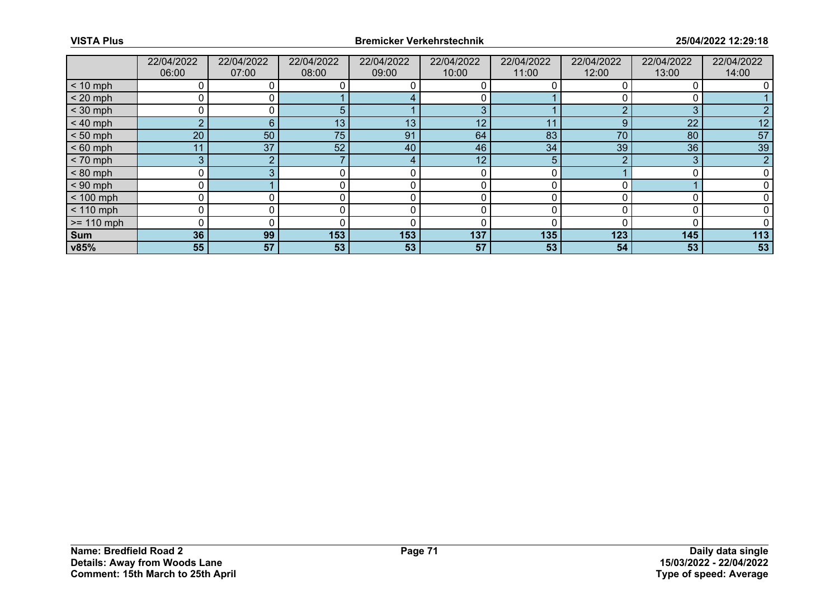|              | 22/04/2022<br>06:00 | 22/04/2022<br>07:00 | 22/04/2022<br>08:00 | 22/04/2022<br>09:00 | 22/04/2022<br>10:00 | 22/04/2022<br>11:00 | 22/04/2022<br>12:00 | 22/04/2022<br>13:00 | 22/04/2022<br>14:00 |
|--------------|---------------------|---------------------|---------------------|---------------------|---------------------|---------------------|---------------------|---------------------|---------------------|
| $< 10$ mph   | 0                   |                     |                     |                     |                     |                     |                     |                     |                     |
| $< 20$ mph   | 0                   |                     |                     |                     |                     |                     |                     |                     |                     |
| $<$ 30 mph   | 0                   |                     | h.                  |                     | 3                   |                     |                     | 3                   |                     |
| $< 40$ mph   | $\overline{2}$      | 6                   | 13 <sub>1</sub>     | 13                  | 12                  | 11                  | 9                   | 22                  | 12                  |
| $< 50$ mph   | 20                  | 50                  | 75                  | 91                  | 64                  | 83                  | 70                  | 80                  | 57                  |
| $< 60$ mph   | 1                   | 37                  | 52                  | 40                  | 46                  | 34                  | 39                  | 36                  | 39                  |
| $< 70$ mph   | 3                   | ◠                   |                     | 4                   | 12 <sub>1</sub>     | 5                   |                     | 3                   | $\overline{2}$      |
| $< 80$ mph   | 0                   |                     |                     |                     | 0                   |                     |                     |                     |                     |
| $< 90$ mph   |                     |                     |                     |                     |                     |                     |                     |                     |                     |
| $< 100$ mph  | 0                   | 0                   |                     | 0                   | 0                   |                     |                     |                     |                     |
| $< 110$ mph  | 0                   |                     |                     |                     |                     |                     |                     |                     |                     |
| $>= 110$ mph | 0                   |                     |                     | C                   |                     |                     |                     |                     |                     |
| Sum          | 36                  | 99                  | 153                 | 153                 | 137                 | 135                 | 123                 | 145                 | 113                 |
| v85%         | 55                  | 57                  | 53                  | 53                  | 57                  | 53                  | 54                  | 53                  | 53                  |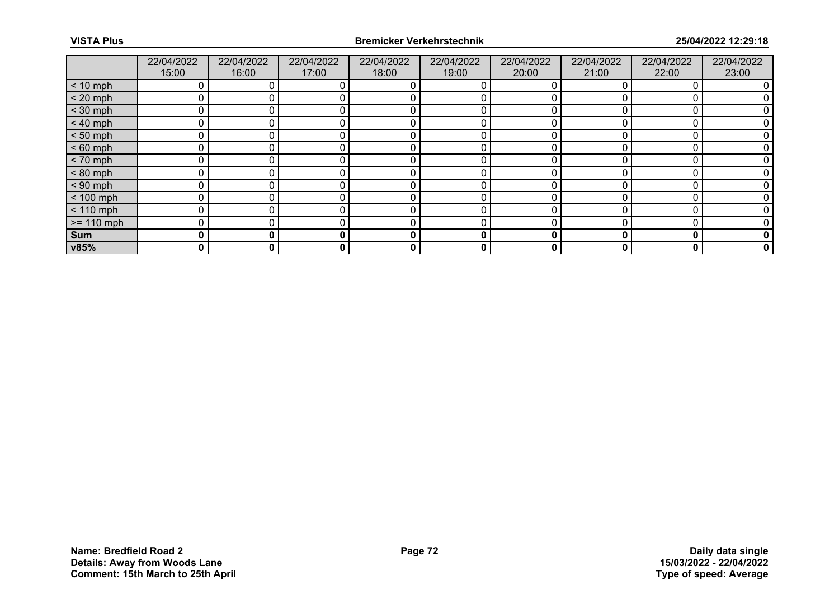|              | 22/04/2022 | 22/04/2022 | 22/04/2022 | 22/04/2022 | 22/04/2022 | 22/04/2022 | 22/04/2022 | 22/04/2022 | 22/04/2022 |
|--------------|------------|------------|------------|------------|------------|------------|------------|------------|------------|
|              | 15:00      | 16:00      | 17:00      | 18:00      | 19:00      | 20:00      | 21:00      | 22:00      | 23:00      |
| $< 10$ mph   |            |            |            |            |            |            |            |            |            |
| $< 20$ mph   | 0          |            |            |            |            |            |            |            |            |
| $<$ 30 mph   |            |            |            |            |            |            |            |            |            |
| $< 40$ mph   | 0          |            |            |            |            |            |            |            |            |
| $< 50$ mph   | 0          |            |            |            |            |            |            |            |            |
| $< 60$ mph   | 0          |            |            |            |            |            |            |            |            |
| $< 70$ mph   | 0          |            |            |            |            |            |            |            |            |
| $< 80$ mph   | 0          |            |            |            |            |            |            |            |            |
| $< 90$ mph   | 0          |            |            |            |            |            |            |            |            |
| $< 100$ mph  | 0          |            |            |            |            |            |            |            |            |
| $< 110$ mph  | 0          |            |            |            |            |            |            |            |            |
| $>= 110$ mph | 0          |            |            |            |            |            |            |            |            |
| Sum          | 0          | 0          |            | 0          | 0          | 0          |            | O          | 0          |
| v85%         | 0          | 0          | 0          | 0          | 0          | 0          | 0          | 0          | 0          |